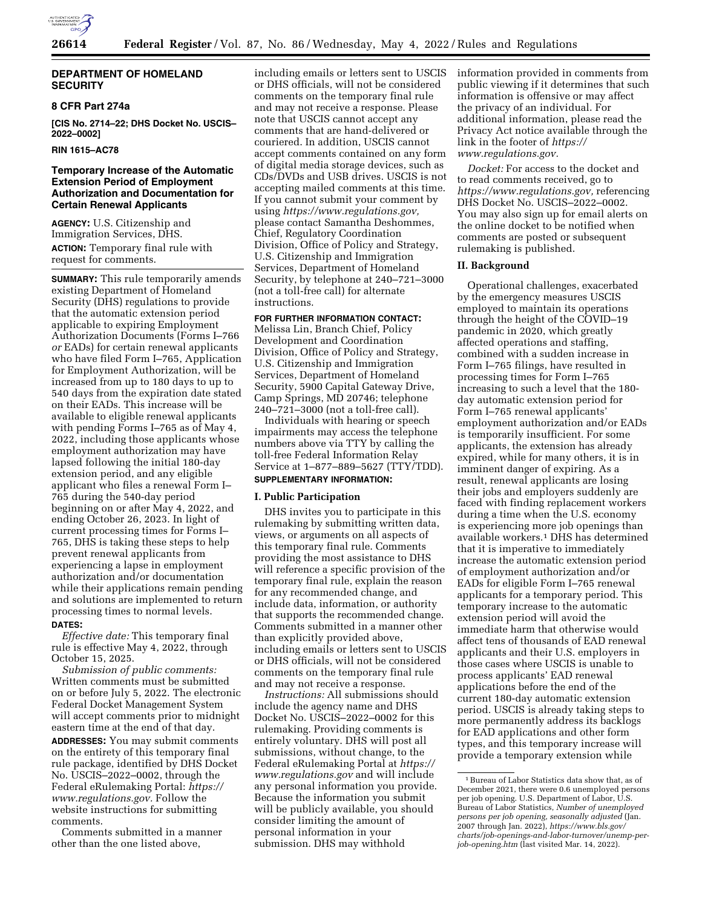

# **DEPARTMENT OF HOMELAND SECURITY**

# **8 CFR Part 274a**

**[CIS No. 2714–22; DHS Docket No. USCIS– 2022–0002]** 

# **RIN 1615–AC78**

# **Temporary Increase of the Automatic Extension Period of Employment Authorization and Documentation for Certain Renewal Applicants**

**AGENCY:** U.S. Citizenship and Immigration Services, DHS. **ACTION:** Temporary final rule with request for comments.

**SUMMARY:** This rule temporarily amends existing Department of Homeland Security (DHS) regulations to provide that the automatic extension period applicable to expiring Employment Authorization Documents (Forms I–766 *or* EADs) for certain renewal applicants who have filed Form I–765, Application for Employment Authorization, will be increased from up to 180 days to up to 540 days from the expiration date stated on their EADs. This increase will be available to eligible renewal applicants with pending Forms I–765 as of May 4, 2022, including those applicants whose employment authorization may have lapsed following the initial 180-day extension period, and any eligible applicant who files a renewal Form I– 765 during the 540-day period beginning on or after May 4, 2022, and ending October 26, 2023. In light of current processing times for Forms I– 765, DHS is taking these steps to help prevent renewal applicants from experiencing a lapse in employment authorization and/or documentation while their applications remain pending and solutions are implemented to return processing times to normal levels. **DATES:** 

*Effective date:* This temporary final rule is effective May 4, 2022, through October 15, 2025.

*Submission of public comments:*  Written comments must be submitted on or before July 5, 2022. The electronic Federal Docket Management System will accept comments prior to midnight eastern time at the end of that day.

**ADDRESSES:** You may submit comments on the entirety of this temporary final rule package, identified by DHS Docket No. USCIS–2022–0002, through the Federal eRulemaking Portal: *[https://](https://www.regulations.gov) [www.regulations.gov.](https://www.regulations.gov)* Follow the website instructions for submitting comments.

Comments submitted in a manner other than the one listed above,

including emails or letters sent to USCIS or DHS officials, will not be considered comments on the temporary final rule and may not receive a response. Please note that USCIS cannot accept any comments that are hand-delivered or couriered. In addition, USCIS cannot accept comments contained on any form of digital media storage devices, such as CDs/DVDs and USB drives. USCIS is not accepting mailed comments at this time. If you cannot submit your comment by using *[https://www.regulations.gov,](https://www.regulations.gov)*  please contact Samantha Deshommes, Chief, Regulatory Coordination Division, Office of Policy and Strategy, U.S. Citizenship and Immigration Services, Department of Homeland Security, by telephone at 240–721–3000 (not a toll-free call) for alternate instructions.

### **FOR FURTHER INFORMATION CONTACT:**

Melissa Lin, Branch Chief, Policy Development and Coordination Division, Office of Policy and Strategy, U.S. Citizenship and Immigration Services, Department of Homeland Security, 5900 Capital Gateway Drive, Camp Springs, MD 20746; telephone 240–721–3000 (not a toll-free call).

Individuals with hearing or speech impairments may access the telephone numbers above via TTY by calling the toll-free Federal Information Relay Service at 1–877–889–5627 (TTY/TDD).

# **SUPPLEMENTARY INFORMATION:**

# **I. Public Participation**

DHS invites you to participate in this rulemaking by submitting written data, views, or arguments on all aspects of this temporary final rule. Comments providing the most assistance to DHS will reference a specific provision of the temporary final rule, explain the reason for any recommended change, and include data, information, or authority that supports the recommended change. Comments submitted in a manner other than explicitly provided above, including emails or letters sent to USCIS or DHS officials, will not be considered comments on the temporary final rule and may not receive a response.

*Instructions:* All submissions should include the agency name and DHS Docket No. USCIS–2022–0002 for this rulemaking. Providing comments is entirely voluntary. DHS will post all submissions, without change, to the Federal eRulemaking Portal at *[https://](https://www.regulations.gov) [www.regulations.gov](https://www.regulations.gov)* and will include any personal information you provide. Because the information you submit will be publicly available, you should consider limiting the amount of personal information in your submission. DHS may withhold

information provided in comments from public viewing if it determines that such information is offensive or may affect the privacy of an individual. For additional information, please read the Privacy Act notice available through the link in the footer of *[https://](https://www.regulations.gov) [www.regulations.gov.](https://www.regulations.gov)* 

*Docket:* For access to the docket and to read comments received, go to *[https://www.regulations.gov,](https://www.regulations.gov)* referencing DHS Docket No. USCIS–2022–0002. You may also sign up for email alerts on the online docket to be notified when comments are posted or subsequent rulemaking is published.

### **II. Background**

Operational challenges, exacerbated by the emergency measures USCIS employed to maintain its operations through the height of the COVID–19 pandemic in 2020, which greatly affected operations and staffing, combined with a sudden increase in Form I–765 filings, have resulted in processing times for Form I–765 increasing to such a level that the 180 day automatic extension period for Form I–765 renewal applicants' employment authorization and/or EADs is temporarily insufficient. For some applicants, the extension has already expired, while for many others, it is in imminent danger of expiring. As a result, renewal applicants are losing their jobs and employers suddenly are faced with finding replacement workers during a time when the U.S. economy is experiencing more job openings than available workers.1 DHS has determined that it is imperative to immediately increase the automatic extension period of employment authorization and/or EADs for eligible Form I–765 renewal applicants for a temporary period. This temporary increase to the automatic extension period will avoid the immediate harm that otherwise would affect tens of thousands of EAD renewal applicants and their U.S. employers in those cases where USCIS is unable to process applicants' EAD renewal applications before the end of the current 180-day automatic extension period. USCIS is already taking steps to more permanently address its backlogs for EAD applications and other form types, and this temporary increase will provide a temporary extension while

<sup>1</sup>Bureau of Labor Statistics data show that, as of December 2021, there were 0.6 unemployed persons per job opening. U.S. Department of Labor, U.S. Bureau of Labor Statistics, *Number of unemployed persons per job opening, seasonally adjusted* (Jan. 2007 through Jan. 2022), *[https://www.bls.gov/](https://www.bls.gov/charts/job-openings-and-labor-turnover/unemp-per-job-opening.htm)  [charts/job-openings-and-labor-turnover/unemp-per](https://www.bls.gov/charts/job-openings-and-labor-turnover/unemp-per-job-opening.htm)[job-opening.htm](https://www.bls.gov/charts/job-openings-and-labor-turnover/unemp-per-job-opening.htm)* (last visited Mar. 14, 2022).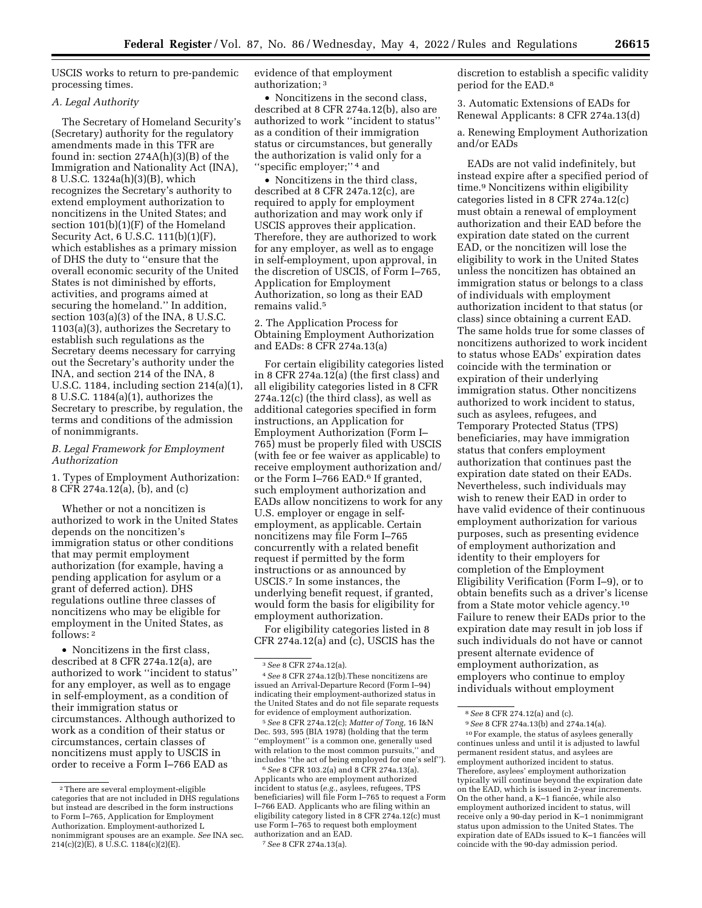USCIS works to return to pre-pandemic processing times.

# *A. Legal Authority*

The Secretary of Homeland Security's (Secretary) authority for the regulatory amendments made in this TFR are found in: section 274A(h)(3)(B) of the Immigration and Nationality Act (INA), 8 U.S.C. 1324a(h)(3)(B), which recognizes the Secretary's authority to extend employment authorization to noncitizens in the United States; and section 101(b)(1)(F) of the Homeland Security Act, 6 U.S.C. 111(b)(1)(F), which establishes as a primary mission of DHS the duty to ''ensure that the overall economic security of the United States is not diminished by efforts, activities, and programs aimed at securing the homeland.'' In addition, section 103(a)(3) of the INA, 8 U.S.C. 1103(a)(3), authorizes the Secretary to establish such regulations as the Secretary deems necessary for carrying out the Secretary's authority under the INA, and section 214 of the INA, 8 U.S.C. 1184, including section 214(a)(1), 8 U.S.C. 1184(a)(1), authorizes the Secretary to prescribe, by regulation, the terms and conditions of the admission of nonimmigrants.

# *B. Legal Framework for Employment Authorization*

1. Types of Employment Authorization: 8 CFR 274a.12(a), (b), and (c)

Whether or not a noncitizen is authorized to work in the United States depends on the noncitizen's immigration status or other conditions that may permit employment authorization (for example, having a pending application for asylum or a grant of deferred action). DHS regulations outline three classes of noncitizens who may be eligible for employment in the United States, as follows: 2

• Noncitizens in the first class, described at 8 CFR 274a.12(a), are authorized to work ''incident to status'' for any employer, as well as to engage in self-employment, as a condition of their immigration status or circumstances. Although authorized to work as a condition of their status or circumstances, certain classes of noncitizens must apply to USCIS in order to receive a Form I–766 EAD as

evidence of that employment authorization; 3

• Noncitizens in the second class. described at 8 CFR 274a.12(b), also are authorized to work ''incident to status'' as a condition of their immigration status or circumstances, but generally the authorization is valid only for a ''specific employer;'' 4 and

• Noncitizens in the third class, described at 8 CFR 247a.12(c), are required to apply for employment authorization and may work only if USCIS approves their application. Therefore, they are authorized to work for any employer, as well as to engage in self-employment, upon approval, in the discretion of USCIS, of Form I–765, Application for Employment Authorization, so long as their EAD remains valid.5

2. The Application Process for Obtaining Employment Authorization and EADs: 8 CFR 274a.13(a)

For certain eligibility categories listed in 8 CFR 274a.12(a) (the first class) and all eligibility categories listed in 8 CFR 274a.12(c) (the third class), as well as additional categories specified in form instructions, an Application for Employment Authorization (Form I– 765) must be properly filed with USCIS (with fee or fee waiver as applicable) to receive employment authorization and/ or the Form I–766 EAD.6 If granted, such employment authorization and EADs allow noncitizens to work for any U.S. employer or engage in selfemployment, as applicable. Certain noncitizens may file Form I–765 concurrently with a related benefit request if permitted by the form instructions or as announced by USCIS.7 In some instances, the underlying benefit request, if granted, would form the basis for eligibility for employment authorization.

For eligibility categories listed in 8 CFR 274a.12(a) and (c), USCIS has the

5*See* 8 CFR 274a.12(c); *Matter of Tong,* 16 I&N Dec. 593, 595 (BIA 1978) (holding that the term ''employment'' is a common one, generally used with relation to the most common pursuits,'' and includes ''the act of being employed for one's self'').

6*See* 8 CFR 103.2(a) and 8 CFR 274a.13(a). Applicants who are employment authorized incident to status (*e.g.,* asylees, refugees, TPS beneficiaries) will file Form I–765 to request a Form I–766 EAD. Applicants who are filing within an eligibility category listed in 8 CFR 274a.12(c) must use Form I–765 to request both employment authorization and an EAD.

7*See* 8 CFR 274a.13(a).

discretion to establish a specific validity period for the EAD.8

3. Automatic Extensions of EADs for Renewal Applicants: 8 CFR 274a.13(d)

a. Renewing Employment Authorization and/or EADs

EADs are not valid indefinitely, but instead expire after a specified period of time.9 Noncitizens within eligibility categories listed in 8 CFR 274a.12(c) must obtain a renewal of employment authorization and their EAD before the expiration date stated on the current EAD, or the noncitizen will lose the eligibility to work in the United States unless the noncitizen has obtained an immigration status or belongs to a class of individuals with employment authorization incident to that status (or class) since obtaining a current EAD. The same holds true for some classes of noncitizens authorized to work incident to status whose EADs' expiration dates coincide with the termination or expiration of their underlying immigration status. Other noncitizens authorized to work incident to status, such as asylees, refugees, and Temporary Protected Status (TPS) beneficiaries, may have immigration status that confers employment authorization that continues past the expiration date stated on their EADs. Nevertheless, such individuals may wish to renew their EAD in order to have valid evidence of their continuous employment authorization for various purposes, such as presenting evidence of employment authorization and identity to their employers for completion of the Employment Eligibility Verification (Form I–9), or to obtain benefits such as a driver's license from a State motor vehicle agency.10 Failure to renew their EADs prior to the expiration date may result in job loss if such individuals do not have or cannot present alternate evidence of employment authorization, as employers who continue to employ individuals without employment

9*See* 8 CFR 274a.13(b) and 274a.14(a). 10For example, the status of asylees generally continues unless and until it is adjusted to lawful permanent resident status, and asylees are employment authorized incident to status. Therefore, asylees' employment authorization typically will continue beyond the expiration date on the EAD, which is issued in 2-year increments. On the other hand, a K–1 fiancée, while also employment authorized incident to status, will receive only a 90-day period in K–1 nonimmigrant status upon admission to the United States. The expiration date of EADs issued to K-1 fiancées will coincide with the 90-day admission period.

<sup>2</sup>There are several employment-eligible categories that are not included in DHS regulations but instead are described in the form instructions to Form I–765, Application for Employment Authorization. Employment-authorized L nonimmigrant spouses are an example. *See* INA sec. 214(c)(2)(E), 8 U.S.C. 1184(c)(2)(E).

<sup>3</sup>*See* 8 CFR 274a.12(a).

<sup>4</sup>*See* 8 CFR 274a.12(b).These noncitizens are issued an Arrival-Departure Record (Form I–94) indicating their employment-authorized status in the United States and do not file separate requests for evidence of employment authorization.

<sup>8</sup>*See* 8 CFR 274.12(a) and (c).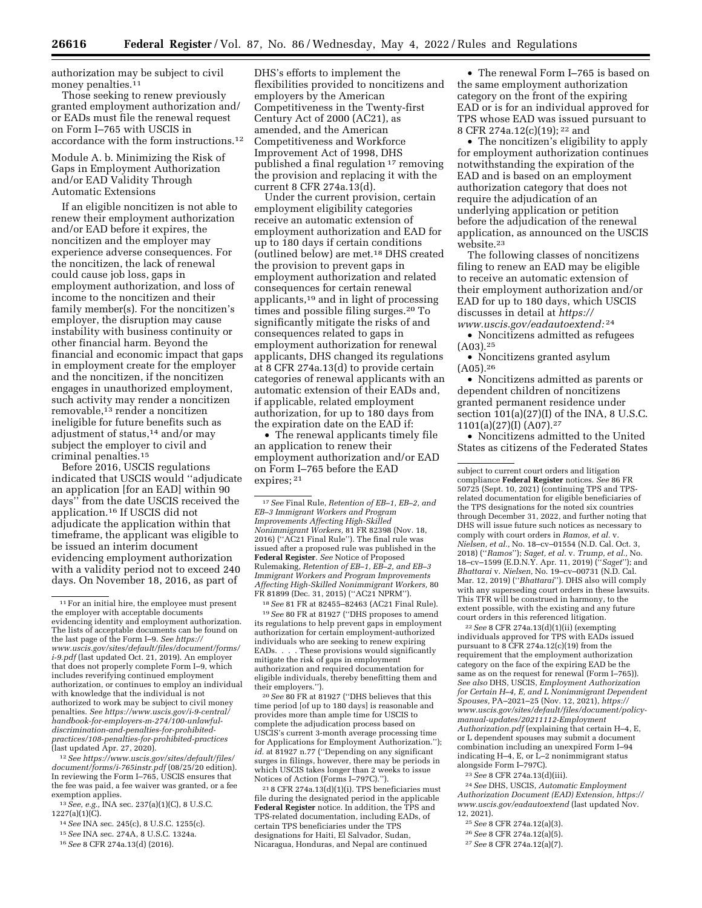authorization may be subject to civil money penalties.<sup>11</sup>

Those seeking to renew previously granted employment authorization and/ or EADs must file the renewal request on Form I–765 with USCIS in accordance with the form instructions.12

Module A. b. Minimizing the Risk of Gaps in Employment Authorization and/or EAD Validity Through Automatic Extensions

If an eligible noncitizen is not able to renew their employment authorization and/or EAD before it expires, the noncitizen and the employer may experience adverse consequences. For the noncitizen, the lack of renewal could cause job loss, gaps in employment authorization, and loss of income to the noncitizen and their family member(s). For the noncitizen's employer, the disruption may cause instability with business continuity or other financial harm. Beyond the financial and economic impact that gaps in employment create for the employer and the noncitizen, if the noncitizen engages in unauthorized employment, such activity may render a noncitizen removable,13 render a noncitizen ineligible for future benefits such as adjustment of status,14 and/or may subject the employer to civil and criminal penalties.15

Before 2016, USCIS regulations indicated that USCIS would ''adjudicate an application [for an EAD] within 90 days'' from the date USCIS received the application.16 If USCIS did not adjudicate the application within that timeframe, the applicant was eligible to be issued an interim document evidencing employment authorization with a validity period not to exceed 240 days. On November 18, 2016, as part of

12*See [https://www.uscis.gov/sites/default/files/](https://www.uscis.gov/sites/default/files/document/forms/i-765instr.pdf)  [document/forms/i-765instr.pdf](https://www.uscis.gov/sites/default/files/document/forms/i-765instr.pdf)* (08/25/20 edition). In reviewing the Form I–765, USCIS ensures that the fee was paid, a fee waiver was granted, or a fee exemption applies.

13*See, e.g.,* INA sec. 237(a)(1)(C), 8 U.S.C.  $1227(a)(1)(C)$ .

14*See* INA sec. 245(c), 8 U.S.C. 1255(c).

15*See* INA sec. 274A, 8 U.S.C. 1324a.

DHS's efforts to implement the flexibilities provided to noncitizens and employers by the American Competitiveness in the Twenty-first Century Act of 2000 (AC21), as amended, and the American Competitiveness and Workforce Improvement Act of 1998, DHS published a final regulation 17 removing the provision and replacing it with the current 8 CFR 274a.13(d).

Under the current provision, certain employment eligibility categories receive an automatic extension of employment authorization and EAD for up to 180 days if certain conditions (outlined below) are met.18 DHS created the provision to prevent gaps in employment authorization and related consequences for certain renewal applicants,19 and in light of processing times and possible filing surges.20 To significantly mitigate the risks of and consequences related to gaps in employment authorization for renewal applicants, DHS changed its regulations at 8 CFR 274a.13(d) to provide certain categories of renewal applicants with an automatic extension of their EADs and, if applicable, related employment authorization, for up to 180 days from the expiration date on the EAD if:

• The renewal applicants timely file an application to renew their employment authorization and/or EAD on Form I–765 before the EAD expires; 21

17*See* Final Rule, *Retention of EB–1, EB–2, and EB–3 Immigrant Workers and Program Improvements Affecting High-Skilled Nonimmigrant Workers,* 81 FR 82398 (Nov. 18, 2016) (''AC21 Final Rule''). The final rule was issued after a proposed rule was published in the **Federal Register**. *See* Notice of Proposed Rulemaking, *Retention of EB–1, EB–2, and EB–3 Immigrant Workers and Program Improvements Affecting High-Skilled Nonimmigrant Workers,* 80 FR 81899 (Dec. 31, 2015) (''AC21 NPRM'').

18*See* 81 FR at 82455–82463 (AC21 Final Rule). 19*See* 80 FR at 81927 (''DHS proposes to amend its regulations to help prevent gaps in employment authorization for certain employment-authorized individuals who are seeking to renew expiring EADs. . . . These provisions would significantly mitigate the risk of gaps in employment authorization and required documentation for eligible individuals, thereby benefitting them and their employers.'').

20*See* 80 FR at 81927 (''DHS believes that this time period [of up to 180 days] is reasonable and provides more than ample time for USCIS to complete the adjudication process based on USCIS's current 3-month average processing time for Applications for Employment Authorization.''); *id.* at 81927 n.77 (''Depending on any significant surges in filings, however, there may be periods in which USCIS takes longer than 2 weeks to issue Notices of Action (Forms I–797C).'').

21 8 CFR 274a.13(d)(1)(i). TPS beneficiaries must file during the designated period in the applicable **Federal Register** notice. In addition, the TPS and TPS-related documentation, including EADs, of certain TPS beneficiaries under the TPS designations for Haiti, El Salvador, Sudan, Nicaragua, Honduras, and Nepal are continued

• The renewal Form I–765 is based on the same employment authorization category on the front of the expiring EAD or is for an individual approved for TPS whose EAD was issued pursuant to 8 CFR 274a.12(c)(19); 22 and

• The noncitizen's eligibility to apply for employment authorization continues notwithstanding the expiration of the EAD and is based on an employment authorization category that does not require the adjudication of an underlying application or petition before the adjudication of the renewal application, as announced on the USCIS website.23

The following classes of noncitizens filing to renew an EAD may be eligible to receive an automatic extension of their employment authorization and/or EAD for up to 180 days, which USCIS discusses in detail at *[https://](https://www.uscis.gov/eadautoextend) [www.uscis.gov/eadautoextend:](https://www.uscis.gov/eadautoextend)* 24

• Noncitizens admitted as refugees (A03).25

• Noncitizens granted asylum  $(A05).^{26}$ 

• Noncitizens admitted as parents or dependent children of noncitizens granted permanent residence under section  $101(a)(27)(I)$  of the INA, 8 U.S.C. 1101(a)(27)(I) (A07).27

• Noncitizens admitted to the United States as citizens of the Federated States

22*See* 8 CFR 274a.13(d)(1)(ii) (exempting individuals approved for TPS with EADs issued pursuant to 8 CFR 274a.12(c)(19) from the requirement that the employment authorization category on the face of the expiring EAD be the same as on the request for renewal (Form I–765)). *See also* DHS, USCIS, *Employment Authorization for Certain H–4, E, and L Nonimmigrant Dependent Spouses,* PA–2021–25 (Nov. 12, 2021), *[https://](https://www.uscis.gov/sites/default/files/document/policy-manual-updates/20211112-EmploymentAuthorization.pdf) [www.uscis.gov/sites/default/files/document/policy](https://www.uscis.gov/sites/default/files/document/policy-manual-updates/20211112-EmploymentAuthorization.pdf)[manual-updates/20211112-Employment](https://www.uscis.gov/sites/default/files/document/policy-manual-updates/20211112-EmploymentAuthorization.pdf) [Authorization.pdf](https://www.uscis.gov/sites/default/files/document/policy-manual-updates/20211112-EmploymentAuthorization.pdf)* (explaining that certain H–4, E, or L dependent spouses may submit a document combination including an unexpired Form I–94 indicating H–4, E, or L–2 nonimmigrant status alongside Form I–797C).

23*See* 8 CFR 274a.13(d)(iii).

24*See* DHS, USCIS, *Automatic Employment Authorization Document (EAD) Extension, [https://](https://www.uscis.gov/eadautoextend)  [www.uscis.gov/eadautoextend](https://www.uscis.gov/eadautoextend)* (last updated Nov. 12, 2021).

25*See* 8 CFR 274a.12(a)(3).

26*See* 8 CFR 274a.12(a)(5).

27*See* 8 CFR 274a.12(a)(7).

<sup>&</sup>lt;sup>11</sup> For an initial hire, the employee must present the employer with acceptable documents evidencing identity and employment authorization. The lists of acceptable documents can be found on the last page of the Form I–9. *See [https://](https://www.uscis.gov/sites/default/files/document/forms/i-9.pdf) [www.uscis.gov/sites/default/files/document/forms/](https://www.uscis.gov/sites/default/files/document/forms/i-9.pdf) [i-9.pdf](https://www.uscis.gov/sites/default/files/document/forms/i-9.pdf)* (last updated Oct. 21, 2019). An employer that does not properly complete Form I–9, which includes reverifying continued employment authorization, or continues to employ an individual with knowledge that the individual is not authorized to work may be subject to civil money penalties. *See [https://www.uscis.gov/i-9-central/](https://www.uscis.gov/i-9-central/handbook-for-employers-m-274/100-unlawful-discrimination-and-penalties-for-prohibited-practices/108-penalties-for-prohibited-practices)  [handbook-for-employers-m-274/100-unlawful](https://www.uscis.gov/i-9-central/handbook-for-employers-m-274/100-unlawful-discrimination-and-penalties-for-prohibited-practices/108-penalties-for-prohibited-practices)[discrimination-and-penalties-for-prohibited](https://www.uscis.gov/i-9-central/handbook-for-employers-m-274/100-unlawful-discrimination-and-penalties-for-prohibited-practices/108-penalties-for-prohibited-practices)[practices/108-penalties-for-prohibited-practices](https://www.uscis.gov/i-9-central/handbook-for-employers-m-274/100-unlawful-discrimination-and-penalties-for-prohibited-practices/108-penalties-for-prohibited-practices)*  (last updated  $\rm{\AA}$ pr. 27, 2020).

<sup>16</sup>*See* 8 CFR 274a.13(d) (2016).

subject to current court orders and litigation compliance **Federal Register** notices. *See* 86 FR 50725 (Sept. 10, 2021) (continuing TPS and TPSrelated documentation for eligible beneficiaries of the TPS designations for the noted six countries through December 31, 2022, and further noting that DHS will issue future such notices as necessary to comply with court orders in *Ramos, et al.* v. *Nielsen, et al.,* No. 18–cv–01554 (N.D. Cal. Oct. 3, 2018) (''*Ramos*''); *Saget, et al.* v. *Trump, et al.,* No. 18–cv–1599 (E.D.N.Y. Apr. 11, 2019) (''*Saget*''); and *Bhattarai* v. *Nielsen,* No. 19–cv–00731 (N.D. Cal. Mar. 12, 2019) (''*Bhattarai*''). DHS also will comply with any superseding court orders in these lawsuits. This TFR will be construed in harmony, to the extent possible, with the existing and any future court orders in this referenced litigation.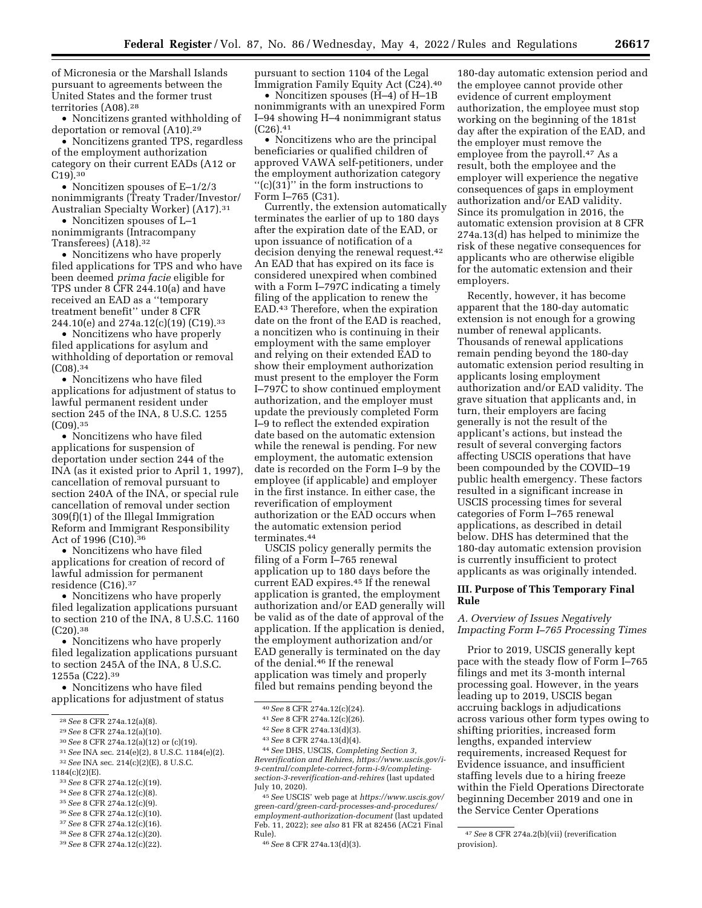of Micronesia or the Marshall Islands pursuant to agreements between the United States and the former trust territories (A08).<sup>28</sup>

• Noncitizens granted withholding of deportation or removal (A10).29

• Noncitizens granted TPS, regardless of the employment authorization category on their current EADs (A12 or C19).30

• Noncitizen spouses of E–1/2/3 nonimmigrants (Treaty Trader/Investor/ Australian Specialty Worker) (A17).31

• Noncitizen spouses of L–1 nonimmigrants (Intracompany Transferees) (A18).32

• Noncitizens who have properly filed applications for TPS and who have been deemed *prima facie* eligible for TPS under 8 CFR 244.10(a) and have received an EAD as a ''temporary treatment benefit'' under 8 CFR 244.10(e) and 274a.12(c)(19) (C19).33

• Noncitizens who have properly filed applications for asylum and withholding of deportation or removal (C08).34

• Noncitizens who have filed applications for adjustment of status to lawful permanent resident under section 245 of the INA, 8 U.S.C. 1255  $(C09).^{35}$ 

• Noncitizens who have filed applications for suspension of deportation under section 244 of the INA (as it existed prior to April 1, 1997), cancellation of removal pursuant to section 240A of the INA, or special rule cancellation of removal under section 309(f)(1) of the Illegal Immigration Reform and Immigrant Responsibility Act of 1996 (C10).36

• Noncitizens who have filed applications for creation of record of lawful admission for permanent residence (C16).37

• Noncitizens who have properly filed legalization applications pursuant to section 210 of the INA, 8 U.S.C. 1160 (C20).38

• Noncitizens who have properly filed legalization applications pursuant to section 245A of the INA, 8 U.S.C. 1255a (C22).39

• Noncitizens who have filed applications for adjustment of status

- 31*See* INA sec. 214(e)(2), 8 U.S.C. 1184(e)(2). 32*See* INA sec. 214(c)(2)(E), 8 U.S.C.
- 1184(c)(2)(E).
- 33*See* 8 CFR 274a.12(c)(19).
- 34*See* 8 CFR 274a.12(c)(8).
- 35*See* 8 CFR 274a.12(c)(9).
- 36*See* 8 CFR 274a.12(c)(10).
- 37*See* 8 CFR 274a.12(c)(16).
- 38*See* 8 CFR 274a.12(c)(20).
- 39*See* 8 CFR 274a.12(c)(22).

pursuant to section 1104 of the Legal Immigration Family Equity Act (C24).40

• Noncitizen spouses (H–4) of H–1B nonimmigrants with an unexpired Form I–94 showing H–4 nonimmigrant status  $(C26).41$ 

• Noncitizens who are the principal beneficiaries or qualified children of approved VAWA self-petitioners, under the employment authorization category ''(c)(31)'' in the form instructions to Form I–765 (C31).

Currently, the extension automatically terminates the earlier of up to 180 days after the expiration date of the EAD, or upon issuance of notification of a decision denying the renewal request.42 An EAD that has expired on its face is considered unexpired when combined with a Form I–797C indicating a timely filing of the application to renew the EAD.43 Therefore, when the expiration date on the front of the EAD is reached, a noncitizen who is continuing in their employment with the same employer and relying on their extended EAD to show their employment authorization must present to the employer the Form I–797C to show continued employment authorization, and the employer must update the previously completed Form I–9 to reflect the extended expiration date based on the automatic extension while the renewal is pending. For new employment, the automatic extension date is recorded on the Form I–9 by the employee (if applicable) and employer in the first instance. In either case, the reverification of employment authorization or the EAD occurs when the automatic extension period terminates.44

USCIS policy generally permits the filing of a Form I-765 renewal application up to 180 days before the current EAD expires.45 If the renewal application is granted, the employment authorization and/or EAD generally will be valid as of the date of approval of the application. If the application is denied, the employment authorization and/or EAD generally is terminated on the day of the denial.<sup>46</sup> If the renewal application was timely and properly filed but remains pending beyond the

42*See* 8 CFR 274a.13(d)(3).

44*See* DHS, USCIS, *Completing Section 3, Reverification and Rehires, [https://www.uscis.gov/i-](https://www.uscis.gov/i-9-central/complete-correct-form-i-9/completing-section-3-reverification-and-rehires)[9-central/complete-correct-form-i-9/completing](https://www.uscis.gov/i-9-central/complete-correct-form-i-9/completing-section-3-reverification-and-rehires)[section-3-reverification-and-rehires](https://www.uscis.gov/i-9-central/complete-correct-form-i-9/completing-section-3-reverification-and-rehires)* (last updated July 10, 2020).

45*See* USCIS' web page at *[https://www.uscis.gov/](https://www.uscis.gov/green-card/green-card-processes-and-procedures/employment-authorization-document) [green-card/green-card-processes-and-procedures/](https://www.uscis.gov/green-card/green-card-processes-and-procedures/employment-authorization-document)  [employment-authorization-document](https://www.uscis.gov/green-card/green-card-processes-and-procedures/employment-authorization-document)* (last updated Feb. 11, 2022); *see also* 81 FR at 82456 (AC21 Final Rule).

180-day automatic extension period and the employee cannot provide other evidence of current employment authorization, the employee must stop working on the beginning of the 181st day after the expiration of the EAD, and the employer must remove the employee from the payroll.47 As a result, both the employee and the employer will experience the negative consequences of gaps in employment authorization and/or EAD validity. Since its promulgation in 2016, the automatic extension provision at 8 CFR 274a.13(d) has helped to minimize the risk of these negative consequences for applicants who are otherwise eligible for the automatic extension and their employers.

Recently, however, it has become apparent that the 180-day automatic extension is not enough for a growing number of renewal applicants. Thousands of renewal applications remain pending beyond the 180-day automatic extension period resulting in applicants losing employment authorization and/or EAD validity. The grave situation that applicants and, in turn, their employers are facing generally is not the result of the applicant's actions, but instead the result of several converging factors affecting USCIS operations that have been compounded by the COVID–19 public health emergency. These factors resulted in a significant increase in USCIS processing times for several categories of Form I–765 renewal applications, as described in detail below. DHS has determined that the 180-day automatic extension provision is currently insufficient to protect applicants as was originally intended.

# **III. Purpose of This Temporary Final Rule**

# *A. Overview of Issues Negatively Impacting Form I–765 Processing Times*

Prior to 2019, USCIS generally kept pace with the steady flow of Form I–765 filings and met its 3-month internal processing goal. However, in the years leading up to 2019, USCIS began accruing backlogs in adjudications across various other form types owing to shifting priorities, increased form lengths, expanded interview requirements, increased Request for Evidence issuance, and insufficient staffing levels due to a hiring freeze within the Field Operations Directorate beginning December 2019 and one in the Service Center Operations

<sup>28</sup>*See* 8 CFR 274a.12(a)(8).

<sup>29</sup>*See* 8 CFR 274a.12(a)(10).

<sup>30</sup>*See* 8 CFR 274a.12(a)(12) or (c)(19).

<sup>40</sup>*See* 8 CFR 274a.12(c)(24).

<sup>41</sup>*See* 8 CFR 274a.12(c)(26).

<sup>43</sup>*See* 8 CFR 274a.13(d)(4).

<sup>46</sup>*See* 8 CFR 274a.13(d)(3).

<sup>47</sup>*See* 8 CFR 274a.2(b)(vii) (reverification provision).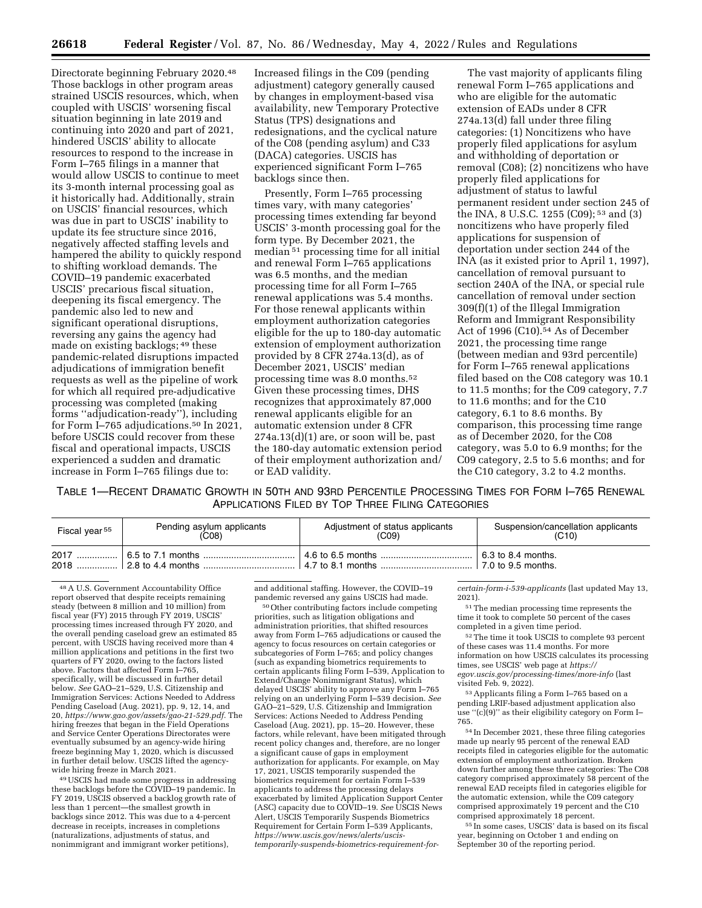Directorate beginning February 2020.48 Those backlogs in other program areas strained USCIS resources, which, when coupled with USCIS' worsening fiscal situation beginning in late 2019 and continuing into 2020 and part of 2021, hindered USCIS' ability to allocate resources to respond to the increase in Form I–765 filings in a manner that would allow USCIS to continue to meet its 3-month internal processing goal as it historically had. Additionally, strain on USCIS' financial resources, which was due in part to USCIS' inability to update its fee structure since 2016, negatively affected staffing levels and hampered the ability to quickly respond to shifting workload demands. The COVID–19 pandemic exacerbated USCIS' precarious fiscal situation, deepening its fiscal emergency. The pandemic also led to new and significant operational disruptions, reversing any gains the agency had made on existing backlogs; 49 these pandemic-related disruptions impacted adjudications of immigration benefit requests as well as the pipeline of work for which all required pre-adjudicative processing was completed (making forms ''adjudication-ready''), including for Form I–765 adjudications.50 In 2021, before USCIS could recover from these fiscal and operational impacts, USCIS experienced a sudden and dramatic increase in Form I–765 filings due to:

Increased filings in the C09 (pending adjustment) category generally caused by changes in employment-based visa availability, new Temporary Protective Status (TPS) designations and redesignations, and the cyclical nature of the C08 (pending asylum) and C33 (DACA) categories. USCIS has experienced significant Form I–765 backlogs since then.

Presently, Form I–765 processing times vary, with many categories' processing times extending far beyond USCIS' 3-month processing goal for the form type. By December 2021, the median 51 processing time for all initial and renewal Form I–765 applications was 6.5 months, and the median processing time for all Form I–765 renewal applications was 5.4 months. For those renewal applicants within employment authorization categories eligible for the up to 180-day automatic extension of employment authorization provided by 8 CFR 274a.13(d), as of December 2021, USCIS' median processing time was 8.0 months.52 Given these processing times, DHS recognizes that approximately 87,000 renewal applicants eligible for an automatic extension under 8 CFR  $274a.13(d)(1)$  are, or soon will be, past the 180-day automatic extension period of their employment authorization and/ or EAD validity.

The vast majority of applicants filing renewal Form I–765 applications and who are eligible for the automatic extension of EADs under 8 CFR 274a.13(d) fall under three filing categories: (1) Noncitizens who have properly filed applications for asylum and withholding of deportation or removal (C08); (2) noncitizens who have properly filed applications for adjustment of status to lawful permanent resident under section 245 of the INA, 8 U.S.C. 1255 (C09); 53 and (3) noncitizens who have properly filed applications for suspension of deportation under section 244 of the INA (as it existed prior to April 1, 1997), cancellation of removal pursuant to section 240A of the INA, or special rule cancellation of removal under section 309(f)(1) of the Illegal Immigration Reform and Immigrant Responsibility Act of 1996 (C10).<sup>54</sup> As of December 2021, the processing time range (between median and 93rd percentile) for Form I–765 renewal applications filed based on the C08 category was 10.1 to 11.5 months; for the C09 category, 7.7 to 11.6 months; and for the C10 category, 6.1 to 8.6 months. By comparison, this processing time range as of December 2020, for the C08 category, was 5.0 to 6.9 months; for the C09 category, 2.5 to 5.6 months; and for the C10 category, 3.2 to 4.2 months.

TABLE 1—RECENT DRAMATIC GROWTH IN 50TH AND 93RD PERCENTILE PROCESSING TIMES FOR FORM I–765 RENEWAL APPLICATIONS FILED BY TOP THREE FILING CATEGORIES

| Fiscal year <sup>55</sup> | Pending asylum applicants | Adjustment of status applicants | Suspension/cancellation applicants |
|---------------------------|---------------------------|---------------------------------|------------------------------------|
|                           | (C08)                     | (C09)                           | (C10)                              |
|                           |                           |                                 |                                    |

48A U.S. Government Accountability Office report observed that despite receipts remaining steady (between 8 million and 10 million) from fiscal year (FY) 2015 through FY 2019, USCIS' processing times increased through FY 2020, and the overall pending caseload grew an estimated 85 percent, with USCIS having received more than 4 million applications and petitions in the first two quarters of FY 2020, owing to the factors listed above. Factors that affected Form I–765, specifically, will be discussed in further detail below. *See* GAO–21–529, U.S. Citizenship and Immigration Services: Actions Needed to Address Pending Caseload (Aug. 2021), pp. 9, 12, 14, and 20, *[https://www.gao.gov/assets/gao-21-529.pdf.](https://www.gao.gov/assets/gao-21-529.pdf)* The hiring freezes that began in the Field Operations and Service Center Operations Directorates were eventually subsumed by an agency-wide hiring freeze beginning May 1, 2020, which is discussed in further detail below. USCIS lifted the agencywide hiring freeze in March 2021.

49USCIS had made some progress in addressing these backlogs before the COVID–19 pandemic. In FY 2019, USCIS observed a backlog growth rate of less than 1 percent—the smallest growth in backlogs since 2012. This was due to a 4-percent decrease in receipts, increases in completions (naturalizations, adjustments of status, and nonimmigrant and immigrant worker petitions),

and additional staffing. However, the COVID–19 pandemic reversed any gains USCIS had made.

50Other contributing factors include competing priorities, such as litigation obligations and administration priorities, that shifted resources away from Form I–765 adjudications or caused the agency to focus resources on certain categories or subcategories of Form I–765; and policy changes (such as expanding biometrics requirements to certain applicants filing Form I–539, Application to Extend/Change Nonimmigrant Status), which delayed USCIS' ability to approve any Form I–765 relying on an underlying Form I–539 decision. *See*  GAO–21–529, U.S. Citizenship and Immigration Services: Actions Needed to Address Pending Caseload (Aug. 2021), pp. 15–20. However, these factors, while relevant, have been mitigated through recent policy changes and, therefore, are no longer a significant cause of gaps in employment authorization for applicants. For example, on May 17, 2021, USCIS temporarily suspended the biometrics requirement for certain Form I–539 applicants to address the processing delays exacerbated by limited Application Support Center (ASC) capacity due to COVID–19. *See* USCIS News Alert, USCIS Temporarily Suspends Biometrics Requirement for Certain Form I–539 Applicants, *[https://www.uscis.gov/news/alerts/uscis](https://www.uscis.gov/news/alerts/uscis-temporarily-suspends-biometrics-requirement-for-certain-form-i-539-applicants)[temporarily-suspends-biometrics-requirement-for-](https://www.uscis.gov/news/alerts/uscis-temporarily-suspends-biometrics-requirement-for-certain-form-i-539-applicants)*

*[certain-form-i-539-applicants](https://www.uscis.gov/news/alerts/uscis-temporarily-suspends-biometrics-requirement-for-certain-form-i-539-applicants)* (last updated May 13, 2021).

51The median processing time represents the time it took to complete 50 percent of the cases completed in a given time period.

52The time it took USCIS to complete 93 percent of these cases was 11.4 months. For more information on how USCIS calculates its processing times, see USCIS' web page at *[https://](https://egov.uscis.gov/processing-times/more-info) [egov.uscis.gov/processing-times/more-info](https://egov.uscis.gov/processing-times/more-info)* (last visited Feb. 9, 2022).

53Applicants filing a Form I–765 based on a pending LRIF-based adjustment application also use ''(c)(9)'' as their eligibility category on Form I– 765.

54 In December 2021, these three filing categories made up nearly 95 percent of the renewal EAD receipts filed in categories eligible for the automatic extension of employment authorization. Broken down further among these three categories: The C08 category comprised approximately 58 percent of the renewal EAD receipts filed in categories eligible for the automatic extension, while the C09 category comprised approximately 19 percent and the C10 comprised approximately 18 percent.

55 In some cases, USCIS' data is based on its fiscal year, beginning on October 1 and ending on September 30 of the reporting period.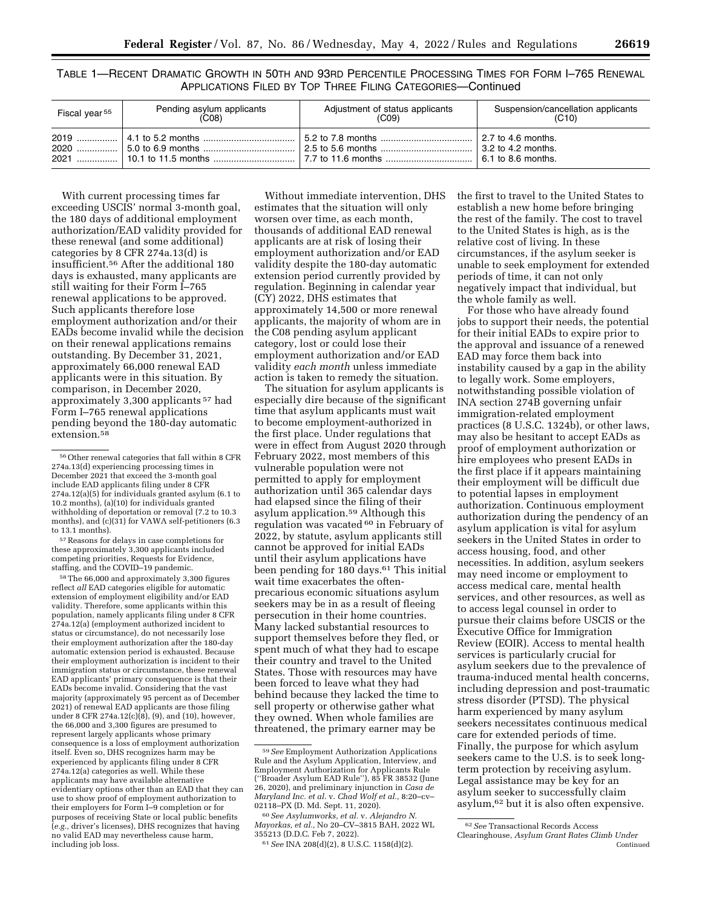TABLE 1—RECENT DRAMATIC GROWTH IN 50TH AND 93RD PERCENTILE PROCESSING TIMES FOR FORM I–765 RENEWAL APPLICATIONS FILED BY TOP THREE FILING CATEGORIES—Continued

| Fiscal year <sup>55</sup> | Pending asylum applicants<br>(C08) | Adjustment of status applicants<br>(C09) | Suspension/cancellation applicants<br>(C10) |
|---------------------------|------------------------------------|------------------------------------------|---------------------------------------------|
|                           |                                    |                                          |                                             |

With current processing times far exceeding USCIS' normal 3-month goal, the 180 days of additional employment authorization/EAD validity provided for these renewal (and some additional) categories by 8 CFR 274a.13(d) is insufficient.56 After the additional 180 days is exhausted, many applicants are still waiting for their Form I–765 renewal applications to be approved. Such applicants therefore lose employment authorization and/or their EADs become invalid while the decision on their renewal applications remains outstanding. By December 31, 2021, approximately 66,000 renewal EAD applicants were in this situation. By comparison, in December 2020, approximately 3,300 applicants 57 had Form I–765 renewal applications pending beyond the 180-day automatic extension.<sup>58</sup>

57Reasons for delays in case completions for these approximately 3,300 applicants included competing priorities, Requests for Evidence, staffing, and the COVID–19 pandemic.

58The 66,000 and approximately 3,300 figures reflect *all* EAD categories eligible for automatic extension of employment eligibility and/or EAD validity. Therefore, some applicants within this population, namely applicants filing under 8 CFR 274a.12(a) (employment authorized incident to status or circumstance), do not necessarily lose their employment authorization after the 180-day automatic extension period is exhausted. Because their employment authorization is incident to their immigration status or circumstance, these renewal EAD applicants' primary consequence is that their EADs become invalid. Considering that the vast majority (approximately 95 percent as of December 2021) of renewal EAD applicants are those filing under 8 CFR 274a.12(c)(8), (9), and (10), however, the 66,000 and 3,300 figures are presumed to represent largely applicants whose primary consequence is a loss of employment authorization itself. Even so, DHS recognizes harm may be experienced by applicants filing under 8 CFR 274a.12(a) categories as well. While these applicants may have available alternative evidentiary options other than an EAD that they can use to show proof of employment authorization to their employers for Form I–9 completion or for purposes of receiving State or local public benefits (*e.g.,* driver's licenses), DHS recognizes that having no valid EAD may nevertheless cause harm, including job loss.

Without immediate intervention, DHS estimates that the situation will only worsen over time, as each month, thousands of additional EAD renewal applicants are at risk of losing their employment authorization and/or EAD validity despite the 180-day automatic extension period currently provided by regulation. Beginning in calendar year (CY) 2022, DHS estimates that approximately 14,500 or more renewal applicants, the majority of whom are in the C08 pending asylum applicant category, lost or could lose their employment authorization and/or EAD validity *each month* unless immediate action is taken to remedy the situation.

The situation for asylum applicants is especially dire because of the significant time that asylum applicants must wait to become employment-authorized in the first place. Under regulations that were in effect from August 2020 through February 2022, most members of this vulnerable population were not permitted to apply for employment authorization until 365 calendar days had elapsed since the filing of their asylum application.59 Although this regulation was vacated 60 in February of 2022, by statute, asylum applicants still cannot be approved for initial EADs until their asylum applications have been pending for 180 days.61 This initial wait time exacerbates the oftenprecarious economic situations asylum seekers may be in as a result of fleeing persecution in their home countries. Many lacked substantial resources to support themselves before they fled, or spent much of what they had to escape their country and travel to the United States. Those with resources may have been forced to leave what they had behind because they lacked the time to sell property or otherwise gather what they owned. When whole families are threatened, the primary earner may be

60*See Asylumworks, et al.* v. *Alejandro N. Mayorkas, et al.,* No 20–CV–3815 BAH, 2022 WL 355213 (D.D.C. Feb 7, 2022).

the first to travel to the United States to establish a new home before bringing the rest of the family. The cost to travel to the United States is high, as is the relative cost of living. In these circumstances, if the asylum seeker is unable to seek employment for extended periods of time, it can not only negatively impact that individual, but the whole family as well.

For those who have already found jobs to support their needs, the potential for their initial EADs to expire prior to the approval and issuance of a renewed EAD may force them back into instability caused by a gap in the ability to legally work. Some employers, notwithstanding possible violation of INA section 274B governing unfair immigration-related employment practices (8 U.S.C. 1324b), or other laws, may also be hesitant to accept EADs as proof of employment authorization or hire employees who present EADs in the first place if it appears maintaining their employment will be difficult due to potential lapses in employment authorization. Continuous employment authorization during the pendency of an asylum application is vital for asylum seekers in the United States in order to access housing, food, and other necessities. In addition, asylum seekers may need income or employment to access medical care, mental health services, and other resources, as well as to access legal counsel in order to pursue their claims before USCIS or the Executive Office for Immigration Review (EOIR). Access to mental health services is particularly crucial for asylum seekers due to the prevalence of trauma-induced mental health concerns, including depression and post-traumatic stress disorder (PTSD). The physical harm experienced by many asylum seekers necessitates continuous medical care for extended periods of time. Finally, the purpose for which asylum seekers came to the U.S. is to seek longterm protection by receiving asylum. Legal assistance may be key for an asylum seeker to successfully claim asylum,62 but it is also often expensive.

<sup>56</sup>Other renewal categories that fall within 8 CFR 274a.13(d) experiencing processing times in December 2021 that exceed the 3-month goal include EAD applicants filing under 8 CFR 274a.12(a)(5) for individuals granted asylum (6.1 to 10.2 months), (a)(10) for individuals granted withholding of deportation or removal (7.2 to 10.3 months), and (c)(31) for VAWA self-petitioners (6.3 to 13.1 months).

<sup>59</sup>*See* Employment Authorization Applications Rule and the Asylum Application, Interview, and Employment Authorization for Applicants Rule (''Broader Asylum EAD Rule''), 85 FR 38532 (June 26, 2020), and preliminary injunction in *Casa de Maryland Inc. et al.* v. *Chad Wolf et al.,* 8:20–cv– 02118–PX (D. Md. Sept. 11, 2020).

<sup>61</sup>*See* INA 208(d)(2), 8 U.S.C. 1158(d)(2).

<sup>62</sup>*See* Transactional Records Access Clearinghouse, *Asylum Grant Rates Climb Under*  Continued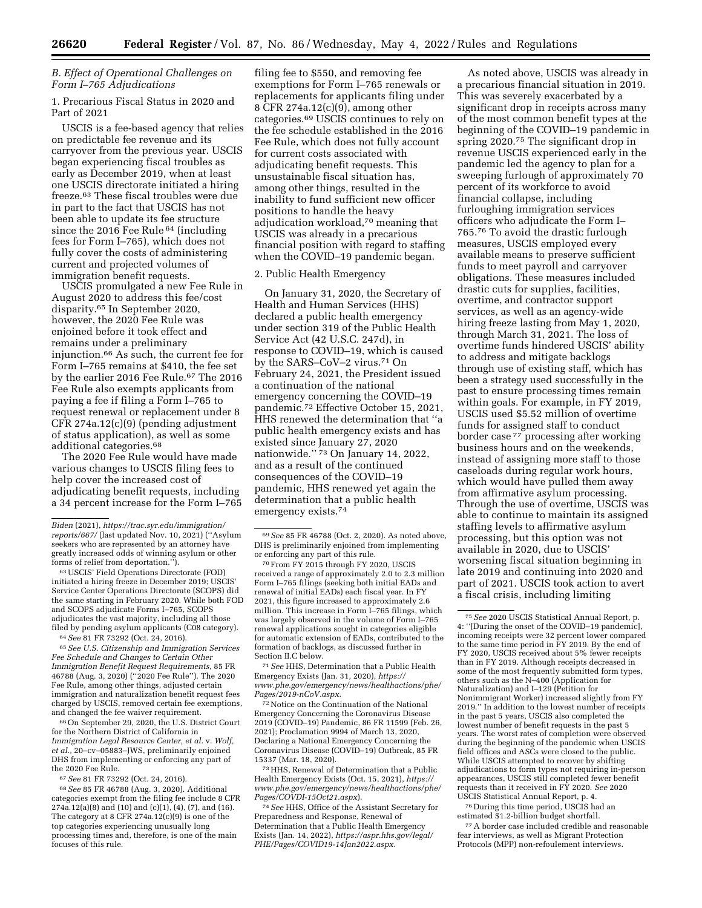# *B. Effect of Operational Challenges on Form I–765 Adjudications*

1. Precarious Fiscal Status in 2020 and Part of 2021

USCIS is a fee-based agency that relies on predictable fee revenue and its carryover from the previous year. USCIS began experiencing fiscal troubles as early as December 2019, when at least one USCIS directorate initiated a hiring freeze.63 These fiscal troubles were due in part to the fact that USCIS has not been able to update its fee structure since the 2016 Fee Rule <sup>64</sup> (including fees for Form I–765), which does not fully cover the costs of administering current and projected volumes of immigration benefit requests.

USCIS promulgated a new Fee Rule in August 2020 to address this fee/cost disparity.65 In September 2020, however, the 2020 Fee Rule was enjoined before it took effect and remains under a preliminary injunction.66 As such, the current fee for Form I–765 remains at \$410, the fee set by the earlier 2016 Fee Rule.67 The 2016 Fee Rule also exempts applicants from paying a fee if filing a Form I–765 to request renewal or replacement under 8 CFR 274a.12(c)(9) (pending adjustment of status application), as well as some additional categories.68

The 2020 Fee Rule would have made various changes to USCIS filing fees to help cover the increased cost of adjudicating benefit requests, including a 34 percent increase for the Form I–765

63USCIS' Field Operations Directorate (FOD) initiated a hiring freeze in December 2019; USCIS' Service Center Operations Directorate (SCOPS) did the same starting in February 2020. While both FOD and SCOPS adjudicate Forms I–765, SCOPS adjudicates the vast majority, including all those filed by pending asylum applicants (C08 category).

64*See* 81 FR 73292 (Oct. 24, 2016).

65*See U.S. Citizenship and Immigration Services Fee Schedule and Changes to Certain Other Immigration Benefit Request Requirements,* 85 FR 46788 (Aug. 3, 2020) (''2020 Fee Rule''). The 2020 Fee Rule, among other things, adjusted certain immigration and naturalization benefit request fees charged by USCIS, removed certain fee exemptions, and changed the fee waiver requirement.

66On September 29, 2020, the U.S. District Court for the Northern District of California in *Immigration Legal Resource Center, et al.* v. *Wolf, et al.,* 20–cv–05883–JWS, preliminarily enjoined DHS from implementing or enforcing any part of the 2020 Fee Rule.

67*See* 81 FR 73292 (Oct. 24, 2016).

68*See* 85 FR 46788 (Aug. 3, 2020). Additional categories exempt from the filing fee include 8 CFR 274a.12(a)(8) and (10) and (c)(1), (4), (7), and (16). The category at 8 CFR 274a.12(c)(9) is one of the top categories experiencing unusually long processing times and, therefore, is one of the main focuses of this rule.

filing fee to \$550, and removing fee exemptions for Form I–765 renewals or replacements for applicants filing under 8 CFR 274a.12(c)(9), among other categories.69 USCIS continues to rely on the fee schedule established in the 2016 Fee Rule, which does not fully account for current costs associated with adjudicating benefit requests. This unsustainable fiscal situation has, among other things, resulted in the inability to fund sufficient new officer positions to handle the heavy adjudication workload,70 meaning that USCIS was already in a precarious financial position with regard to staffing when the COVID–19 pandemic began.

#### 2. Public Health Emergency

On January 31, 2020, the Secretary of Health and Human Services (HHS) declared a public health emergency under section 319 of the Public Health Service Act (42 U.S.C. 247d), in response to COVID–19, which is caused by the SARS–CoV–2 virus.71 On February 24, 2021, the President issued a continuation of the national emergency concerning the COVID–19 pandemic.72 Effective October 15, 2021, HHS renewed the determination that ''a public health emergency exists and has existed since January 27, 2020 nationwide.'' 73 On January 14, 2022, and as a result of the continued consequences of the COVID–19 pandemic, HHS renewed yet again the determination that a public health emergency exists.74

70From FY 2015 through FY 2020, USCIS received a range of approximately 2.0 to 2.3 million Form I–765 filings (seeking both initial EADs and renewal of initial EADs) each fiscal year. In FY 2021, this figure increased to approximately 2.6 million. This increase in Form I–765 filings, which was largely observed in the volume of Form I–765 renewal applications sought in categories eligible for automatic extension of EADs, contributed to the formation of backlogs, as discussed further in Section II.C below.

71*See* HHS, Determination that a Public Health Emergency Exists (Jan. 31, 2020), *[https://](https://www.phe.gov/emergency/news/healthactions/phe/Pages/2019-nCoV.aspx) [www.phe.gov/emergency/news/healthactions/phe/](https://www.phe.gov/emergency/news/healthactions/phe/Pages/2019-nCoV.aspx)  [Pages/2019-nCoV.aspx.](https://www.phe.gov/emergency/news/healthactions/phe/Pages/2019-nCoV.aspx)* 

72Notice on the Continuation of the National Emergency Concerning the Coronavirus Disease 2019 (COVID–19) Pandemic, 86 FR 11599 (Feb. 26, 2021); Proclamation 9994 of March 13, 2020, Declaring a National Emergency Concerning the Coronavirus Disease (COVID–19) Outbreak, 85 FR 15337 (Mar. 18, 2020).

 $^{\rm 73}\rm{HHS},$  Renewal of Determination that a Public Health Emergency Exists (Oct. 15, 2021), *[https://](https://www.phe.gov/emergency/news/healthactions/phe/Pages/COVDI-15Oct21.aspx) [www.phe.gov/emergency/news/healthactions/phe/](https://www.phe.gov/emergency/news/healthactions/phe/Pages/COVDI-15Oct21.aspx)  [Pages/COVDI-15Oct21.aspx](https://www.phe.gov/emergency/news/healthactions/phe/Pages/COVDI-15Oct21.aspx)*).

74*See* HHS, Office of the Assistant Secretary for Preparedness and Response, Renewal of Determination that a Public Health Emergency Exists (Jan. 14, 2022), *[https://aspr.hhs.gov/legal/](https://aspr.hhs.gov/legal/PHE/Pages/COVID19-14Jan2022.aspx)  [PHE/Pages/COVID19-14Jan2022.aspx.](https://aspr.hhs.gov/legal/PHE/Pages/COVID19-14Jan2022.aspx)* 

As noted above, USCIS was already in a precarious financial situation in 2019. This was severely exacerbated by a significant drop in receipts across many of the most common benefit types at the beginning of the COVID–19 pandemic in spring 2020.75 The significant drop in revenue USCIS experienced early in the pandemic led the agency to plan for a sweeping furlough of approximately 70 percent of its workforce to avoid financial collapse, including furloughing immigration services officers who adjudicate the Form I– 765.76 To avoid the drastic furlough measures, USCIS employed every available means to preserve sufficient funds to meet payroll and carryover obligations. These measures included drastic cuts for supplies, facilities, overtime, and contractor support services, as well as an agency-wide hiring freeze lasting from May 1, 2020, through March 31, 2021. The loss of overtime funds hindered USCIS' ability to address and mitigate backlogs through use of existing staff, which has been a strategy used successfully in the past to ensure processing times remain within goals. For example, in FY 2019, USCIS used \$5.52 million of overtime funds for assigned staff to conduct border case 77 processing after working business hours and on the weekends, instead of assigning more staff to those caseloads during regular work hours, which would have pulled them away from affirmative asylum processing. Through the use of overtime, USCIS was able to continue to maintain its assigned staffing levels to affirmative asylum processing, but this option was not available in 2020, due to USCIS' worsening fiscal situation beginning in late 2019 and continuing into 2020 and part of 2021. USCIS took action to avert a fiscal crisis, including limiting

76 During this time period, USCIS had an estimated \$1.2-billion budget shortfall.

77A border case included credible and reasonable fear interviews, as well as Migrant Protection Protocols (MPP) non-refoulement interviews.

*Biden* (2021), *[https://trac.syr.edu/immigration/](https://trac.syr.edu/immigration/reports/667/)  [reports/667/](https://trac.syr.edu/immigration/reports/667/)* (last updated Nov. 10, 2021) (''Asylum seekers who are represented by an attorney have greatly increased odds of winning asylum or other forms of relief from deportation.'').

<sup>69</sup>*See* 85 FR 46788 (Oct. 2, 2020). As noted above, DHS is preliminarily enjoined from implementing or enforcing any part of this rule.

<sup>75</sup>*See* 2020 USCIS Statistical Annual Report, p. 4: ''[During the onset of the COVID–19 pandemic], incoming receipts were 32 percent lower compared to the same time period in FY 2019. By the end of FY 2020, USCIS received about 5% fewer receipts than in FY 2019. Although receipts decreased in some of the most frequently submitted form types, others such as the N–400 (Application for Naturalization) and I–129 (Petition for Nonimmigrant Worker) increased slightly from FY 2019.'' In addition to the lowest number of receipts in the past 5 years, USCIS also completed the lowest number of benefit requests in the past 5 years. The worst rates of completion were observed during the beginning of the pandemic when USCIS field offices and ASCs were closed to the public. While USCIS attempted to recover by shifting adjudications to form types not requiring in-person appearances, USCIS still completed fewer benefit requests than it received in FY 2020. *See* 2020 USCIS Statistical Annual Report, p. 4.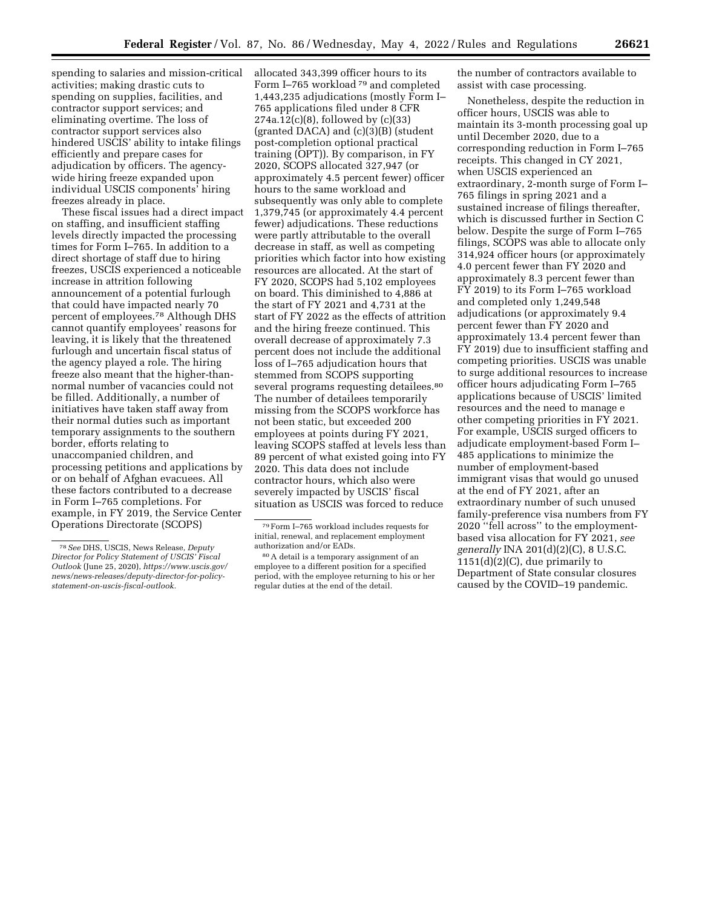spending to salaries and mission-critical activities; making drastic cuts to spending on supplies, facilities, and contractor support services; and eliminating overtime. The loss of contractor support services also hindered USCIS' ability to intake filings efficiently and prepare cases for adjudication by officers. The agencywide hiring freeze expanded upon individual USCIS components' hiring freezes already in place.

These fiscal issues had a direct impact on staffing, and insufficient staffing levels directly impacted the processing times for Form I–765. In addition to a direct shortage of staff due to hiring freezes, USCIS experienced a noticeable increase in attrition following announcement of a potential furlough that could have impacted nearly 70 percent of employees.78 Although DHS cannot quantify employees' reasons for leaving, it is likely that the threatened furlough and uncertain fiscal status of the agency played a role. The hiring freeze also meant that the higher-thannormal number of vacancies could not be filled. Additionally, a number of initiatives have taken staff away from their normal duties such as important temporary assignments to the southern border, efforts relating to unaccompanied children, and processing petitions and applications by or on behalf of Afghan evacuees. All these factors contributed to a decrease in Form I–765 completions. For example, in FY 2019, the Service Center Operations Directorate (SCOPS)

allocated 343,399 officer hours to its Form I–765 workload <sup>79</sup> and completed 1,443,235 adjudications (mostly Form I– 765 applications filed under 8 CFR 274a.12(c)(8), followed by (c)(33) (granted DACA) and (c)(3)(B) (student post-completion optional practical training (OPT)). By comparison, in FY 2020, SCOPS allocated 327,947 (or approximately 4.5 percent fewer) officer hours to the same workload and subsequently was only able to complete 1,379,745 (or approximately 4.4 percent fewer) adjudications. These reductions were partly attributable to the overall decrease in staff, as well as competing priorities which factor into how existing resources are allocated. At the start of FY 2020, SCOPS had 5,102 employees on board. This diminished to 4,886 at the start of FY 2021 and 4,731 at the start of FY 2022 as the effects of attrition and the hiring freeze continued. This overall decrease of approximately 7.3 percent does not include the additional loss of I–765 adjudication hours that stemmed from SCOPS supporting several programs requesting detailees.<sup>80</sup> The number of detailees temporarily missing from the SCOPS workforce has not been static, but exceeded 200 employees at points during FY 2021, leaving SCOPS staffed at levels less than 89 percent of what existed going into FY 2020. This data does not include contractor hours, which also were severely impacted by USCIS' fiscal situation as USCIS was forced to reduce

the number of contractors available to assist with case processing.

Nonetheless, despite the reduction in officer hours, USCIS was able to maintain its 3-month processing goal up until December 2020, due to a corresponding reduction in Form I–765 receipts. This changed in CY 2021, when USCIS experienced an extraordinary, 2-month surge of Form I– 765 filings in spring 2021 and a sustained increase of filings thereafter, which is discussed further in Section C below. Despite the surge of Form I–765 filings, SCOPS was able to allocate only 314,924 officer hours (or approximately 4.0 percent fewer than FY 2020 and approximately 8.3 percent fewer than FY 2019) to its Form I–765 workload and completed only 1,249,548 adjudications (or approximately 9.4 percent fewer than FY 2020 and approximately 13.4 percent fewer than FY 2019) due to insufficient staffing and competing priorities. USCIS was unable to surge additional resources to increase officer hours adjudicating Form I–765 applications because of USCIS' limited resources and the need to manage e other competing priorities in FY 2021. For example, USCIS surged officers to adjudicate employment-based Form I– 485 applications to minimize the number of employment-based immigrant visas that would go unused at the end of FY 2021, after an extraordinary number of such unused family-preference visa numbers from FY 2020 ''fell across'' to the employmentbased visa allocation for FY 2021, *see generally* INA 201(d)(2)(C), 8 U.S.C. 1151(d)(2)(C), due primarily to Department of State consular closures caused by the COVID–19 pandemic.

<sup>78</sup>*See* DHS, USCIS, News Release, *Deputy Director for Policy Statement of USCIS' Fiscal Outlook* (June 25, 2020), *[https://www.uscis.gov/](https://www.uscis.gov/news/news-releases/deputy-director-for-policy-statement-on-uscis-fiscal-outlook) [news/news-releases/deputy-director-for-policy](https://www.uscis.gov/news/news-releases/deputy-director-for-policy-statement-on-uscis-fiscal-outlook)[statement-on-uscis-fiscal-outlook.](https://www.uscis.gov/news/news-releases/deputy-director-for-policy-statement-on-uscis-fiscal-outlook)* 

<sup>79</sup>Form I–765 workload includes requests for initial, renewal, and replacement employment authorization and/or EADs.

<sup>80</sup>A detail is a temporary assignment of an employee to a different position for a specified period, with the employee returning to his or her regular duties at the end of the detail.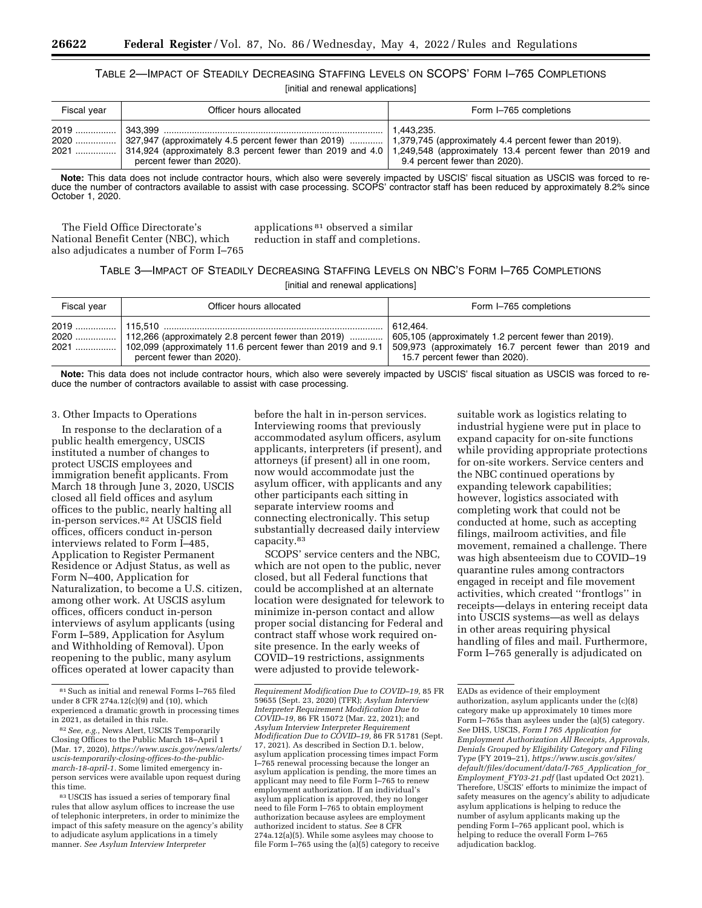# TABLE 2—IMPACT OF STEADILY DECREASING STAFFING LEVELS ON SCOPS' FORM I–765 COMPLETIONS

|  |  | [initial and renewal applications] |
|--|--|------------------------------------|
|--|--|------------------------------------|

| Fiscal year | Officer hours allocated                                                                                                                                                                                                                                                         | Form I-765 completions                      |
|-------------|---------------------------------------------------------------------------------------------------------------------------------------------------------------------------------------------------------------------------------------------------------------------------------|---------------------------------------------|
|             | .2020  327,947 (approximately 4.5 percent fewer than 2019)  1,379,745 (approximately 4.4 percent fewer than 2019).<br>2021  314,924 (approximately 8.3 percent fewer than 2019 and 4.0   1,249,548 (approximately 13.4 percent fewer than 2019 and<br>percent fewer than 2020). | 1.443.235.<br>9.4 percent fewer than 2020). |

**Note:** This data does not include contractor hours, which also were severely impacted by USCIS' fiscal situation as USCIS was forced to reduce the number of contractors available to assist with case processing. SCOPS' contractor staff has been reduced by approximately 8.2% since October 1, 2020.

The Field Office Directorate's National Benefit Center (NBC), which also adjudicates a number of Form I–765 applications 81 observed a similar reduction in staff and completions.

# TABLE 3—IMPACT OF STEADILY DECREASING STAFFING LEVELS ON NBC'S FORM I–765 COMPLETIONS

[initial and renewal applications]

| Fiscal year | Officer hours allocated                                                                                                                                          | Form I-765 completions                                                                                                                                         |
|-------------|------------------------------------------------------------------------------------------------------------------------------------------------------------------|----------------------------------------------------------------------------------------------------------------------------------------------------------------|
|             | 2020   112,266 (approximately 2.8 percent fewer than 2019)  <br>2021  102,099 (approximately 11.6 percent fewer than 2019 and 9.1  <br>percent fewer than 2020). | 1612.464.<br>605,105 (approximately 1.2 percent fewer than 2019).<br>509,973 (approximately 16.7 percent fewer than 2019 and<br>15.7 percent fewer than 2020). |

**Note:** This data does not include contractor hours, which also were severely impacted by USCIS' fiscal situation as USCIS was forced to reduce the number of contractors available to assist with case processing.

#### 3. Other Impacts to Operations

In response to the declaration of a public health emergency, USCIS instituted a number of changes to protect USCIS employees and immigration benefit applicants. From March 18 through June 3, 2020, USCIS closed all field offices and asylum offices to the public, nearly halting all in-person services.82 At USCIS field offices, officers conduct in-person interviews related to Form I–485, Application to Register Permanent Residence or Adjust Status, as well as Form N–400, Application for Naturalization, to become a U.S. citizen, among other work. At USCIS asylum offices, officers conduct in-person interviews of asylum applicants (using Form I–589, Application for Asylum and Withholding of Removal). Upon reopening to the public, many asylum offices operated at lower capacity than

before the halt in in-person services. Interviewing rooms that previously accommodated asylum officers, asylum applicants, interpreters (if present), and attorneys (if present) all in one room, now would accommodate just the asylum officer, with applicants and any other participants each sitting in separate interview rooms and connecting electronically. This setup substantially decreased daily interview capacity.83

SCOPS' service centers and the NBC, which are not open to the public, never closed, but all Federal functions that could be accomplished at an alternate location were designated for telework to minimize in-person contact and allow proper social distancing for Federal and contract staff whose work required onsite presence. In the early weeks of COVID–19 restrictions, assignments were adjusted to provide telework-

suitable work as logistics relating to industrial hygiene were put in place to expand capacity for on-site functions while providing appropriate protections for on-site workers. Service centers and the NBC continued operations by expanding telework capabilities; however, logistics associated with completing work that could not be conducted at home, such as accepting filings, mailroom activities, and file movement, remained a challenge. There was high absenteeism due to COVID–19 quarantine rules among contractors engaged in receipt and file movement activities, which created ''frontlogs'' in receipts—delays in entering receipt data into USCIS systems—as well as delays in other areas requiring physical handling of files and mail. Furthermore, Form I–765 generally is adjudicated on

<sup>81</sup>Such as initial and renewal Forms I–765 filed under 8 CFR 274a.12(c)(9) and (10), which experienced a dramatic growth in processing times in 2021, as detailed in this rule.

<sup>82</sup>*See, e.g.,* News Alert, USCIS Temporarily Closing Offices to the Public March 18–April 1 (Mar. 17, 2020), *[https://www.uscis.gov/news/alerts/](https://www.uscis.gov/news/alerts/uscis-temporarily-closing-offices-to-the-public-march-18-april-1) [uscis-temporarily-closing-offices-to-the-public](https://www.uscis.gov/news/alerts/uscis-temporarily-closing-offices-to-the-public-march-18-april-1)[march-18-april-1.](https://www.uscis.gov/news/alerts/uscis-temporarily-closing-offices-to-the-public-march-18-april-1)* Some limited emergency inperson services were available upon request during this time.

<sup>83</sup>USCIS has issued a series of temporary final rules that allow asylum offices to increase the use of telephonic interpreters, in order to minimize the impact of this safety measure on the agency's ability to adjudicate asylum applications in a timely manner. *See Asylum Interview Interpreter* 

*Requirement Modification Due to COVID–19,* 85 FR 59655 (Sept. 23, 2020) (TFR); *Asylum Interview Interpreter Requirement Modification Due to COVID–19,* 86 FR 15072 (Mar. 22, 2021); and *Asylum Interview Interpreter Requirement Modification Due to COVID–19,* 86 FR 51781 (Sept. 17, 2021). As described in Section D.1. below, asylum application processing times impact Form I–765 renewal processing because the longer an asylum application is pending, the more times an applicant may need to file Form I–765 to renew employment authorization. If an individual's asylum application is approved, they no longer need to file Form I–765 to obtain employment authorization because asylees are employment authorized incident to status. *See* 8 CFR 274a.12(a)(5). While some asylees may choose to file Form I-765 using the  $(a)(5)$  category to receive

EADs as evidence of their employment authorization, asylum applicants under the (c)(8) category make up approximately 10 times more Form I–765s than asylees under the (a)(5) category. *See* DHS, USCIS, *Form I 765 Application for Employment Authorization All Receipts, Approvals, Denials Grouped by Eligibility Category and Filing Type* (FY 2019–21), *[https://www.uscis.gov/sites/](https://www.uscis.gov/sites/default/files/document/data/I-765_Application_for_Employment_FY03-21.pdf)  [default/files/document/data/I-765](https://www.uscis.gov/sites/default/files/document/data/I-765_Application_for_Employment_FY03-21.pdf)*\_*Application*\_*for*\_ *[Employment](https://www.uscis.gov/sites/default/files/document/data/I-765_Application_for_Employment_FY03-21.pdf)*\_*FY03-21.pdf* (last updated Oct 2021). Therefore, USCIS' efforts to minimize the impact of safety measures on the agency's ability to adjudicate asylum applications is helping to reduce the number of asylum applicants making up the pending Form I–765 applicant pool, which is helping to reduce the overall Form I–765 adjudication backlog.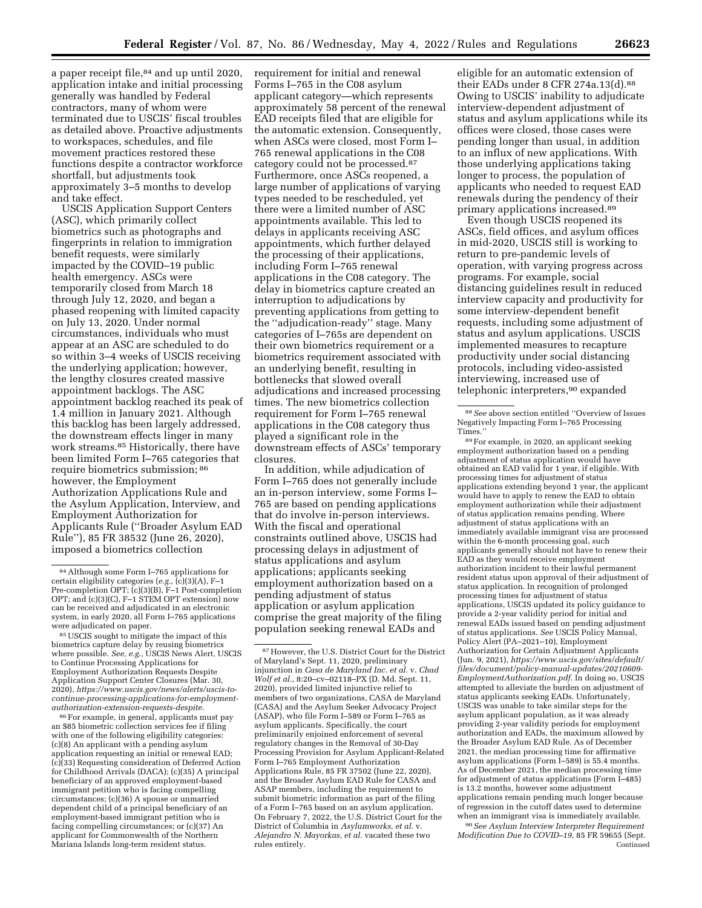a paper receipt file,<sup>84</sup> and up until 2020, application intake and initial processing generally was handled by Federal contractors, many of whom were terminated due to USCIS' fiscal troubles as detailed above. Proactive adjustments to workspaces, schedules, and file movement practices restored these functions despite a contractor workforce shortfall, but adjustments took approximately 3–5 months to develop and take effect.

USCIS Application Support Centers (ASC), which primarily collect biometrics such as photographs and fingerprints in relation to immigration benefit requests, were similarly impacted by the COVID–19 public health emergency. ASCs were temporarily closed from March 18 through July 12, 2020, and began a phased reopening with limited capacity on July 13, 2020. Under normal circumstances, individuals who must appear at an ASC are scheduled to do so within 3–4 weeks of USCIS receiving the underlying application; however, the lengthy closures created massive appointment backlogs. The ASC appointment backlog reached its peak of 1.4 million in January 2021. Although this backlog has been largely addressed, the downstream effects linger in many work streams.85 Historically, there have been limited Form I–765 categories that require biometrics submission; 86 however, the Employment Authorization Applications Rule and the Asylum Application, Interview, and Employment Authorization for Applicants Rule (''Broader Asylum EAD Rule''), 85 FR 38532 (June 26, 2020), imposed a biometrics collection

<sup>85</sup> USCIS sought to mitigate the impact of this biometrics capture delay by reusing biometrics where possible. *See, e.g.,* USCIS News Alert, USCIS to Continue Processing Applications for Employment Authorization Requests Despite Application Support Center Closures (Mar. 30, 2020), *[https://www.uscis.gov/news/alerts/uscis-to](https://www.uscis.gov/news/alerts/uscis-to-continue-processing-applications-for-employment-authorization-extension-requests-despite)[continue-processing-applications-for-employment](https://www.uscis.gov/news/alerts/uscis-to-continue-processing-applications-for-employment-authorization-extension-requests-despite)[authorization-extension-requests-despite](https://www.uscis.gov/news/alerts/uscis-to-continue-processing-applications-for-employment-authorization-extension-requests-despite).* 

86For example, in general, applicants must pay an \$85 biometric collection services fee if filing with one of the following eligibility categories: (c)(8) An applicant with a pending asylum application requesting an initial or renewal EAD; (c)(33) Requesting consideration of Deferred Action for Childhood Arrivals (DACA); (c)(35) A principal beneficiary of an approved employment-based immigrant petition who is facing compelling circumstances; (c)(36) A spouse or unmarried dependent child of a principal beneficiary of an employment-based immigrant petition who is facing compelling circumstances; or (c)(37) An applicant for Commonwealth of the Northern Mariana Islands long-term resident status.

requirement for initial and renewal Forms I–765 in the C08 asylum applicant category—which represents approximately 58 percent of the renewal EAD receipts filed that are eligible for the automatic extension. Consequently, when ASCs were closed, most Form I– 765 renewal applications in the C08 category could not be processed.87 Furthermore, once ASCs reopened, a large number of applications of varying types needed to be rescheduled, yet there were a limited number of ASC appointments available. This led to delays in applicants receiving ASC appointments, which further delayed the processing of their applications, including Form I–765 renewal applications in the C08 category. The delay in biometrics capture created an interruption to adjudications by preventing applications from getting to the ''adjudication-ready'' stage. Many categories of I–765s are dependent on their own biometrics requirement or a biometrics requirement associated with an underlying benefit, resulting in bottlenecks that slowed overall adjudications and increased processing times. The new biometrics collection requirement for Form I–765 renewal applications in the C08 category thus played a significant role in the downstream effects of ASCs' temporary closures.

In addition, while adjudication of Form I–765 does not generally include an in-person interview, some Forms I– 765 are based on pending applications that do involve in-person interviews. With the fiscal and operational constraints outlined above, USCIS had processing delays in adjustment of status applications and asylum applications; applicants seeking employment authorization based on a pending adjustment of status application or asylum application comprise the great majority of the filing population seeking renewal EADs and

eligible for an automatic extension of their EADs under 8 CFR 274a.13(d).88 Owing to USCIS' inability to adjudicate interview-dependent adjustment of status and asylum applications while its offices were closed, those cases were pending longer than usual, in addition to an influx of new applications. With those underlying applications taking longer to process, the population of applicants who needed to request EAD renewals during the pendency of their primary applications increased.89

Even though USCIS reopened its ASCs, field offices, and asylum offices in mid-2020, USCIS still is working to return to pre-pandemic levels of operation, with varying progress across programs. For example, social distancing guidelines result in reduced interview capacity and productivity for some interview-dependent benefit requests, including some adjustment of status and asylum applications. USCIS implemented measures to recapture productivity under social distancing protocols, including video-assisted interviewing, increased use of telephonic interpreters,<sup>90</sup> expanded

89For example, in 2020, an applicant seeking employment authorization based on a pending adjustment of status application would have obtained an EAD valid for 1 year, if eligible. With processing times for adjustment of status applications extending beyond 1 year, the applicant would have to apply to renew the EAD to obtain employment authorization while their adjustment of status application remains pending. Where adjustment of status applications with an immediately available immigrant visa are processed within the 6-month processing goal, such applicants generally should not have to renew their EAD as they would receive employment authorization incident to their lawful permanent resident status upon approval of their adjustment of status application. In recognition of prolonged processing times for adjustment of status applications, USCIS updated its policy guidance to provide a 2-year validity period for initial and renewal EADs issued based on pending adjustment of status applications. *See* USCIS Policy Manual, Policy Alert (PA–2021–10), Employment Authorization for Certain Adjustment Applicants (Jun. 9, 2021), *[https://www.uscis.gov/sites/default/](https://www.uscis.gov/sites/default/files/document/policy-manual-updates/20210609-EmploymentAuthorization.pdf)  [files/document/policy-manual-updates/20210609-](https://www.uscis.gov/sites/default/files/document/policy-manual-updates/20210609-EmploymentAuthorization.pdf) [EmploymentAuthorization.pdf.](https://www.uscis.gov/sites/default/files/document/policy-manual-updates/20210609-EmploymentAuthorization.pdf)* In doing so, USCIS attempted to alleviate the burden on adjustment of status applicants seeking EADs. Unfortunately, USCIS was unable to take similar steps for the asylum applicant population, as it was already providing 2-year validity periods for employment authorization and EADs, the maximum allowed by the Broader Asylum EAD Rule. As of December 2021, the median processing time for affirmative asylum applications (Form I–589) is 55.4 months. As of December 2021, the median processing time for adjustment of status applications (Form I–485) is 13.2 months, however some adjustment applications remain pending much longer because of regression in the cutoff dates used to determine when an immigrant visa is immediately available.

90*See Asylum Interview Interpreter Requirement Modification Due to COVID–19,* 85 FR 59655 (Sept. Continued

<sup>84</sup>Although some Form I–765 applications for certain eligibility categories (*e.g.,* (c)(3)(A), F–1 Pre-completion OPT; (c)(3)(B), F–1 Post-completion OPT; and (c)(3)(C), F–1 STEM OPT extension) now can be received and adjudicated in an electronic system, in early 2020, all Form I–765 applications

<sup>87</sup>However, the U.S. District Court for the District of Maryland's Sept. 11, 2020, preliminary injunction in *Casa de Maryland Inc. et al.* v. *Chad Wolf et al.,* 8:20–cv–02118–PX (D. Md. Sept. 11, 2020), provided limited injunctive relief to members of two organizations, CASA de Maryland (CASA) and the Asylum Seeker Advocacy Project (ASAP), who file Form I–589 or Form I–765 as asylum applicants. Specifically, the court preliminarily enjoined enforcement of several regulatory changes in the Removal of 30-Day Processing Provision for Asylum Applicant-Related Form I–765 Employment Authorization Applications Rule, 85 FR 37502 (June 22, 2020), and the Broader Asylum EAD Rule for CASA and ASAP members, including the requirement to submit biometric information as part of the filing of a Form I–765 based on an asylum application. On February 7, 2022, the U.S. District Court for the District of Columbia in *Asylumworks, et al.* v. *Alejandro N. Mayorkas, et al.* vacated these two rules entirely.

<sup>88</sup>*See* above section entitled ''Overview of Issues Negatively Impacting Form I–765 Processing Times.''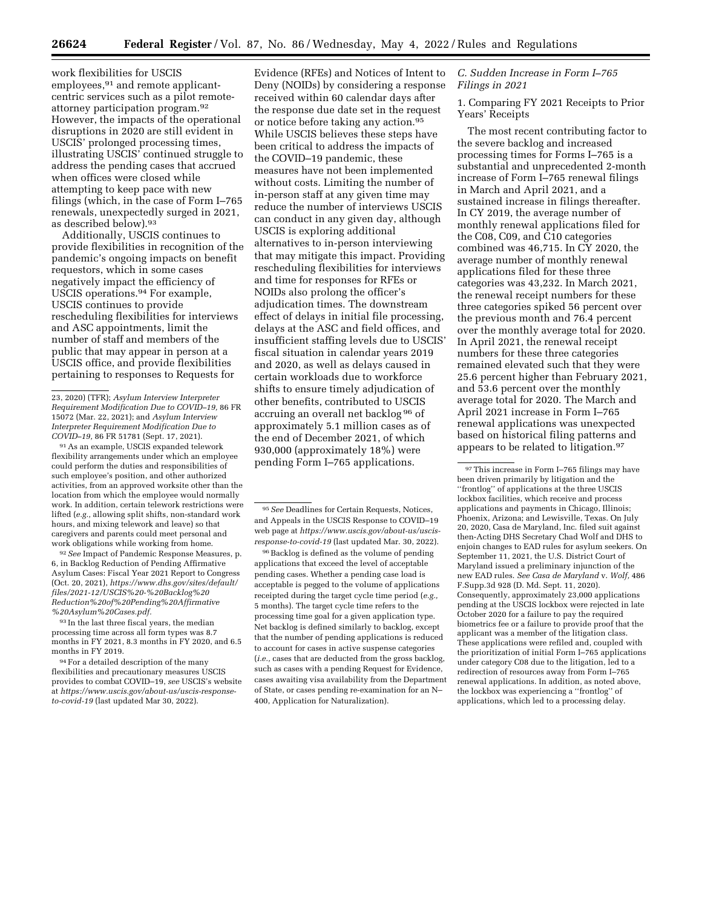work flexibilities for USCIS employees, <sup>91</sup> and remote applicantcentric services such as a pilot remoteattorney participation program.92 However, the impacts of the operational disruptions in 2020 are still evident in USCIS' prolonged processing times, illustrating USCIS' continued struggle to address the pending cases that accrued when offices were closed while attempting to keep pace with new filings (which, in the case of Form I–765 renewals, unexpectedly surged in 2021, as described below).93

Additionally, USCIS continues to provide flexibilities in recognition of the pandemic's ongoing impacts on benefit requestors, which in some cases negatively impact the efficiency of USCIS operations.94 For example, USCIS continues to provide rescheduling flexibilities for interviews and ASC appointments, limit the number of staff and members of the public that may appear in person at a USCIS office, and provide flexibilities pertaining to responses to Requests for

91As an example, USCIS expanded telework flexibility arrangements under which an employee could perform the duties and responsibilities of such employee's position, and other authorized activities, from an approved worksite other than the location from which the employee would normally work. In addition, certain telework restrictions were lifted (*e.g.,* allowing split shifts, non-standard work hours, and mixing telework and leave) so that caregivers and parents could meet personal and work obligations while working from home.

92*See* Impact of Pandemic Response Measures, p. 6, in Backlog Reduction of Pending Affirmative Asylum Cases: Fiscal Year 2021 Report to Congress (Oct. 20, 2021), *[https://www.dhs.gov/sites/default/](https://www.dhs.gov/sites/default/files/2021-12/USCIS%20-%20Backlog%20Reduction%20of%20Pending%20Affirmative%20Asylum%20Cases.pdf) [files/2021-12/USCIS%20-%20Backlog%20](https://www.dhs.gov/sites/default/files/2021-12/USCIS%20-%20Backlog%20Reduction%20of%20Pending%20Affirmative%20Asylum%20Cases.pdf) [Reduction%20of%20Pending%20Affirmative](https://www.dhs.gov/sites/default/files/2021-12/USCIS%20-%20Backlog%20Reduction%20of%20Pending%20Affirmative%20Asylum%20Cases.pdf) [%20Asylum%20Cases.pdf.](https://www.dhs.gov/sites/default/files/2021-12/USCIS%20-%20Backlog%20Reduction%20of%20Pending%20Affirmative%20Asylum%20Cases.pdf)* 

93 In the last three fiscal years, the median processing time across all form types was 8.7 months in FY 2021, 8.3 months in FY 2020, and 6.5 months in FY 2019.

94For a detailed description of the many flexibilities and precautionary measures USCIS provides to combat COVID–19, *see* USCIS's website at *[https://www.uscis.gov/about-us/uscis-response](https://www.uscis.gov/about-us/uscis-response-to-covid-19)[to-covid-19](https://www.uscis.gov/about-us/uscis-response-to-covid-19)* (last updated Mar 30, 2022).

Evidence (RFEs) and Notices of Intent to Deny (NOIDs) by considering a response received within 60 calendar days after the response due date set in the request or notice before taking any action.95 While USCIS believes these steps have been critical to address the impacts of the COVID–19 pandemic, these measures have not been implemented without costs. Limiting the number of in-person staff at any given time may reduce the number of interviews USCIS can conduct in any given day, although USCIS is exploring additional alternatives to in-person interviewing that may mitigate this impact. Providing rescheduling flexibilities for interviews and time for responses for RFEs or NOIDs also prolong the officer's adjudication times. The downstream effect of delays in initial file processing, delays at the ASC and field offices, and insufficient staffing levels due to USCIS' fiscal situation in calendar years 2019 and 2020, as well as delays caused in certain workloads due to workforce shifts to ensure timely adjudication of other benefits, contributed to USCIS accruing an overall net backlog 96 of approximately 5.1 million cases as of the end of December 2021, of which 930,000 (approximately 18%) were pending Form I–765 applications.

96Backlog is defined as the volume of pending applications that exceed the level of acceptable pending cases. Whether a pending case load is acceptable is pegged to the volume of applications receipted during the target cycle time period (*e.g.,*  5 months). The target cycle time refers to the processing time goal for a given application type. Net backlog is defined similarly to backlog, except that the number of pending applications is reduced to account for cases in active suspense categories (*i.e.,* cases that are deducted from the gross backlog, such as cases with a pending Request for Evidence, cases awaiting visa availability from the Department of State, or cases pending re-examination for an N– 400, Application for Naturalization).

# *C. Sudden Increase in Form I–765 Filings in 2021*

1. Comparing FY 2021 Receipts to Prior Years' Receipts

The most recent contributing factor to the severe backlog and increased processing times for Forms I–765 is a substantial and unprecedented 2-month increase of Form I–765 renewal filings in March and April 2021, and a sustained increase in filings thereafter. In CY 2019, the average number of monthly renewal applications filed for the C08, C09, and C10 categories combined was 46,715. In CY 2020, the average number of monthly renewal applications filed for these three categories was 43,232. In March 2021, the renewal receipt numbers for these three categories spiked 56 percent over the previous month and 76.4 percent over the monthly average total for 2020. In April 2021, the renewal receipt numbers for these three categories remained elevated such that they were 25.6 percent higher than February 2021, and 53.6 percent over the monthly average total for 2020. The March and April 2021 increase in Form I–765 renewal applications was unexpected based on historical filing patterns and appears to be related to litigation.97

<sup>23, 2020) (</sup>TFR); *Asylum Interview Interpreter Requirement Modification Due to COVID–19,* 86 FR 15072 (Mar. 22, 2021); and *Asylum Interview Interpreter Requirement Modification Due to COVID–19,* 86 FR 51781 (Sept. 17, 2021).

<sup>95</sup>*See* Deadlines for Certain Requests, Notices, and Appeals in the USCIS Response to COVID–19 web page at *[https://www.uscis.gov/about-us/uscis](https://www.uscis.gov/about-us/uscis-response-to-covid-19)[response-to-covid-19](https://www.uscis.gov/about-us/uscis-response-to-covid-19)* (last updated Mar. 30, 2022).

<sup>97</sup>This increase in Form I–765 filings may have been driven primarily by litigation and the ''frontlog'' of applications at the three USCIS lockbox facilities, which receive and process applications and payments in Chicago, Illinois; Phoenix, Arizona; and Lewisville, Texas. On July 20, 2020, Casa de Maryland, Inc. filed suit against then-Acting DHS Secretary Chad Wolf and DHS to enjoin changes to EAD rules for asylum seekers. On September 11, 2021, the U.S. District Court of Maryland issued a preliminary injunction of the new EAD rules. *See Casa de Maryland* v. *Wolf,* 486 F.Supp.3d 928 (D. Md. Sept. 11, 2020). Consequently, approximately 23,000 applications pending at the USCIS lockbox were rejected in late October 2020 for a failure to pay the required biometrics fee or a failure to provide proof that the applicant was a member of the litigation class. These applications were refiled and, coupled with the prioritization of initial Form I–765 applications under category C08 due to the litigation, led to a redirection of resources away from Form I–765 renewal applications. In addition, as noted above, the lockbox was experiencing a ''frontlog'' of applications, which led to a processing delay.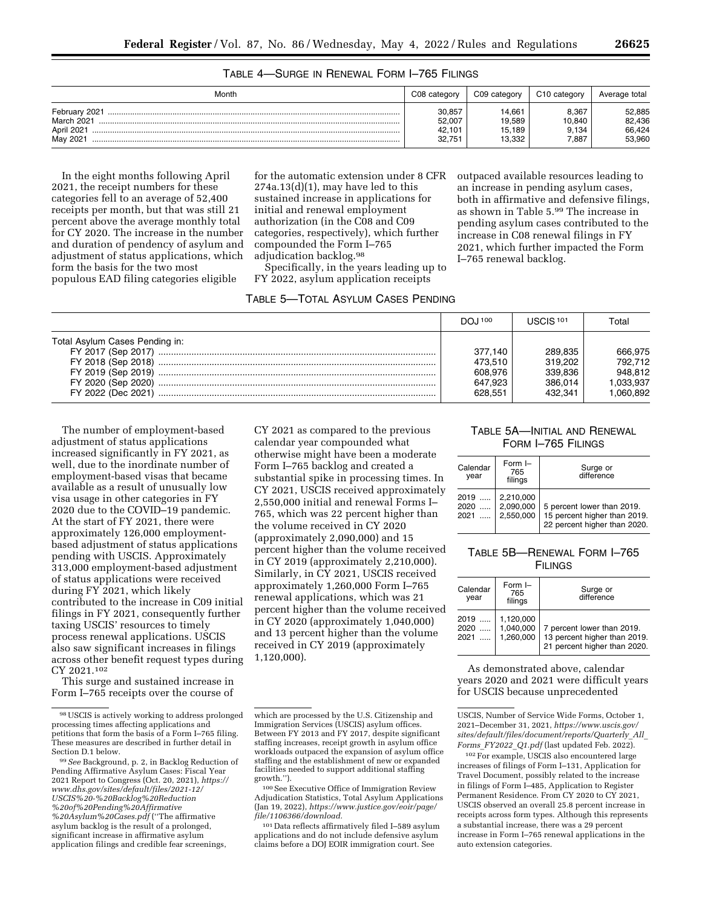TABLE 4—SURGE IN RENEWAL FORM I–765 FILINGS

| Month                                                 | C08 category                         | C09 category                         | C <sub>10</sub> category          | Average total                        |
|-------------------------------------------------------|--------------------------------------|--------------------------------------|-----------------------------------|--------------------------------------|
| February 2021<br>March 2021<br>April 2021<br>May 2021 | 30.857<br>52.007<br>42.101<br>32.751 | 14.661<br>19.589<br>15.189<br>13.332 | 8.367<br>10.840<br>9.134<br>7.887 | 52,885<br>82,436<br>66,424<br>53.960 |

In the eight months following April 2021, the receipt numbers for these categories fell to an average of 52,400 receipts per month, but that was still 21 percent above the average monthly total for CY 2020. The increase in the number and duration of pendency of asylum and adjustment of status applications, which form the basis for the two most populous EAD filing categories eligible

for the automatic extension under 8 CFR  $274a.13(d)(1)$ , may have led to this sustained increase in applications for initial and renewal employment authorization (in the C08 and C09 categories, respectively), which further compounded the Form I–765 adjudication backlog.98

Specifically, in the years leading up to FY 2022, asylum application receipts

#### TABLE 5—TOTAL ASYLUM CASES PENDING

outpaced available resources leading to an increase in pending asylum cases, both in affirmative and defensive filings, as shown in Table 5.99 The increase in pending asylum cases contributed to the increase in C08 renewal filings in FY 2021, which further impacted the Form I–765 renewal backlog.

|                                | DOJ 100 | LISCIS <sup>101</sup> | Total     |
|--------------------------------|---------|-----------------------|-----------|
| Total Asylum Cases Pending in: |         |                       |           |
| FY 2017 (Sep 2017)             | 377.140 | 289.835               | 666.975   |
| FY 2018 (Sep 2018)             | 473.510 | 319.202               | 792.712   |
| FY 2019 (Sep 2019)             | 608.976 | 339.836               | 948.812   |
| FY 2020 (Sep 2020)             | 647.923 | 386.014               | 1.033.937 |
| FY 2022 (Dec 2021)             | 628.551 | 432.341               | .060.892  |

The number of employment-based adjustment of status applications increased significantly in FY 2021, as well, due to the inordinate number of employment-based visas that became available as a result of unusually low visa usage in other categories in FY 2020 due to the COVID–19 pandemic. At the start of FY 2021, there were approximately 126,000 employmentbased adjustment of status applications pending with USCIS. Approximately 313,000 employment-based adjustment of status applications were received during FY 2021, which likely contributed to the increase in C09 initial filings in FY 2021, consequently further taxing USCIS' resources to timely process renewal applications. USCIS also saw significant increases in filings across other benefit request types during CY 2021.102

This surge and sustained increase in Form I–765 receipts over the course of

CY 2021 as compared to the previous calendar year compounded what otherwise might have been a moderate Form I–765 backlog and created a substantial spike in processing times. In CY 2021, USCIS received approximately 2,550,000 initial and renewal Forms I– 765, which was 22 percent higher than the volume received in CY 2020 (approximately 2,090,000) and 15 percent higher than the volume received in CY 2019 (approximately 2,210,000). Similarly, in CY 2021, USCIS received approximately 1,260,000 Form I–765 renewal applications, which was 21 percent higher than the volume received in CY 2020 (approximately 1,040,000) and 13 percent higher than the volume received in CY 2019 (approximately 1,120,000).

100See Executive Office of Immigration Review Adjudication Statistics, Total Asylum Applications (Jan 19, 2022), *[https://www.justice.gov/eoir/page/](https://www.justice.gov/eoir/page/file/1106366/download)  [file/1106366/download.](https://www.justice.gov/eoir/page/file/1106366/download)* 

101 Data reflects affirmatively filed I–589 asylum applications and do not include defensive asylum claims before a DOJ EOIR immigration court. See

# TABLE 5A—INITIAL AND RENEWAL FORM I–765 FILINGS

| Calendar<br>year         | Form $I -$<br>765<br>filings        | Surge or<br>difference                                                                     |
|--------------------------|-------------------------------------|--------------------------------------------------------------------------------------------|
| 2019<br>2020    <br>2021 | 2,210,000<br>2,090,000<br>2,550,000 | 5 percent lower than 2019.<br>15 percent higher than 2019.<br>22 percent higher than 2020. |

# TABLE 5B—RENEWAL FORM I–765 **FILINGS**

| Calendar<br>year | Form $I -$<br>765<br>filings | Surge or<br>difference       |
|------------------|------------------------------|------------------------------|
| 2019             | 1,120,000                    | 7 percent lower than 2019.   |
| 2020             | 1,040,000                    | 13 percent higher than 2019. |
| 2021             | 1.260.000                    | 21 percent higher than 2020. |

As demonstrated above, calendar years 2020 and 2021 were difficult years for USCIS because unprecedented

USCIS, Number of Service Wide Forms, October 1, 2021–December 31, 2021, *[https://www.uscis.gov/](https://www.uscis.gov/sites/default/files/document/reports/Quarterly_All_Forms_FY2022_Q1.pdf)  [sites/default/files/document/reports/Quarterly](https://www.uscis.gov/sites/default/files/document/reports/Quarterly_All_Forms_FY2022_Q1.pdf)*\_*All*\_ *Forms*\_*[FY2022](https://www.uscis.gov/sites/default/files/document/reports/Quarterly_All_Forms_FY2022_Q1.pdf)*\_*Q1.pdf* (last updated Feb. 2022).

102For example, USCIS also encountered large increases of filings of Form I–131, Application for Travel Document, possibly related to the increase in filings of Form I–485, Application to Register Permanent Residence. From CY 2020 to CY 2021, USCIS observed an overall 25.8 percent increase in receipts across form types. Although this represents a substantial increase, there was a 29 percent increase in Form I–765 renewal applications in the auto extension categories.

<sup>98</sup>USCIS is actively working to address prolonged processing times affecting applications and petitions that form the basis of a Form I–765 filing. These measures are described in further detail in Section D.1 below.

<sup>99</sup>*See* Background, p. 2, in Backlog Reduction of Pending Affirmative Asylum Cases: Fiscal Year 2021 Report to Congress (Oct. 20, 2021), *[https://](https://www.dhs.gov/sites/default/files/2021-12/USCIS%20-%20Backlog%20Reduction%20of%20Pending%20Affirmative%20Asylum%20Cases.pdf) [www.dhs.gov/sites/default/files/2021-12/](https://www.dhs.gov/sites/default/files/2021-12/USCIS%20-%20Backlog%20Reduction%20of%20Pending%20Affirmative%20Asylum%20Cases.pdf) [USCIS%20-%20Backlog%20Reduction](https://www.dhs.gov/sites/default/files/2021-12/USCIS%20-%20Backlog%20Reduction%20of%20Pending%20Affirmative%20Asylum%20Cases.pdf) [%20of%20Pending%20Affirmative](https://www.dhs.gov/sites/default/files/2021-12/USCIS%20-%20Backlog%20Reduction%20of%20Pending%20Affirmative%20Asylum%20Cases.pdf) [%20Asylum%20Cases.pdf](https://www.dhs.gov/sites/default/files/2021-12/USCIS%20-%20Backlog%20Reduction%20of%20Pending%20Affirmative%20Asylum%20Cases.pdf)* (''The affirmative asylum backlog is the result of a prolonged, significant increase in affirmative asylum application filings and credible fear screenings,

which are processed by the U.S. Citizenship and Immigration Services (USCIS) asylum offices. Between FY 2013 and FY 2017, despite significant staffing increases, receipt growth in asylum office workloads outpaced the expansion of asylum office staffing and the establishment of new or expanded facilities needed to support additional staffing growth.'').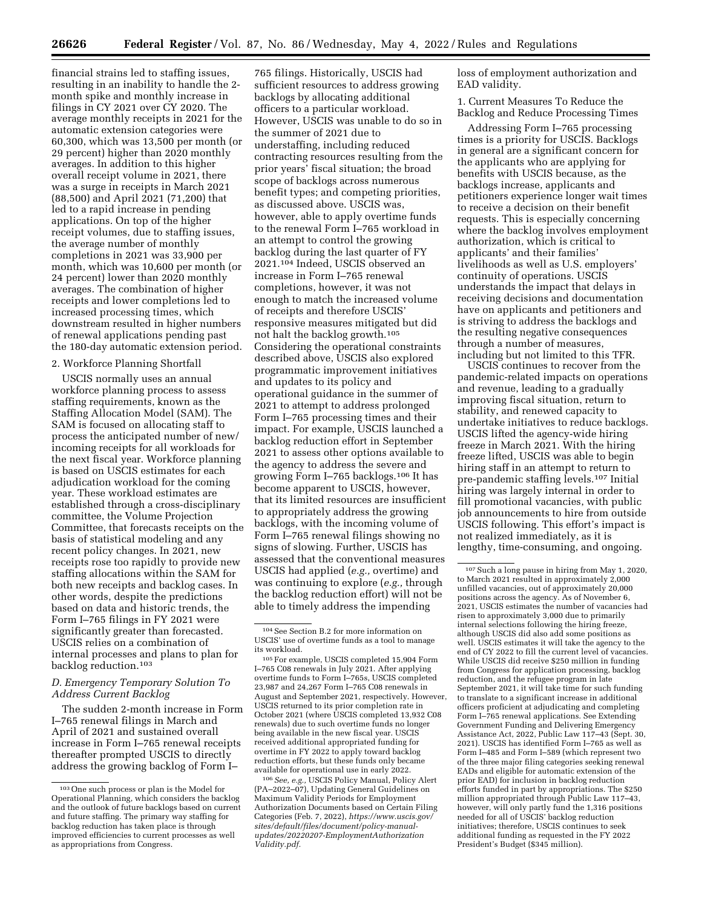financial strains led to staffing issues, resulting in an inability to handle the 2 month spike and monthly increase in filings in CY 2021 over CY 2020. The average monthly receipts in 2021 for the automatic extension categories were 60,300, which was 13,500 per month (or 29 percent) higher than 2020 monthly averages. In addition to this higher overall receipt volume in 2021, there was a surge in receipts in March 2021 (88,500) and April 2021 (71,200) that led to a rapid increase in pending applications. On top of the higher receipt volumes, due to staffing issues, the average number of monthly completions in 2021 was 33,900 per month, which was 10,600 per month (or 24 percent) lower than 2020 monthly averages. The combination of higher receipts and lower completions led to increased processing times, which downstream resulted in higher numbers of renewal applications pending past the 180-day automatic extension period.

### 2. Workforce Planning Shortfall

USCIS normally uses an annual workforce planning process to assess staffing requirements, known as the Staffing Allocation Model (SAM). The SAM is focused on allocating staff to process the anticipated number of new/ incoming receipts for all workloads for the next fiscal year. Workforce planning is based on USCIS estimates for each adjudication workload for the coming year. These workload estimates are established through a cross-disciplinary committee, the Volume Projection Committee, that forecasts receipts on the basis of statistical modeling and any recent policy changes. In 2021, new receipts rose too rapidly to provide new staffing allocations within the SAM for both new receipts and backlog cases. In other words, despite the predictions based on data and historic trends, the Form I–765 filings in FY 2021 were significantly greater than forecasted. USCIS relies on a combination of internal processes and plans to plan for backlog reduction.103

### *D. Emergency Temporary Solution To Address Current Backlog*

The sudden 2-month increase in Form I–765 renewal filings in March and April of 2021 and sustained overall increase in Form I–765 renewal receipts thereafter prompted USCIS to directly address the growing backlog of Form I–

765 filings. Historically, USCIS had sufficient resources to address growing backlogs by allocating additional officers to a particular workload. However, USCIS was unable to do so in the summer of 2021 due to understaffing, including reduced contracting resources resulting from the prior years' fiscal situation; the broad scope of backlogs across numerous benefit types; and competing priorities, as discussed above. USCIS was, however, able to apply overtime funds to the renewal Form I–765 workload in an attempt to control the growing backlog during the last quarter of FY 2021.104 Indeed, USCIS observed an increase in Form I–765 renewal completions, however, it was not enough to match the increased volume of receipts and therefore USCIS' responsive measures mitigated but did not halt the backlog growth.105 Considering the operational constraints described above, USCIS also explored programmatic improvement initiatives and updates to its policy and operational guidance in the summer of 2021 to attempt to address prolonged Form I–765 processing times and their impact. For example, USCIS launched a backlog reduction effort in September 2021 to assess other options available to the agency to address the severe and growing Form I–765 backlogs.106 It has become apparent to USCIS, however, that its limited resources are insufficient to appropriately address the growing backlogs, with the incoming volume of Form I–765 renewal filings showing no signs of slowing. Further, USCIS has assessed that the conventional measures USCIS had applied (*e.g.,* overtime) and was continuing to explore (*e.g.,* through the backlog reduction effort) will not be able to timely address the impending

106*See, e.g.,* USCIS Policy Manual, Policy Alert (PA–2022–07), Updating General Guidelines on Maximum Validity Periods for Employment Authorization Documents based on Certain Filing Categories (Feb. 7, 2022), *[https://www.uscis.gov/](https://www.uscis.gov/sites/default/files/document/policy-manual-updates/20220207-EmploymentAuthorizationValidity.pdf)  [sites/default/files/document/policy-manual](https://www.uscis.gov/sites/default/files/document/policy-manual-updates/20220207-EmploymentAuthorizationValidity.pdf)[updates/20220207-EmploymentAuthorization](https://www.uscis.gov/sites/default/files/document/policy-manual-updates/20220207-EmploymentAuthorizationValidity.pdf) [Validity.pdf.](https://www.uscis.gov/sites/default/files/document/policy-manual-updates/20220207-EmploymentAuthorizationValidity.pdf)* 

loss of employment authorization and EAD validity.

1. Current Measures To Reduce the Backlog and Reduce Processing Times

Addressing Form I–765 processing times is a priority for USCIS. Backlogs in general are a significant concern for the applicants who are applying for benefits with USCIS because, as the backlogs increase, applicants and petitioners experience longer wait times to receive a decision on their benefit requests. This is especially concerning where the backlog involves employment authorization, which is critical to applicants' and their families' livelihoods as well as U.S. employers' continuity of operations. USCIS understands the impact that delays in receiving decisions and documentation have on applicants and petitioners and is striving to address the backlogs and the resulting negative consequences through a number of measures, including but not limited to this TFR.

USCIS continues to recover from the pandemic-related impacts on operations and revenue, leading to a gradually improving fiscal situation, return to stability, and renewed capacity to undertake initiatives to reduce backlogs. USCIS lifted the agency-wide hiring freeze in March 2021. With the hiring freeze lifted, USCIS was able to begin hiring staff in an attempt to return to pre-pandemic staffing levels.107 Initial hiring was largely internal in order to fill promotional vacancies, with public job announcements to hire from outside USCIS following. This effort's impact is not realized immediately, as it is lengthy, time-consuming, and ongoing.

<sup>103</sup>One such process or plan is the Model for Operational Planning, which considers the backlog and the outlook of future backlogs based on current and future staffing. The primary way staffing for backlog reduction has taken place is through improved efficiencies to current processes as well as appropriations from Congress.

<sup>104</sup>See Section B.2 for more information on USCIS' use of overtime funds as a tool to manage its workload.

<sup>105</sup>For example, USCIS completed 15,904 Form I–765 C08 renewals in July 2021. After applying overtime funds to Form I–765s, USCIS completed 23,987 and 24,267 Form I–765 C08 renewals in August and September 2021, respectively. However, USCIS returned to its prior completion rate in October 2021 (where USCIS completed 13,932 C08 renewals) due to such overtime funds no longer being available in the new fiscal year. USCIS received additional appropriated funding for overtime in FY 2022 to apply toward backlog reduction efforts, but these funds only became available for operational use in early 2022.

<sup>107</sup>Such a long pause in hiring from May 1, 2020, to March 2021 resulted in approximately 2,000 unfilled vacancies, out of approximately 20,000 positions across the agency. As of November 6, 2021, USCIS estimates the number of vacancies had risen to approximately 3,000 due to primarily internal selections following the hiring freeze, although USCIS did also add some positions as well. USCIS estimates it will take the agency to the end of CY 2022 to fill the current level of vacancies. While USCIS did receive \$250 million in funding from Congress for application processing, backlog reduction, and the refugee program in late September 2021, it will take time for such funding to translate to a significant increase in additional officers proficient at adjudicating and completing Form I–765 renewal applications. See Extending Government Funding and Delivering Emergency Assistance Act, 2022, Public Law 117–43 (Sept. 30, 2021). USCIS has identified Form I–765 as well as Form I–485 and Form I–589 (which represent two of the three major filing categories seeking renewal EADs and eligible for automatic extension of the prior EAD) for inclusion in backlog reduction efforts funded in part by appropriations. The \$250 million appropriated through Public Law 117–43, however, will only partly fund the 1,316 positions needed for all of USCIS' backlog reduction initiatives; therefore, USCIS continues to seek additional funding as requested in the FY 2022 President's Budget (\$345 million).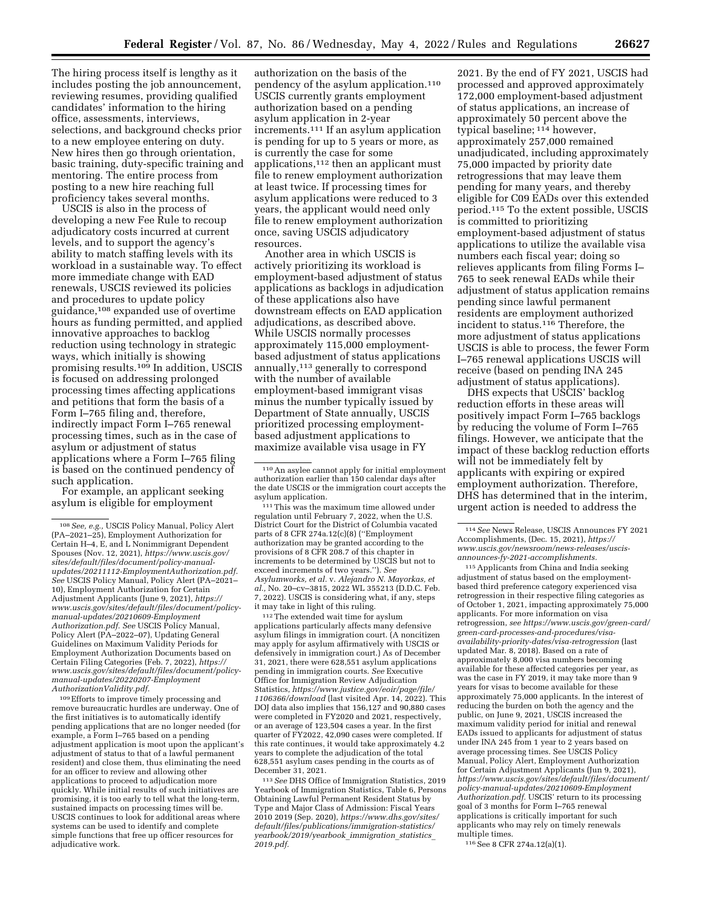The hiring process itself is lengthy as it includes posting the job announcement, reviewing resumes, providing qualified candidates' information to the hiring office, assessments, interviews, selections, and background checks prior to a new employee entering on duty. New hires then go through orientation, basic training, duty-specific training and mentoring. The entire process from posting to a new hire reaching full proficiency takes several months.

USCIS is also in the process of developing a new Fee Rule to recoup adjudicatory costs incurred at current levels, and to support the agency's ability to match staffing levels with its workload in a sustainable way. To effect more immediate change with EAD renewals, USCIS reviewed its policies and procedures to update policy guidance,108 expanded use of overtime hours as funding permitted, and applied innovative approaches to backlog reduction using technology in strategic ways, which initially is showing promising results.<sup>109</sup> In addition, USCIS is focused on addressing prolonged processing times affecting applications and petitions that form the basis of a Form I–765 filing and, therefore, indirectly impact Form I–765 renewal processing times, such as in the case of asylum or adjustment of status applications where a Form I–765 filing is based on the continued pendency of such application.

For example, an applicant seeking asylum is eligible for employment

<sup>109</sup> Efforts to improve timely processing and remove bureaucratic hurdles are underway. One of the first initiatives is to automatically identify pending applications that are no longer needed (for example, a Form I–765 based on a pending adjustment application is moot upon the applicant's adjustment of status to that of a lawful permanent resident) and close them, thus eliminating the need for an officer to review and allowing other applications to proceed to adjudication more quickly. While initial results of such initiatives are promising, it is too early to tell what the long-term, sustained impacts on processing times will be. USCIS continues to look for additional areas where systems can be used to identify and complete simple functions that free up officer resources for adjudicative work.

authorization on the basis of the pendency of the asylum application.110 USCIS currently grants employment authorization based on a pending asylum application in 2-year increments.111 If an asylum application is pending for up to 5 years or more, as is currently the case for some applications,112 then an applicant must file to renew employment authorization at least twice. If processing times for asylum applications were reduced to 3 years, the applicant would need only file to renew employment authorization once, saving USCIS adjudicatory resources.

Another area in which USCIS is actively prioritizing its workload is employment-based adjustment of status applications as backlogs in adjudication of these applications also have downstream effects on EAD application adjudications, as described above. While USCIS normally processes approximately 115,000 employmentbased adjustment of status applications annually,113 generally to correspond with the number of available employment-based immigrant visas minus the number typically issued by Department of State annually, USCIS prioritized processing employmentbased adjustment applications to maximize available visa usage in FY

 $^{\rm 111}$  This was the maximum time allowed under regulation until February 7, 2022, when the U.S. District Court for the District of Columbia vacated parts of 8 CFR 274a.12(c)(8) (''Employment authorization may be granted according to the provisions of 8 CFR 208.7 of this chapter in increments to be determined by USCIS but not to exceed increments of two years.''). *See Asylumworks, et al.* v. *Alejandro N. Mayorkas, et al.,* No. 20–cv–3815, 2022 WL 355213 (D.D.C. Feb. 7, 2022). USCIS is considering what, if any, steps it may take in light of this ruling.

112The extended wait time for ayslum applications particularly affects many defensive asylum filings in immigration court. (A noncitizen may apply for asylum affirmatively with USCIS or defensively in immigration court.) As of December 31, 2021, there were 628,551 asylum applications pending in immigration courts. *See* Executive Office for Immigration Review Adjudication Statistics, *[https://www.justice.gov/eoir/page/file/](https://www.justice.gov/eoir/page/file/1106366/download) [1106366/download](https://www.justice.gov/eoir/page/file/1106366/download)* (last visited Apr. 14, 2022). This DOJ data also implies that 156,127 and 90,880 cases were completed in FY2020 and 2021, respectively, or an average of 123,504 cases a year. In the first quarter of FY2022, 42,090 cases were completed. If this rate continues, it would take approximately 4.2 years to complete the adjudication of the total 628,551 asylum cases pending in the courts as of December 31, 2021.

113*See* DHS Office of Immigration Statistics, 2019 Yearbook of Immigration Statistics, Table 6, Persons Obtaining Lawful Permanent Resident Status by Type and Major Class of Admission: Fiscal Years 2010 2019 (Sep. 2020), *[https://www.dhs.gov/sites/](https://www.dhs.gov/sites/default/files/publications/immigration-statistics/yearbook/2019/yearbook_immigration_statistics_2019.pdf)  [default/files/publications/immigration-statistics/](https://www.dhs.gov/sites/default/files/publications/immigration-statistics/yearbook/2019/yearbook_immigration_statistics_2019.pdf) [yearbook/2019/yearbook](https://www.dhs.gov/sites/default/files/publications/immigration-statistics/yearbook/2019/yearbook_immigration_statistics_2019.pdf)*\_*immigration*\_*statistics*\_ *[2019.pdf.](https://www.dhs.gov/sites/default/files/publications/immigration-statistics/yearbook/2019/yearbook_immigration_statistics_2019.pdf)* 

2021. By the end of FY 2021, USCIS had processed and approved approximately 172,000 employment-based adjustment of status applications, an increase of approximately 50 percent above the typical baseline; 114 however, approximately 257,000 remained unadjudicated, including approximately 75,000 impacted by priority date retrogressions that may leave them pending for many years, and thereby eligible for C09 EADs over this extended period.115 To the extent possible, USCIS is committed to prioritizing employment-based adjustment of status applications to utilize the available visa numbers each fiscal year; doing so relieves applicants from filing Forms I– 765 to seek renewal EADs while their adjustment of status application remains pending since lawful permanent residents are employment authorized incident to status.116 Therefore, the more adjustment of status applications USCIS is able to process, the fewer Form I–765 renewal applications USCIS will receive (based on pending INA 245 adjustment of status applications).

DHS expects that USCIS' backlog reduction efforts in these areas will positively impact Form I–765 backlogs by reducing the volume of Form I–765 filings. However, we anticipate that the impact of these backlog reduction efforts will not be immediately felt by applicants with expiring or expired employment authorization. Therefore, DHS has determined that in the interim, urgent action is needed to address the

115Applicants from China and India seeking adjustment of status based on the employmentbased third preference category experienced visa retrogression in their respective filing categories as of October 1, 2021, impacting approximately 75,000 applicants. For more information on visa retrogression, *see [https://www.uscis.gov/green-card/](https://www.uscis.gov/green-card/green-card-processes-and-procedures/visa-availability-priority-dates/visa-retrogression)  [green-card-processes-and-procedures/visa](https://www.uscis.gov/green-card/green-card-processes-and-procedures/visa-availability-priority-dates/visa-retrogression)[availability-priority-dates/visa-retrogression](https://www.uscis.gov/green-card/green-card-processes-and-procedures/visa-availability-priority-dates/visa-retrogression)* (last updated Mar. 8, 2018). Based on a rate of approximately 8,000 visa numbers becoming available for these affected categories per year, as was the case in FY 2019, it may take more than 9 years for visas to become available for these approximately 75,000 applicants. In the interest of reducing the burden on both the agency and the public, on June 9, 2021, USCIS increased the maximum validity period for initial and renewal EADs issued to applicants for adjustment of status under INA 245 from 1 year to 2 years based on average processing times. See USCIS Policy Manual, Policy Alert, Employment Authorization for Certain Adjustment Applicants (Jun 9, 2021), *[https://www.uscis.gov/sites/default/files/document/](https://www.uscis.gov/sites/default/files/document/policy-manual-updates/20210609-EmploymentAuthorization.pdf) [policy-manual-updates/20210609-Employment](https://www.uscis.gov/sites/default/files/document/policy-manual-updates/20210609-EmploymentAuthorization.pdf) [Authorization.pdf.](https://www.uscis.gov/sites/default/files/document/policy-manual-updates/20210609-EmploymentAuthorization.pdf)* USCIS' return to its processing goal of 3 months for Form I–765 renewal applications is critically important for such applicants who may rely on timely renewals multiple times. 116See 8 CFR 274a.12(a)(1).

<sup>108</sup>*See, e.g.,* USCIS Policy Manual, Policy Alert (PA–2021–25), Employment Authorization for Certain H–4, E, and L Nonimmigrant Dependent Spouses (Nov. 12, 2021), *[https://www.uscis.gov/](https://www.uscis.gov/sites/default/files/document/policy-manual-updates/20211112-EmploymentAuthorization.pdf)  [sites/default/files/document/policy-manual](https://www.uscis.gov/sites/default/files/document/policy-manual-updates/20211112-EmploymentAuthorization.pdf)[updates/20211112-EmploymentAuthorization.pdf.](https://www.uscis.gov/sites/default/files/document/policy-manual-updates/20211112-EmploymentAuthorization.pdf)  See* USCIS Policy Manual, Policy Alert (PA–2021– 10), Employment Authorization for Certain Adjustment Applicants (June 9, 2021), *[https://](https://www.uscis.gov/sites/default/files/document/policy-manual-updates/20210609-EmploymentAuthorization.pdf) [www.uscis.gov/sites/default/files/document/policy](https://www.uscis.gov/sites/default/files/document/policy-manual-updates/20210609-EmploymentAuthorization.pdf)[manual-updates/20210609-Employment](https://www.uscis.gov/sites/default/files/document/policy-manual-updates/20210609-EmploymentAuthorization.pdf) [Authorization.pdf.](https://www.uscis.gov/sites/default/files/document/policy-manual-updates/20210609-EmploymentAuthorization.pdf) See* USCIS Policy Manual, Policy Alert (PA–2022–07), Updating General Guidelines on Maximum Validity Periods for Employment Authorization Documents based on Certain Filing Categories (Feb. 7, 2022), *[https://](https://www.uscis.gov/sites/default/files/document/policy-manual-updates/20220207-EmploymentAuthorizationValidity.pdf) [www.uscis.gov/sites/default/files/document/policy](https://www.uscis.gov/sites/default/files/document/policy-manual-updates/20220207-EmploymentAuthorizationValidity.pdf)[manual-updates/20220207-Employment](https://www.uscis.gov/sites/default/files/document/policy-manual-updates/20220207-EmploymentAuthorizationValidity.pdf) [AuthorizationValidity.pdf.](https://www.uscis.gov/sites/default/files/document/policy-manual-updates/20220207-EmploymentAuthorizationValidity.pdf)* 

<sup>110</sup>An asylee cannot apply for initial employment authorization earlier than 150 calendar days after the date USCIS or the immigration court accepts the

<sup>114</sup>*See* News Release, USCIS Announces FY 2021 Accomplishments, (Dec. 15, 2021), *[https://](https://www.uscis.gov/newsroom/news-releases/uscis-announces-fy-2021-accomplishments) [www.uscis.gov/newsroom/news-releases/uscis](https://www.uscis.gov/newsroom/news-releases/uscis-announces-fy-2021-accomplishments)[announces-fy-2021-accomplishments.](https://www.uscis.gov/newsroom/news-releases/uscis-announces-fy-2021-accomplishments)*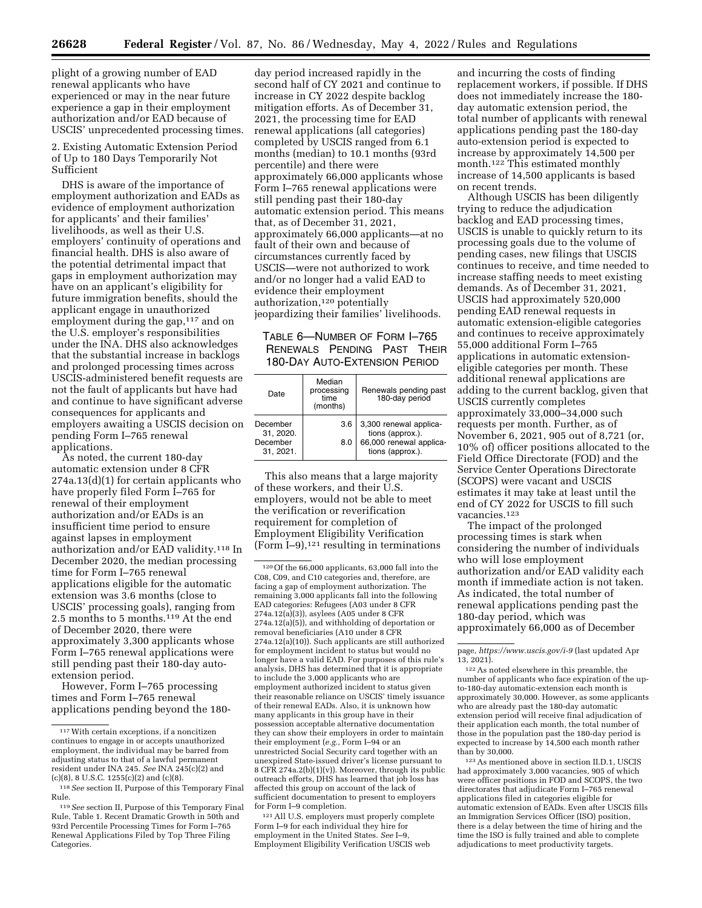plight of a growing number of EAD renewal applicants who have experienced or may in the near future experience a gap in their employment authorization and/or EAD because of USCIS' unprecedented processing times.

2. Existing Automatic Extension Period of Up to 180 Days Temporarily Not Sufficient

DHS is aware of the importance of employment authorization and EADs as evidence of employment authorization for applicants' and their families' livelihoods, as well as their U.S. employers' continuity of operations and financial health. DHS is also aware of the potential detrimental impact that gaps in employment authorization may have on an applicant's eligibility for future immigration benefits, should the applicant engage in unauthorized employment during the gap,<sup>117</sup> and on the U.S. employer's responsibilities under the INA. DHS also acknowledges that the substantial increase in backlogs and prolonged processing times across USCIS-administered benefit requests are not the fault of applicants but have had and continue to have significant adverse consequences for applicants and employers awaiting a USCIS decision on pending Form I–765 renewal applications.

As noted, the current 180-day automatic extension under 8 CFR 274a.13(d)(1) for certain applicants who have properly filed Form I–765 for renewal of their employment authorization and/or EADs is an insufficient time period to ensure against lapses in employment authorization and/or EAD validity.118 In December 2020, the median processing time for Form I–765 renewal applications eligible for the automatic extension was 3.6 months (close to USCIS' processing goals), ranging from 2.5 months to 5 months.119 At the end of December 2020, there were approximately 3,300 applicants whose Form I–765 renewal applications were still pending past their 180-day autoextension period.

However, Form I–765 processing times and Form I–765 renewal applications pending beyond the 180-

day period increased rapidly in the second half of CY 2021 and continue to increase in CY 2022 despite backlog mitigation efforts. As of December 31, 2021, the processing time for EAD renewal applications (all categories) completed by USCIS ranged from 6.1 months (median) to 10.1 months (93rd percentile) and there were approximately 66,000 applicants whose Form I–765 renewal applications were still pending past their 180-day automatic extension period. This means that, as of December 31, 2021, approximately 66,000 applicants—at no fault of their own and because of circumstances currently faced by USCIS—were not authorized to work and/or no longer had a valid EAD to evidence their employment authorization,120 potentially jeopardizing their families' livelihoods.

# TABLE 6—NUMBER OF FORM I–765 RENEWALS PENDING PAST THEIR 180-DAY AUTO-EXTENSION PERIOD

| Date                  | Median<br>processing<br>time<br>(months) | Renewals pending past<br>180-day period     |
|-----------------------|------------------------------------------|---------------------------------------------|
| December<br>31, 2020. | 3.6                                      | 3,300 renewal applica-<br>tions (approx.).  |
| December<br>31.2021.  | 8.0                                      | 66,000 renewal applica-<br>tions (approx.). |

This also means that a large majority of these workers, and their U.S. employers, would not be able to meet the verification or reverification requirement for completion of Employment Eligibility Verification (Form I–9), $121$  resulting in terminations

121All U.S. employers must properly complete Form I–9 for each individual they hire for employment in the United States. *See* I–9, Employment Eligibility Verification USCIS web

and incurring the costs of finding replacement workers, if possible. If DHS does not immediately increase the 180 day automatic extension period, the total number of applicants with renewal applications pending past the 180-day auto-extension period is expected to increase by approximately 14,500 per month.122 This estimated monthly increase of 14,500 applicants is based on recent trends.

Although USCIS has been diligently trying to reduce the adjudication backlog and EAD processing times, USCIS is unable to quickly return to its processing goals due to the volume of pending cases, new filings that USCIS continues to receive, and time needed to increase staffing needs to meet existing demands. As of December 31, 2021, USCIS had approximately 520,000 pending EAD renewal requests in automatic extension-eligible categories and continues to receive approximately 55,000 additional Form I–765 applications in automatic extensioneligible categories per month. These additional renewal applications are adding to the current backlog, given that USCIS currently completes approximately 33,000–34,000 such requests per month. Further, as of November 6, 2021, 905 out of 8,721 (or, 10% of) officer positions allocated to the Field Office Directorate (FOD) and the Service Center Operations Directorate (SCOPS) were vacant and USCIS estimates it may take at least until the end of CY 2022 for USCIS to fill such vacancies.123

The impact of the prolonged processing times is stark when considering the number of individuals who will lose employment authorization and/or EAD validity each month if immediate action is not taken. As indicated, the total number of renewal applications pending past the 180-day period, which was approximately 66,000 as of December

123As mentioned above in section II.D.1, USCIS had approximately 3,000 vacancies, 905 of which were officer positions in FOD and SCOPS, the two directorates that adjudicate Form I–765 renewal applications filed in categories eligible for automatic extension of EADs. Even after USCIS fills an Immigration Services Officer (ISO) position, there is a delay between the time of hiring and the time the ISO is fully trained and able to complete adjudications to meet productivity targets.

<sup>117</sup>With certain exceptions, if a noncitizen continues to engage in or accepts unauthorized employment, the individual may be barred from adjusting status to that of a lawful permanent resident under INA 245. *See* INA 245(c)(2) and (c)(8), 8 U.S.C. 1255(c)(2) and (c)(8).

<sup>118</sup>*See* section II, Purpose of this Temporary Final Rule.

<sup>119</sup>*See* section II, Purpose of this Temporary Final Rule, Table 1. Recent Dramatic Growth in 50th and 93rd Percentile Processing Times for Form I–765 Renewal Applications Filed by Top Three Filing Categories.

 $\rm ^{120}Of$  the 66,000 applicants, 63,000 fall into the C08, C09, and C10 categories and, therefore, are facing a gap of employment authorization. The remaining 3,000 applicants fall into the following EAD categories: Refugees (A03 under 8 CFR 274a.12(a)(3)), asylees (A05 under 8 CFR 274a.12(a)(5)), and withholding of deportation or removal beneficiaries (A10 under 8 CFR 274a.12(a)(10)). Such applicants are still authorized for employment incident to status but would no longer have a valid EAD. For purposes of this rule's analysis, DHS has determined that it is appropriate to include the 3,000 applicants who are employment authorized incident to status given their reasonable reliance on USCIS' timely issuance of their renewal EADs. Also, it is unknown how many applicants in this group have in their possession acceptable alternative documentation they can show their employers in order to maintain their employment (*e.g.,* Form I–94 or an unrestricted Social Security card together with an unexpired State-issued driver's license pursuant to 8 CFR 274a.2(b)(1)(v)). Moreover, through its public outreach efforts, DHS has learned that job loss has affected this group on account of the lack of sufficient documentation to present to employers for Form I–9 completion.

page, *<https://www.uscis.gov/i-9>*(last updated Apr 13, 2021).

<sup>122</sup>As noted elsewhere in this preamble, the number of applicants who face expiration of the upto-180-day automatic-extension each month is approximately 30,000. However, as some applicants who are already past the 180-day automatic extension period will receive final adjudication of their application each month, the total number of those in the population past the 180-day period is expected to increase by 14,500 each month rather than by 30,000.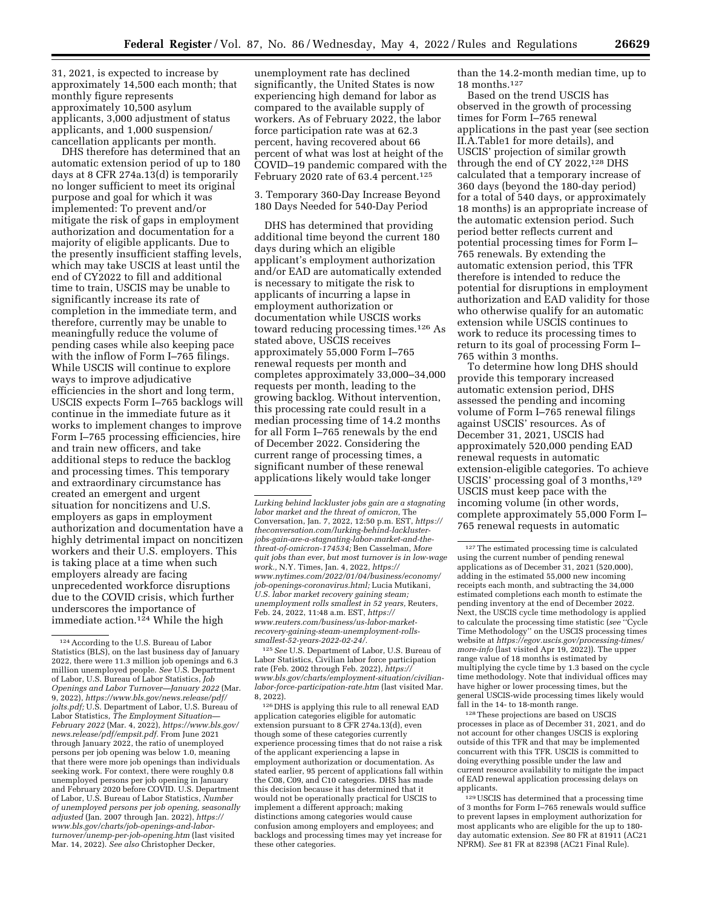31, 2021, is expected to increase by approximately 14,500 each month; that monthly figure represents approximately 10,500 asylum applicants, 3,000 adjustment of status applicants, and 1,000 suspension/ cancellation applicants per month.

DHS therefore has determined that an automatic extension period of up to 180 days at 8 CFR 274a.13(d) is temporarily no longer sufficient to meet its original purpose and goal for which it was implemented: To prevent and/or mitigate the risk of gaps in employment authorization and documentation for a majority of eligible applicants. Due to the presently insufficient staffing levels, which may take USCIS at least until the end of CY2022 to fill and additional time to train, USCIS may be unable to significantly increase its rate of completion in the immediate term, and therefore, currently may be unable to meaningfully reduce the volume of pending cases while also keeping pace with the inflow of Form I–765 filings. While USCIS will continue to explore ways to improve adjudicative efficiencies in the short and long term, USCIS expects Form I–765 backlogs will continue in the immediate future as it works to implement changes to improve Form I–765 processing efficiencies, hire and train new officers, and take additional steps to reduce the backlog and processing times. This temporary and extraordinary circumstance has created an emergent and urgent situation for noncitizens and U.S. employers as gaps in employment authorization and documentation have a highly detrimental impact on noncitizen workers and their U.S. employers. This is taking place at a time when such employers already are facing unprecedented workforce disruptions due to the COVID crisis, which further underscores the importance of immediate action.<sup>124</sup> While the high

unemployment rate has declined significantly, the United States is now experiencing high demand for labor as compared to the available supply of workers. As of February 2022, the labor force participation rate was at 62.3 percent, having recovered about 66 percent of what was lost at height of the COVID–19 pandemic compared with the February 2020 rate of 63.4 percent.<sup>125</sup>

3. Temporary 360-Day Increase Beyond 180 Days Needed for 540-Day Period

DHS has determined that providing additional time beyond the current 180 days during which an eligible applicant's employment authorization and/or EAD are automatically extended is necessary to mitigate the risk to applicants of incurring a lapse in employment authorization or documentation while USCIS works toward reducing processing times.126 As stated above, USCIS receives approximately 55,000 Form I–765 renewal requests per month and completes approximately 33,000–34,000 requests per month, leading to the growing backlog. Without intervention, this processing rate could result in a median processing time of 14.2 months for all Form I–765 renewals by the end of December 2022. Considering the current range of processing times, a significant number of these renewal applications likely would take longer

125*See* U.S. Department of Labor, U.S. Bureau of Labor Statistics, Civilian labor force participation rate (Feb. 2002 through Feb. 2022), *[https://](https://www.bls.gov/charts/employment-situation/civilian-labor-force-participation-rate.htm) [www.bls.gov/charts/employment-situation/civilian](https://www.bls.gov/charts/employment-situation/civilian-labor-force-participation-rate.htm)[labor-force-participation-rate.htm](https://www.bls.gov/charts/employment-situation/civilian-labor-force-participation-rate.htm)* (last visited Mar. 8, 2022).

126 DHS is applying this rule to all renewal EAD application categories eligible for automatic extension pursuant to 8 CFR 274a.13(d), even though some of these categories currently experience processing times that do not raise a risk of the applicant experiencing a lapse in employment authorization or documentation. As stated earlier, 95 percent of applications fall within the C08, C09, and C10 categories. DHS has made this decision because it has determined that it would not be operationally practical for USCIS to implement a different approach; making distinctions among categories would cause confusion among employers and employees; and backlogs and processing times may yet increase for these other categories.

than the 14.2-month median time, up to 18 months.127

Based on the trend USCIS has observed in the growth of processing times for Form I–765 renewal applications in the past year (see section II.A.Table1 for more details), and USCIS' projection of similar growth through the end of CY 2022,<sup>128</sup> DHS calculated that a temporary increase of 360 days (beyond the 180-day period) for a total of 540 days, or approximately 18 months) is an appropriate increase of the automatic extension period. Such period better reflects current and potential processing times for Form I– 765 renewals. By extending the automatic extension period, this TFR therefore is intended to reduce the potential for disruptions in employment authorization and EAD validity for those who otherwise qualify for an automatic extension while USCIS continues to work to reduce its processing times to return to its goal of processing Form I– 765 within 3 months.

To determine how long DHS should provide this temporary increased automatic extension period, DHS assessed the pending and incoming volume of Form I–765 renewal filings against USCIS' resources. As of December 31, 2021, USCIS had approximately 520,000 pending EAD renewal requests in automatic extension-eligible categories. To achieve USCIS' processing goal of 3 months,<sup>129</sup> USCIS must keep pace with the incoming volume (in other words, complete approximately 55,000 Form I– 765 renewal requests in automatic

128These projections are based on USCIS processes in place as of December 31, 2021, and do not account for other changes USCIS is exploring outside of this TFR and that may be implemented concurrent with this TFR. USCIS is committed to doing everything possible under the law and current resource availability to mitigate the impact of EAD renewal application processing delays on applicants.

129USCIS has determined that a processing time of 3 months for Form I–765 renewals would suffice to prevent lapses in employment authorization for most applicants who are eligible for the up to 180 day automatic extension. *See* 80 FR at 81911 (AC21 NPRM). *See* 81 FR at 82398 (AC21 Final Rule).

<sup>124</sup>According to the U.S. Bureau of Labor Statistics (BLS), on the last business day of January 2022, there were 11.3 million job openings and 6.3 million unemployed people. *See* U.S. Department of Labor, U.S. Bureau of Labor Statistics, *Job Openings and Labor Turnover—January 2022* (Mar. 9, 2022), *[https://www.bls.gov/news.release/pdf/](https://www.bls.gov/news.release/pdf/jolts.pdf)  [jolts.pdf;](https://www.bls.gov/news.release/pdf/jolts.pdf)* U.S. Department of Labor, U.S. Bureau of Labor Statistics, *The Employment Situation— February 2022* (Mar. 4, 2022), *[https://www.bls.gov/](https://www.bls.gov/news.release/pdf/empsit.pdf) [news.release/pdf/empsit.pdf.](https://www.bls.gov/news.release/pdf/empsit.pdf)* From June 2021 through January 2022, the ratio of unemployed persons per job opening was below 1.0, meaning that there were more job openings than individuals seeking work. For context, there were roughly 0.8 unemployed persons per job opening in January and February 2020 before COVID. U.S. Department of Labor, U.S. Bureau of Labor Statistics, Number *of unemployed persons per job opening, seasonally adjusted* (Jan. 2007 through Jan. 2022), *[https://](https://www.bls.gov/charts/job-openings-and-labor-turnover/unemp-per-job-opening.htm) [www.bls.gov/charts/job-openings-and-labor](https://www.bls.gov/charts/job-openings-and-labor-turnover/unemp-per-job-opening.htm)[turnover/unemp-per-job-opening.htm](https://www.bls.gov/charts/job-openings-and-labor-turnover/unemp-per-job-opening.htm)* (last visited Mar. 14, 2022). *See also* Christopher Decker,

*Lurking behind lackluster jobs gain are a stagnating labor market and the threat of omicron,* The Conversation, Jan. 7, 2022, 12:50 p.m. EST, *[https://](https://theconversation.com/lurking-behind-lackluster-jobs-gain-are-a-stagnating-labor-market-and-the-threat-of-omicron-174534)  [theconversation.com/lurking-behind-lackluster](https://theconversation.com/lurking-behind-lackluster-jobs-gain-are-a-stagnating-labor-market-and-the-threat-of-omicron-174534)[jobs-gain-are-a-stagnating-labor-market-and-the](https://theconversation.com/lurking-behind-lackluster-jobs-gain-are-a-stagnating-labor-market-and-the-threat-of-omicron-174534)[threat-of-omicron-174534;](https://theconversation.com/lurking-behind-lackluster-jobs-gain-are-a-stagnating-labor-market-and-the-threat-of-omicron-174534)* Ben Casselman, *More quit jobs than ever, but most turnover is in low-wage work.,* N.Y. Times, Jan. 4, 2022, *[https://](https://www.nytimes.com/2022/01/04/business/economy/job-openings-coronavirus.html) [www.nytimes.com/2022/01/04/business/economy/](https://www.nytimes.com/2022/01/04/business/economy/job-openings-coronavirus.html)  [job-openings-coronavirus.html;](https://www.nytimes.com/2022/01/04/business/economy/job-openings-coronavirus.html)* Lucia Mutikani, *U.S. labor market recovery gaining steam; unemployment rolls smallest in 52 years,* Reuters, Feb. 24, 2022, 11:48 a.m. EST, *[https://](https://www.reuters.com/business/us-labor-market-recovery-gaining-steam-unemployment-rolls-smallest-52-years-2022-02-24/) [www.reuters.com/business/us-labor-market](https://www.reuters.com/business/us-labor-market-recovery-gaining-steam-unemployment-rolls-smallest-52-years-2022-02-24/)[recovery-gaining-steam-unemployment-rolls](https://www.reuters.com/business/us-labor-market-recovery-gaining-steam-unemployment-rolls-smallest-52-years-2022-02-24/)[smallest-52-years-2022-02-24/.](https://www.reuters.com/business/us-labor-market-recovery-gaining-steam-unemployment-rolls-smallest-52-years-2022-02-24/)* 

<sup>127</sup>The estimated processing time is calculated using the current number of pending renewal applications as of December 31, 2021 (520,000), adding in the estimated 55,000 new incoming receipts each month, and subtracting the 34,000 estimated completions each month to estimate the pending inventory at the end of December 2022. Next, the USCIS cycle time methodology is applied to calculate the processing time statistic (*see* ''Cycle Time Methodology'' on the USCIS processing times website at *[https://egov.uscis.gov/processing-times/](https://egov.uscis.gov/processing-times/more-info)  [more-info](https://egov.uscis.gov/processing-times/more-info)* (last visited Apr 19, 2022)). The upper range value of 18 months is estimated by multiplying the cycle time by 1.3 based on the cycle time methodology. Note that individual offices may have higher or lower processing times, but the general USCIS-wide processing times likely would fall in the 14- to 18-month range.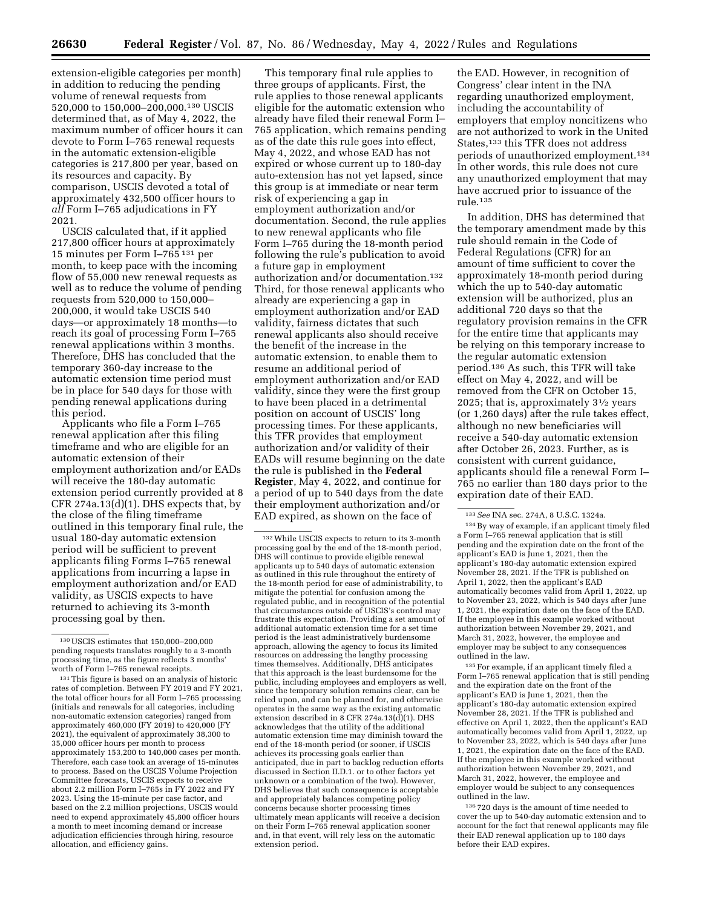extension-eligible categories per month) in addition to reducing the pending volume of renewal requests from 520,000 to 150,000–200,000.130 USCIS determined that, as of May 4, 2022, the maximum number of officer hours it can devote to Form I–765 renewal requests in the automatic extension-eligible categories is 217,800 per year, based on its resources and capacity. By comparison, USCIS devoted a total of approximately 432,500 officer hours to *all* Form I–765 adjudications in FY 2021.

USCIS calculated that, if it applied 217,800 officer hours at approximately 15 minutes per Form I–765 131 per month, to keep pace with the incoming flow of 55,000 new renewal requests as well as to reduce the volume of pending requests from 520,000 to 150,000– 200,000, it would take USCIS 540 days—or approximately 18 months—to reach its goal of processing Form I–765 renewal applications within 3 months. Therefore, DHS has concluded that the temporary 360-day increase to the automatic extension time period must be in place for 540 days for those with pending renewal applications during this period.

Applicants who file a Form I–765 renewal application after this filing timeframe and who are eligible for an automatic extension of their employment authorization and/or EADs will receive the 180-day automatic extension period currently provided at 8 CFR 274a.13(d)(1). DHS expects that, by the close of the filing timeframe outlined in this temporary final rule, the usual 180-day automatic extension period will be sufficient to prevent applicants filing Forms I–765 renewal applications from incurring a lapse in employment authorization and/or EAD validity, as USCIS expects to have returned to achieving its 3-month processing goal by then.

131This figure is based on an analysis of historic rates of completion. Between FY 2019 and FY 2021, the total officer hours for all Form I–765 processing (initials and renewals for all categories, including non-automatic extension categories) ranged from approximately 460,000 (FY 2019) to 420,000 (FY 2021), the equivalent of approximately 38,300 to 35,000 officer hours per month to process approximately 153,200 to 140,000 cases per month. Therefore, each case took an average of 15-minutes to process. Based on the USCIS Volume Projection Committee forecasts, USCIS expects to receive about 2.2 million Form I–765s in FY 2022 and FY 2023. Using the 15-minute per case factor, and based on the 2.2 million projections, USCIS would need to expend approximately 45,800 officer hours a month to meet incoming demand or increase adjudication efficiencies through hiring, resource allocation, and efficiency gains.

This temporary final rule applies to three groups of applicants. First, the rule applies to those renewal applicants eligible for the automatic extension who already have filed their renewal Form I– 765 application, which remains pending as of the date this rule goes into effect, May 4, 2022, and whose EAD has not expired or whose current up to 180-day auto-extension has not yet lapsed, since this group is at immediate or near term risk of experiencing a gap in employment authorization and/or documentation. Second, the rule applies to new renewal applicants who file Form I–765 during the 18-month period following the rule's publication to avoid a future gap in employment authorization and/or documentation.132 Third, for those renewal applicants who already are experiencing a gap in employment authorization and/or EAD validity, fairness dictates that such renewal applicants also should receive the benefit of the increase in the automatic extension, to enable them to resume an additional period of employment authorization and/or EAD validity, since they were the first group to have been placed in a detrimental position on account of USCIS' long processing times. For these applicants, this TFR provides that employment authorization and/or validity of their EADs will resume beginning on the date the rule is published in the **Federal Register**, May 4, 2022, and continue for a period of up to 540 days from the date their employment authorization and/or EAD expired, as shown on the face of

the EAD. However, in recognition of Congress' clear intent in the INA regarding unauthorized employment, including the accountability of employers that employ noncitizens who are not authorized to work in the United States,133 this TFR does not address periods of unauthorized employment.134 In other words, this rule does not cure any unauthorized employment that may have accrued prior to issuance of the rule.135

In addition, DHS has determined that the temporary amendment made by this rule should remain in the Code of Federal Regulations (CFR) for an amount of time sufficient to cover the approximately 18-month period during which the up to 540-day automatic extension will be authorized, plus an additional 720 days so that the regulatory provision remains in the CFR for the entire time that applicants may be relying on this temporary increase to the regular automatic extension period.136 As such, this TFR will take effect on May 4, 2022, and will be removed from the CFR on October 15, 2025; that is, approximately  $3\frac{1}{2}$  years (or 1,260 days) after the rule takes effect, although no new beneficiaries will receive a 540-day automatic extension after October 26, 2023. Further, as is consistent with current guidance, applicants should file a renewal Form I– 765 no earlier than 180 days prior to the expiration date of their EAD.

134By way of example, if an applicant timely filed a Form I–765 renewal application that is still pending and the expiration date on the front of the applicant's EAD is June 1, 2021, then the applicant's 180-day automatic extension expired November 28, 2021. If the TFR is published on April 1, 2022, then the applicant's EAD automatically becomes valid from April 1, 2022, up to November 23, 2022, which is 540 days after June 1, 2021, the expiration date on the face of the EAD. If the employee in this example worked without authorization between November 29, 2021, and March 31, 2022, however, the employee and employer may be subject to any consequences outlined in the law.

135For example, if an applicant timely filed a Form I–765 renewal application that is still pending and the expiration date on the front of the applicant's EAD is June 1, 2021, then the applicant's 180-day automatic extension expired November 28, 2021. If the TFR is published and effective on April 1, 2022, then the applicant's EAD automatically becomes valid from April 1, 2022, up to November 23, 2022, which is 540 days after June 1, 2021, the expiration date on the face of the EAD. If the employee in this example worked without authorization between November 29, 2021, and March 31, 2022, however, the employee and employer would be subject to any consequences outlined in the law.

136 720 days is the amount of time needed to cover the up to 540-day automatic extension and to account for the fact that renewal applicants may file their EAD renewal application up to 180 days before their EAD expires.

<sup>130</sup>USCIS estimates that 150,000–200,000 pending requests translates roughly to a 3-month processing time, as the figure reflects 3 months' worth of Form I–765 renewal receipts.

<sup>132</sup>While USCIS expects to return to its 3-month processing goal by the end of the 18-month period, DHS will continue to provide eligible renewal applicants up to 540 days of automatic extension as outlined in this rule throughout the entirety of the 18-month period for ease of administrability, to mitigate the potential for confusion among the regulated public, and in recognition of the potential that circumstances outside of USCIS's control may frustrate this expectation. Providing a set amount of additional automatic extension time for a set time period is the least administratively burdensome approach, allowing the agency to focus its limited resources on addressing the lengthy processing times themselves. Additionally, DHS anticipates that this approach is the least burdensome for the public, including employees and employers as well, since the temporary solution remains clear, can be relied upon, and can be planned for, and otherwise operates in the same way as the existing automatic extension described in 8 CFR 274a.13(d)(1). DHS acknowledges that the utility of the additional automatic extension time may diminish toward the end of the 18-month period (or sooner, if USCIS achieves its processing goals earlier than anticipated, due in part to backlog reduction efforts discussed in Section II.D.1. or to other factors yet unknown or a combination of the two). However, DHS believes that such consequence is acceptable and appropriately balances competing policy concerns because shorter processing times ultimately mean applicants will receive a decision on their Form I–765 renewal application sooner and, in that event, will rely less on the automatic extension period.

<sup>133</sup>*See* INA sec. 274A, 8 U.S.C. 1324a.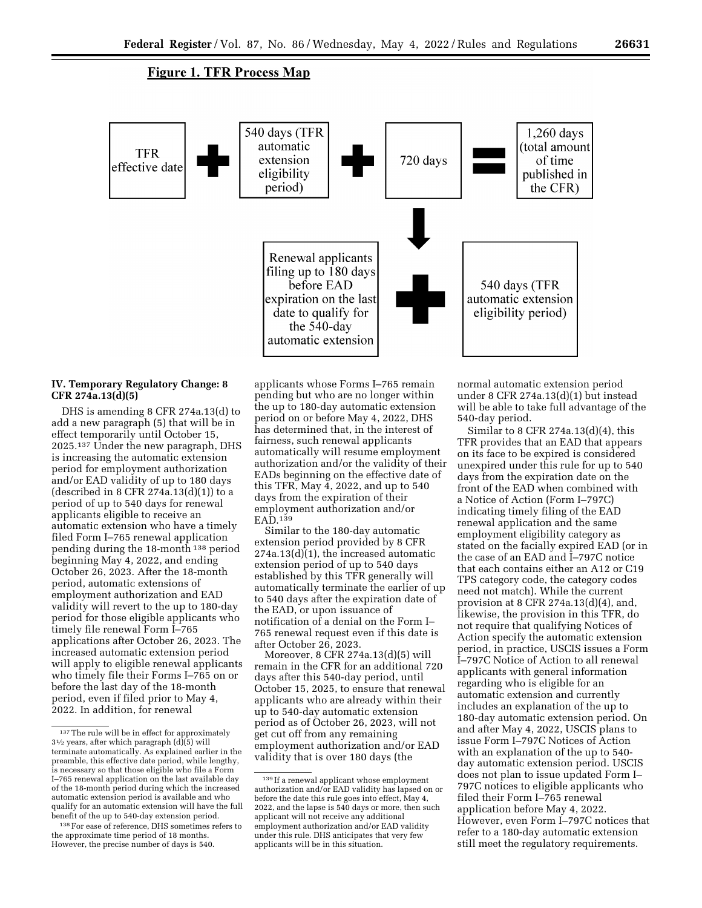# **Figure 1. TFR Process Map**



# **IV. Temporary Regulatory Change: 8 CFR 274a.13(d)(5)**

DHS is amending 8 CFR 274a.13(d) to add a new paragraph (5) that will be in effect temporarily until October 15, 2025.137 Under the new paragraph, DHS is increasing the automatic extension period for employment authorization and/or EAD validity of up to 180 days (described in 8 CFR 274a.13 $(d)(1)$ ) to a period of up to 540 days for renewal applicants eligible to receive an automatic extension who have a timely filed Form I–765 renewal application pending during the 18-month 138 period beginning May 4, 2022, and ending October 26, 2023. After the 18-month period, automatic extensions of employment authorization and EAD validity will revert to the up to 180-day period for those eligible applicants who timely file renewal Form I–765 applications after October 26, 2023. The increased automatic extension period will apply to eligible renewal applicants who timely file their Forms I–765 on or before the last day of the 18-month period, even if filed prior to May 4, 2022. In addition, for renewal

applicants whose Forms I–765 remain pending but who are no longer within the up to 180-day automatic extension period on or before May 4, 2022, DHS has determined that, in the interest of fairness, such renewal applicants automatically will resume employment authorization and/or the validity of their EADs beginning on the effective date of this TFR, May 4, 2022, and up to 540 days from the expiration of their employment authorization and/or EAD.139

Similar to the 180-day automatic extension period provided by 8 CFR  $274a.13(d)(1)$ , the increased automatic extension period of up to 540 days established by this TFR generally will automatically terminate the earlier of up to 540 days after the expiration date of the EAD, or upon issuance of notification of a denial on the Form I– 765 renewal request even if this date is after October 26, 2023.

Moreover, 8 CFR 274a.13(d)(5) will remain in the CFR for an additional 720 days after this 540-day period, until October 15, 2025, to ensure that renewal applicants who are already within their up to 540-day automatic extension period as of October 26, 2023, will not get cut off from any remaining employment authorization and/or EAD validity that is over 180 days (the

normal automatic extension period under 8 CFR 274a.13(d)(1) but instead will be able to take full advantage of the 540-day period.

Similar to 8 CFR 274a.13(d)(4), this TFR provides that an EAD that appears on its face to be expired is considered unexpired under this rule for up to 540 days from the expiration date on the front of the EAD when combined with a Notice of Action (Form I–797C) indicating timely filing of the EAD renewal application and the same employment eligibility category as stated on the facially expired EAD (or in the case of an EAD and I–797C notice that each contains either an A12 or C19 TPS category code, the category codes need not match). While the current provision at 8 CFR 274a.13(d)(4), and, likewise, the provision in this TFR, do not require that qualifying Notices of Action specify the automatic extension period, in practice, USCIS issues a Form I–797C Notice of Action to all renewal applicants with general information regarding who is eligible for an automatic extension and currently includes an explanation of the up to 180-day automatic extension period. On and after May 4, 2022, USCIS plans to issue Form I–797C Notices of Action with an explanation of the up to 540 day automatic extension period. USCIS does not plan to issue updated Form I– 797C notices to eligible applicants who filed their Form I–765 renewal application before May 4, 2022. However, even Form I–797C notices that refer to a 180-day automatic extension still meet the regulatory requirements.

<sup>137</sup>The rule will be in effect for approximately  $3\frac{1}{2}$  years, after which paragraph (d)(5) will terminate automatically. As explained earlier in the preamble, this effective date period, while lengthy, is necessary so that those eligible who file a Form I–765 renewal application on the last available day of the 18-month period during which the increased automatic extension period is available and who qualify for an automatic extension will have the full benefit of the up to 540-day extension period.

<sup>138</sup>For ease of reference, DHS sometimes refers to the approximate time period of 18 months. However, the precise number of days is 540.

<sup>139</sup> If a renewal applicant whose employment authorization and/or EAD validity has lapsed on or before the date this rule goes into effect, May 4, 2022, and the lapse is 540 days or more, then such applicant will not receive any additional employment authorization and/or EAD validity under this rule. DHS anticipates that very few applicants will be in this situation.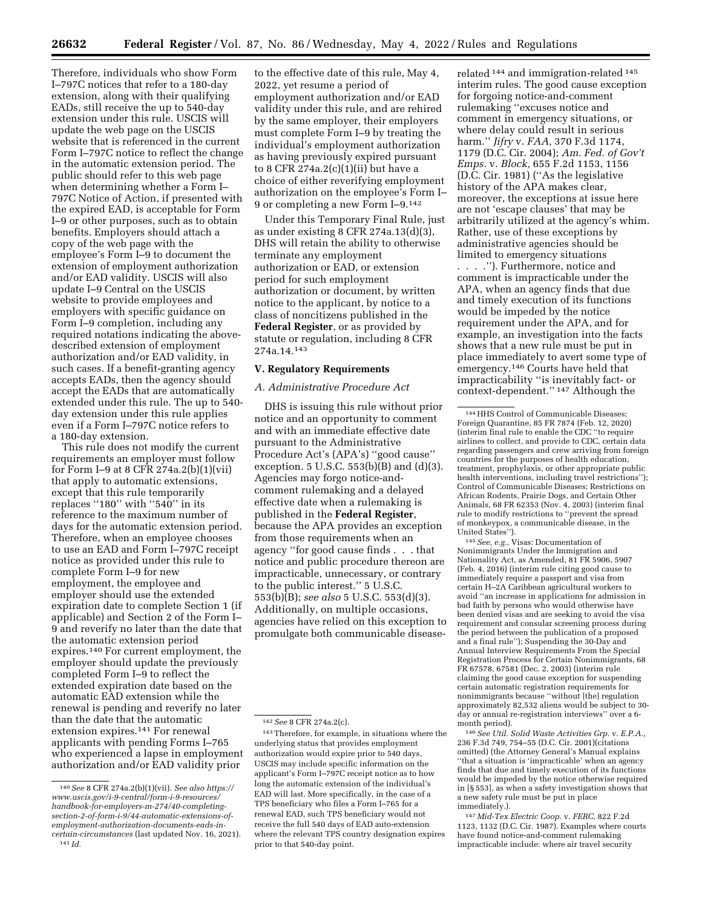Therefore, individuals who show Form I–797C notices that refer to a 180-day extension, along with their qualifying EADs, still receive the up to 540-day extension under this rule. USCIS will update the web page on the USCIS website that is referenced in the current Form I–797C notice to reflect the change in the automatic extension period. The public should refer to this web page when determining whether a Form I– 797C Notice of Action, if presented with the expired EAD, is acceptable for Form I–9 or other purposes, such as to obtain benefits. Employers should attach a copy of the web page with the employee's Form I–9 to document the extension of employment authorization and/or EAD validity. USCIS will also update I–9 Central on the USCIS website to provide employees and employers with specific guidance on Form I–9 completion, including any required notations indicating the abovedescribed extension of employment authorization and/or EAD validity, in such cases. If a benefit-granting agency accepts EADs, then the agency should accept the EADs that are automatically extended under this rule. The up to 540 day extension under this rule applies even if a Form I–797C notice refers to a 180-day extension.

This rule does not modify the current requirements an employer must follow for Form I–9 at 8 CFR 274a.2(b)(1)(vii) that apply to automatic extensions, except that this rule temporarily replaces ''180'' with ''540'' in its reference to the maximum number of days for the automatic extension period. Therefore, when an employee chooses to use an EAD and Form I–797C receipt notice as provided under this rule to complete Form I–9 for new employment, the employee and employer should use the extended expiration date to complete Section 1 (if applicable) and Section 2 of the Form I– 9 and reverify no later than the date that the automatic extension period expires.140 For current employment, the employer should update the previously completed Form I–9 to reflect the extended expiration date based on the automatic EAD extension while the renewal is pending and reverify no later than the date that the automatic extension expires.141 For renewal applicants with pending Forms I–765 who experienced a lapse in employment authorization and/or EAD validity prior

to the effective date of this rule, May 4, 2022, yet resume a period of employment authorization and/or EAD validity under this rule, and are rehired by the same employer, their employers must complete Form I–9 by treating the individual's employment authorization as having previously expired pursuant to 8 CFR 274a.2 $(c)(1)(ii)$  but have a choice of either reverifying employment authorization on the employee's Form I– 9 or completing a new Form I–9.142

Under this Temporary Final Rule, just as under existing 8 CFR 274a.13(d)(3), DHS will retain the ability to otherwise terminate any employment authorization or EAD, or extension period for such employment authorization or document, by written notice to the applicant, by notice to a class of noncitizens published in the **Federal Register**, or as provided by statute or regulation, including 8 CFR 274a.14.143

### **V. Regulatory Requirements**

### *A. Administrative Procedure Act*

DHS is issuing this rule without prior notice and an opportunity to comment and with an immediate effective date pursuant to the Administrative Procedure Act's (APA's) ''good cause'' exception.  $5$  U.S.C.  $553(b)(B)$  and  $(d)(3)$ . Agencies may forgo notice-andcomment rulemaking and a delayed effective date when a rulemaking is published in the **Federal Register**, because the APA provides an exception from those requirements when an agency ''for good cause finds . . . that notice and public procedure thereon are impracticable, unnecessary, or contrary to the public interest.'' 5 U.S.C. 553(b)(B); *see also* 5 U.S.C. 553(d)(3). Additionally, on multiple occasions, agencies have relied on this exception to promulgate both communicable disease-

related 144 and immigration-related 145 interim rules. The good cause exception for forgoing notice-and-comment rulemaking ''excuses notice and comment in emergency situations, or where delay could result in serious harm.'' *Jifry* v. *FAA,* 370 F.3d 1174, 1179 (D.C. Cir. 2004); *Am. Fed. of Gov't Emps.* v. *Block,* 655 F.2d 1153, 1156 (D.C. Cir. 1981) (''As the legislative history of the APA makes clear, moreover, the exceptions at issue here are not 'escape clauses' that may be arbitrarily utilized at the agency's whim. Rather, use of these exceptions by administrative agencies should be limited to emergency situations

. . . .''). Furthermore, notice and comment is impracticable under the APA, when an agency finds that due and timely execution of its functions would be impeded by the notice requirement under the APA, and for example, an investigation into the facts shows that a new rule must be put in place immediately to avert some type of emergency.146 Courts have held that impracticability ''is inevitably fact- or context-dependent.'' 147 Although the

145*See, e.g.,* Visas: Documentation of Nonimmigrants Under the Immigration and Nationality Act, as Amended, 81 FR 5906, 5907 (Feb. 4, 2016) (interim rule citing good cause to immediately require a passport and visa from certain H–2A Caribbean agricultural workers to avoid ''an increase in applications for admission in bad faith by persons who would otherwise have been denied visas and are seeking to avoid the visa requirement and consular screening process during the period between the publication of a proposed and a final rule''); Suspending the 30-Day and Annual Interview Requirements From the Special Registration Process for Certain Nonimmigrants, 68 FR 67578, 67581 (Dec. 2, 2003) (interim rule claiming the good cause exception for suspending certain automatic registration requirements for nonimmigrants because ''without [the] regulation approximately 82,532 aliens would be subject to 30 day or annual re-registration interviews'' over a 6 month period).

146*See Util. Solid Waste Activities Grp.* v. *E.P.A.,*  236 F.3d 749, 754–55 (D.C. Cir. 2001)(citations omitted) (the Attorney General's Manual explains ''that a situation is 'impracticable' when an agency finds that due and timely execution of its functions would be impeded by the notice otherwise required in [§ 553], as when a safety investigation shows that a new safety rule must be put in place immediately.).

147 *Mid-Tex Electric Coop.* v. *FERC,* 822 F.2d 1123, 1132 (D.C. Cir. 1987). Examples where courts have found notice-and-comment rulemaking impracticable include: where air travel security

<sup>140</sup>*See* 8 CFR 274a.2(b)(1)(vii). *See also [https://](https://www.uscis.gov/i-9-central/form-i-9-resources/handbook-for-employers-m-274/40-completing-section-2-of-form-i-9/44-automatic-extensions-of-employment-authorization-documents-eads-in-certain-circumstances)  [www.uscis.gov/i-9-central/form-i-9-resources/](https://www.uscis.gov/i-9-central/form-i-9-resources/handbook-for-employers-m-274/40-completing-section-2-of-form-i-9/44-automatic-extensions-of-employment-authorization-documents-eads-in-certain-circumstances)  [handbook-for-employers-m-274/40-completing](https://www.uscis.gov/i-9-central/form-i-9-resources/handbook-for-employers-m-274/40-completing-section-2-of-form-i-9/44-automatic-extensions-of-employment-authorization-documents-eads-in-certain-circumstances)[section-2-of-form-i-9/44-automatic-extensions-of](https://www.uscis.gov/i-9-central/form-i-9-resources/handbook-for-employers-m-274/40-completing-section-2-of-form-i-9/44-automatic-extensions-of-employment-authorization-documents-eads-in-certain-circumstances)[employment-authorization-documents-eads-in](https://www.uscis.gov/i-9-central/form-i-9-resources/handbook-for-employers-m-274/40-completing-section-2-of-form-i-9/44-automatic-extensions-of-employment-authorization-documents-eads-in-certain-circumstances)[certain-circumstances](https://www.uscis.gov/i-9-central/form-i-9-resources/handbook-for-employers-m-274/40-completing-section-2-of-form-i-9/44-automatic-extensions-of-employment-authorization-documents-eads-in-certain-circumstances)* (last updated Nov. 16, 2021). 141 *Id.* 

<sup>142</sup>*See* 8 CFR 274a.2(c).

<sup>143</sup>Therefore, for example, in situations where the underlying status that provides employment authorization would expire prior to 540 days, USCIS may include specific information on the applicant's Form I–797C receipt notice as to how long the automatic extension of the individual's EAD will last. More specifically, in the case of a TPS beneficiary who files a Form I–765 for a renewal EAD, such TPS beneficiary would not receive the full 540 days of EAD auto-extension where the relevant TPS country designation expires prior to that 540-day point.

<sup>144</sup>HHS Control of Communicable Diseases; Foreign Quarantine, 85 FR 7874 (Feb. 12, 2020) (interim final rule to enable the CDC ''to require airlines to collect, and provide to CDC, certain data regarding passengers and crew arriving from foreign countries for the purposes of health education, treatment, prophylaxis, or other appropriate public health interventions, including travel restrictions''); Control of Communicable Diseases; Restrictions on African Rodents, Prairie Dogs, and Certain Other Animals, 68 FR 62353 (Nov. 4, 2003) (interim final rule to modify restrictions to ''prevent the spread of monkeypox, a communicable disease, in the United States'').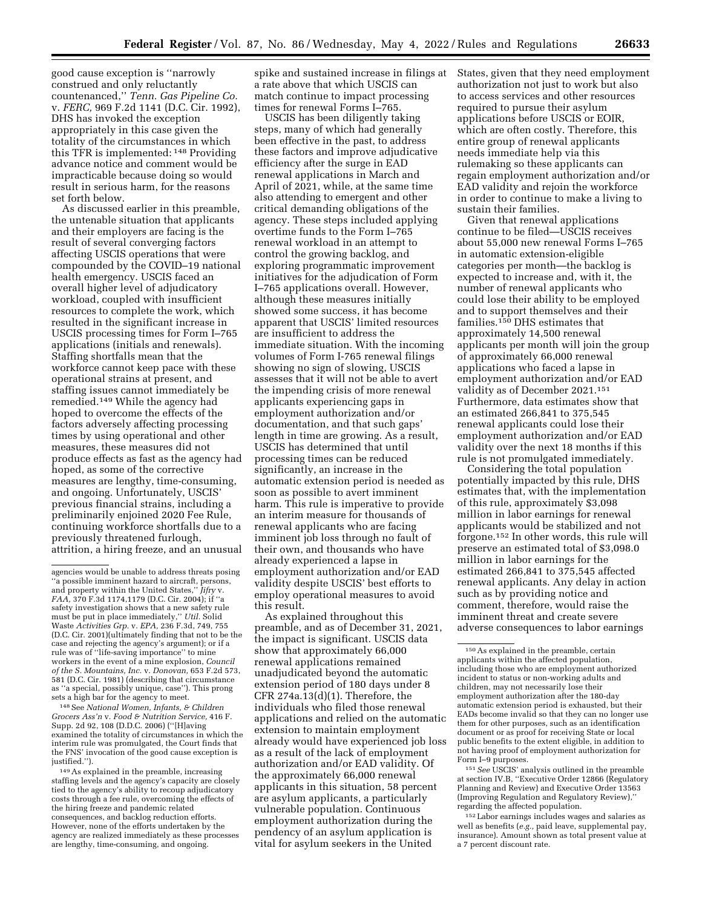good cause exception is ''narrowly construed and only reluctantly countenanced,'' *Tenn. Gas Pipeline Co.*  v. *FERC,* 969 F.2d 1141 (D.C. Cir. 1992), DHS has invoked the exception appropriately in this case given the totality of the circumstances in which this TFR is implemented: 148 Providing advance notice and comment would be impracticable because doing so would result in serious harm, for the reasons set forth below.

As discussed earlier in this preamble, the untenable situation that applicants and their employers are facing is the result of several converging factors affecting USCIS operations that were compounded by the COVID–19 national health emergency. USCIS faced an overall higher level of adjudicatory workload, coupled with insufficient resources to complete the work, which resulted in the significant increase in USCIS processing times for Form I–765 applications (initials and renewals). Staffing shortfalls mean that the workforce cannot keep pace with these operational strains at present, and staffing issues cannot immediately be remedied.149 While the agency had hoped to overcome the effects of the factors adversely affecting processing times by using operational and other measures, these measures did not produce effects as fast as the agency had hoped, as some of the corrective measures are lengthy, time-consuming, and ongoing. Unfortunately, USCIS' previous financial strains, including a preliminarily enjoined 2020 Fee Rule, continuing workforce shortfalls due to a previously threatened furlough, attrition, a hiring freeze, and an unusual

148See *National Women, Infants, & Children Grocers Ass'n* v. *Food & Nutrition Service,* 416 F. Supp. 2d 92, 108 (D.D.C. 2006) (''[H]aving examined the totality of circumstances in which the interim rule was promulgated, the Court finds that the FNS' invocation of the good cause exception is justified.'').

149As explained in the preamble, increasing staffing levels and the agency's capacity are closely tied to the agency's ability to recoup adjudicatory costs through a fee rule, overcoming the effects of the hiring freeze and pandemic related consequences, and backlog reduction efforts. However, none of the efforts undertaken by the agency are realized immediately as these processes are lengthy, time-consuming, and ongoing.

spike and sustained increase in filings at a rate above that which USCIS can match continue to impact processing times for renewal Forms I–765.

USCIS has been diligently taking steps, many of which had generally been effective in the past, to address these factors and improve adjudicative efficiency after the surge in EAD renewal applications in March and April of 2021, while, at the same time also attending to emergent and other critical demanding obligations of the agency. These steps included applying overtime funds to the Form I–765 renewal workload in an attempt to control the growing backlog, and exploring programmatic improvement initiatives for the adjudication of Form I–765 applications overall. However, although these measures initially showed some success, it has become apparent that USCIS' limited resources are insufficient to address the immediate situation. With the incoming volumes of Form I-765 renewal filings showing no sign of slowing, USCIS assesses that it will not be able to avert the impending crisis of more renewal applicants experiencing gaps in employment authorization and/or documentation, and that such gaps' length in time are growing. As a result, USCIS has determined that until processing times can be reduced significantly, an increase in the automatic extension period is needed as soon as possible to avert imminent harm. This rule is imperative to provide an interim measure for thousands of renewal applicants who are facing imminent job loss through no fault of their own, and thousands who have already experienced a lapse in employment authorization and/or EAD validity despite USCIS' best efforts to employ operational measures to avoid this result.

As explained throughout this preamble, and as of December 31, 2021, the impact is significant. USCIS data show that approximately 66,000 renewal applications remained unadjudicated beyond the automatic extension period of 180 days under 8 CFR  $274a.13(d)(1)$ . Therefore, the individuals who filed those renewal applications and relied on the automatic extension to maintain employment already would have experienced job loss as a result of the lack of employment authorization and/or EAD validity. Of the approximately 66,000 renewal applicants in this situation, 58 percent are asylum applicants, a particularly vulnerable population. Continuous employment authorization during the pendency of an asylum application is vital for asylum seekers in the United

States, given that they need employment authorization not just to work but also to access services and other resources required to pursue their asylum applications before USCIS or EOIR, which are often costly. Therefore, this entire group of renewal applicants needs immediate help via this rulemaking so these applicants can regain employment authorization and/or EAD validity and rejoin the workforce in order to continue to make a living to sustain their families.

Given that renewal applications continue to be filed—USCIS receives about 55,000 new renewal Forms I–765 in automatic extension-eligible categories per month—the backlog is expected to increase and, with it, the number of renewal applicants who could lose their ability to be employed and to support themselves and their families.150 DHS estimates that approximately 14,500 renewal applicants per month will join the group of approximately 66,000 renewal applications who faced a lapse in employment authorization and/or EAD validity as of December 2021.151 Furthermore, data estimates show that an estimated 266,841 to 375,545 renewal applicants could lose their employment authorization and/or EAD validity over the next 18 months if this rule is not promulgated immediately.

Considering the total population potentially impacted by this rule, DHS estimates that, with the implementation of this rule, approximately \$3,098 million in labor earnings for renewal applicants would be stabilized and not forgone.152 In other words, this rule will preserve an estimated total of \$3,098.0 million in labor earnings for the estimated 266,841 to 375,545 affected renewal applicants. Any delay in action such as by providing notice and comment, therefore, would raise the imminent threat and create severe adverse consequences to labor earnings

151*See* USCIS' analysis outlined in the preamble at section IV.B, ''Executive Order 12866 (Regulatory Planning and Review) and Executive Order 13563 (Improving Regulation and Regulatory Review),'' regarding the affected population.

152Labor earnings includes wages and salaries as well as benefits (*e.g.,* paid leave, supplemental pay, insurance). Amount shown as total present value at a 7 percent discount rate.

agencies would be unable to address threats posing ''a possible imminent hazard to aircraft, persons, and property within the United States,'' *Jifry* v. *FAA,* 370 F.3d 1174,1179 (D.C. Cir. 2004); if ''a safety investigation shows that a new safety rule must be put in place immediately,'' *Util.* Solid Waste *Activities Grp.* v. *EPA,* 236 F.3d, 749, 755 (D.C. Cir. 2001)(ultimately finding that not to be the case and rejecting the agency's argument); or if a rule was of ''life-saving importance'' to mine workers in the event of a mine explosion, *Council of the S. Mountains, Inc.* v. *Donovan,* 653 F.2d 573, 581 (D.C. Cir. 1981) (describing that circumstance as ''a special, possibly unique, case''). This prong sets a high bar for the agency to meet.

<sup>150</sup>As explained in the preamble, certain applicants within the affected population, including those who are employment authorized incident to status or non-working adults and children, may not necessarily lose their employment authorization after the 180-day automatic extension period is exhausted, but their EADs become invalid so that they can no longer use them for other purposes, such as an identification document or as proof for receiving State or local public benefits to the extent eligible, in addition to not having proof of employment authorization for Form I–9 purposes.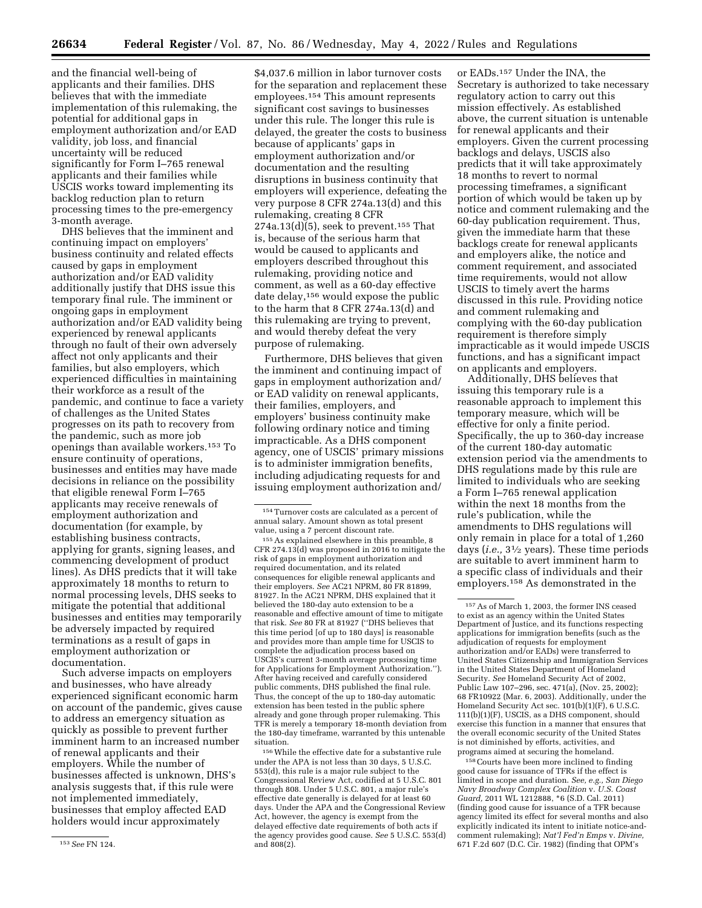and the financial well-being of applicants and their families. DHS believes that with the immediate implementation of this rulemaking, the potential for additional gaps in employment authorization and/or EAD validity, job loss, and financial uncertainty will be reduced significantly for Form I–765 renewal applicants and their families while USCIS works toward implementing its backlog reduction plan to return processing times to the pre-emergency 3-month average.

DHS believes that the imminent and continuing impact on employers' business continuity and related effects caused by gaps in employment authorization and/or EAD validity additionally justify that DHS issue this temporary final rule. The imminent or ongoing gaps in employment authorization and/or EAD validity being experienced by renewal applicants through no fault of their own adversely affect not only applicants and their families, but also employers, which experienced difficulties in maintaining their workforce as a result of the pandemic, and continue to face a variety of challenges as the United States progresses on its path to recovery from the pandemic, such as more job openings than available workers.153 To ensure continuity of operations, businesses and entities may have made decisions in reliance on the possibility that eligible renewal Form I–765 applicants may receive renewals of employment authorization and documentation (for example, by establishing business contracts, applying for grants, signing leases, and commencing development of product lines). As DHS predicts that it will take approximately 18 months to return to normal processing levels, DHS seeks to mitigate the potential that additional businesses and entities may temporarily be adversely impacted by required terminations as a result of gaps in employment authorization or documentation.

Such adverse impacts on employers and businesses, who have already experienced significant economic harm on account of the pandemic, gives cause to address an emergency situation as quickly as possible to prevent further imminent harm to an increased number of renewal applicants and their employers. While the number of businesses affected is unknown, DHS's analysis suggests that, if this rule were not implemented immediately, businesses that employ affected EAD holders would incur approximately

\$4,037.6 million in labor turnover costs for the separation and replacement these employees.154 This amount represents significant cost savings to businesses under this rule. The longer this rule is delayed, the greater the costs to business because of applicants' gaps in employment authorization and/or documentation and the resulting disruptions in business continuity that employers will experience, defeating the very purpose 8 CFR 274a.13(d) and this rulemaking, creating 8 CFR  $274a.13(d)\overline{(5)}$ , seek to prevent.<sup>155</sup> That is, because of the serious harm that would be caused to applicants and employers described throughout this rulemaking, providing notice and comment, as well as a 60-day effective date delay,156 would expose the public to the harm that 8 CFR 274a.13(d) and this rulemaking are trying to prevent, and would thereby defeat the very purpose of rulemaking.

Furthermore, DHS believes that given the imminent and continuing impact of gaps in employment authorization and/ or EAD validity on renewal applicants, their families, employers, and employers' business continuity make following ordinary notice and timing impracticable. As a DHS component agency, one of USCIS' primary missions is to administer immigration benefits, including adjudicating requests for and issuing employment authorization and/

155As explained elsewhere in this preamble, 8 CFR 274.13(d) was proposed in 2016 to mitigate the risk of gaps in employment authorization and required documentation, and its related consequences for eligible renewal applicants and their employers. *See* AC21 NPRM, 80 FR 81899, 81927. In the AC21 NPRM, DHS explained that it believed the 180-day auto extension to be a reasonable and effective amount of time to mitigate that risk. *See* 80 FR at 81927 (''DHS believes that this time period [of up to 180 days] is reasonable and provides more than ample time for USCIS to complete the adjudication process based on USCIS's current 3-month average processing time for Applications for Employment Authorization.''). After having received and carefully considered public comments, DHS published the final rule. Thus, the concept of the up to 180-day automatic extension has been tested in the public sphere already and gone through proper rulemaking. This TFR is merely a temporary 18-month deviation from the 180-day timeframe, warranted by this untenable situation.

156While the effective date for a substantive rule under the APA is not less than 30 days, 5 U.S.C. 553(d), this rule is a major rule subject to the Congressional Review Act, codified at 5 U.S.C. 801 through 808. Under 5 U.S.C. 801, a major rule's effective date generally is delayed for at least 60 days. Under the APA and the Congressional Review Act, however, the agency is exempt from the delayed effective date requirements of both acts if the agency provides good cause. *See* 5 U.S.C. 553(d) and 808(2).

or EADs.157 Under the INA, the Secretary is authorized to take necessary regulatory action to carry out this mission effectively. As established above, the current situation is untenable for renewal applicants and their employers. Given the current processing backlogs and delays, USCIS also predicts that it will take approximately 18 months to revert to normal processing timeframes, a significant portion of which would be taken up by notice and comment rulemaking and the 60-day publication requirement. Thus, given the immediate harm that these backlogs create for renewal applicants and employers alike, the notice and comment requirement, and associated time requirements, would not allow USCIS to timely avert the harms discussed in this rule. Providing notice and comment rulemaking and complying with the 60-day publication requirement is therefore simply impracticable as it would impede USCIS functions, and has a significant impact on applicants and employers.

Additionally, DHS believes that issuing this temporary rule is a reasonable approach to implement this temporary measure, which will be effective for only a finite period. Specifically, the up to 360-day increase of the current 180-day automatic extension period via the amendments to DHS regulations made by this rule are limited to individuals who are seeking a Form I–765 renewal application within the next 18 months from the rule's publication, while the amendments to DHS regulations will only remain in place for a total of 1,260 days (*i.e.,* 31⁄2 years). These time periods are suitable to avert imminent harm to a specific class of individuals and their employers.158 As demonstrated in the

158Courts have been more inclined to finding good cause for issuance of TFRs if the effect is limited in scope and duration. *See, e.g., San Diego Navy Broadway Complex Coalition* v. *U.S. Coast Guard,* 2011 WL 1212888, \*6 (S.D. Cal. 2011) (finding good cause for issuance of a TFR because agency limited its effect for several months and also explicitly indicated its intent to initiate notice-andcomment rulemaking); *Nat'l Fed'n Emps* v. *Divine,*  671 F.2d 607 (D.C. Cir. 1982) (finding that OPM's

<sup>153</sup>*See* FN 124.

<sup>154</sup>Turnover costs are calculated as a percent of annual salary. Amount shown as total present value, using a 7 percent discount rate.

<sup>157</sup>As of March 1, 2003, the former INS ceased to exist as an agency within the United States Department of Justice, and its functions respecting applications for immigration benefits (such as the adjudication of requests for employment authorization and/or EADs) were transferred to United States Citizenship and Immigration Services in the United States Department of Homeland Security. *See* Homeland Security Act of 2002, Public Law 107–296, sec. 471(a), (Nov. 25, 2002); 68 FR10922 (Mar. 6, 2003). Additionally, under the Homeland Security Act sec. 101(b)(1)(F), 6 U.S.C. 111(b)(1)(F), USCIS, as a DHS component, should exercise this function in a manner that ensures that the overall economic security of the United States is not diminished by efforts, activities, and programs aimed at securing the homeland.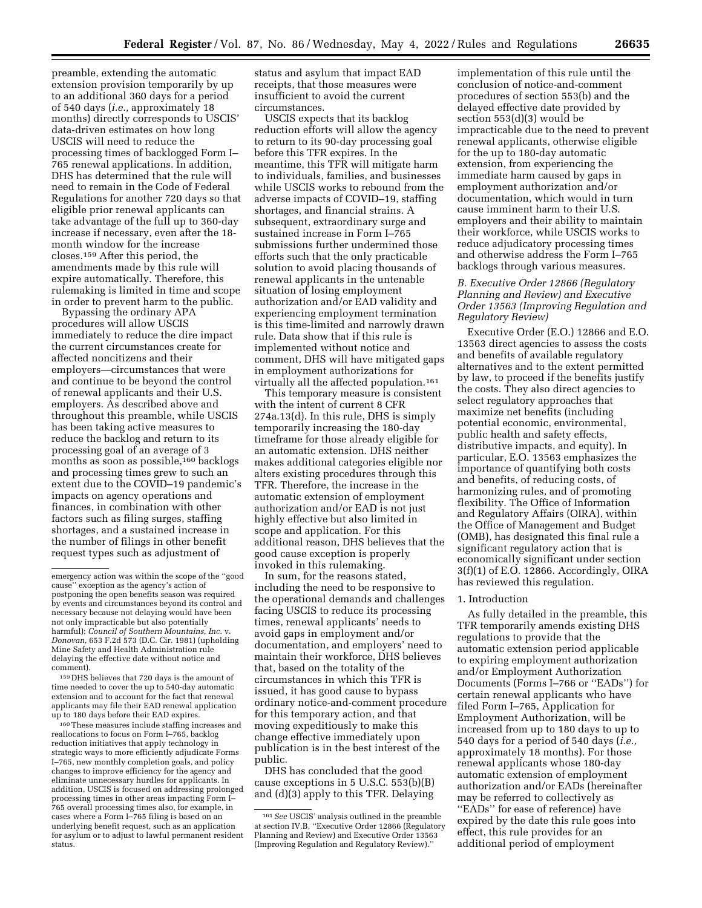preamble, extending the automatic extension provision temporarily by up to an additional 360 days for a period of 540 days (*i.e.,* approximately 18 months) directly corresponds to USCIS' data-driven estimates on how long USCIS will need to reduce the processing times of backlogged Form I– 765 renewal applications. In addition, DHS has determined that the rule will need to remain in the Code of Federal Regulations for another 720 days so that eligible prior renewal applicants can take advantage of the full up to 360-day increase if necessary, even after the 18 month window for the increase closes.159 After this period, the amendments made by this rule will expire automatically. Therefore, this rulemaking is limited in time and scope in order to prevent harm to the public.

Bypassing the ordinary APA procedures will allow USCIS immediately to reduce the dire impact the current circumstances create for affected noncitizens and their employers—circumstances that were and continue to be beyond the control of renewal applicants and their U.S. employers. As described above and throughout this preamble, while USCIS has been taking active measures to reduce the backlog and return to its processing goal of an average of 3 months as soon as possible,<sup>160</sup> backlogs and processing times grew to such an extent due to the COVID–19 pandemic's impacts on agency operations and finances, in combination with other factors such as filing surges, staffing shortages, and a sustained increase in the number of filings in other benefit request types such as adjustment of

159 DHS believes that 720 days is the amount of time needed to cover the up to 540-day automatic extension and to account for the fact that renewal applicants may file their EAD renewal application up to 180 days before their EAD expires.

160These measures include staffing increases and reallocations to focus on Form I–765, backlog reduction initiatives that apply technology in strategic ways to more efficiently adjudicate Forms I–765, new monthly completion goals, and policy changes to improve efficiency for the agency and eliminate unnecessary hurdles for applicants. In addition, USCIS is focused on addressing prolonged processing times in other areas impacting Form I– 765 overall processing times also, for example, in cases where a Form I–765 filing is based on an underlying benefit request, such as an application for asylum or to adjust to lawful permanent resident status.

status and asylum that impact EAD receipts, that those measures were insufficient to avoid the current circumstances.

USCIS expects that its backlog reduction efforts will allow the agency to return to its 90-day processing goal before this TFR expires. In the meantime, this TFR will mitigate harm to individuals, families, and businesses while USCIS works to rebound from the adverse impacts of COVID–19, staffing shortages, and financial strains. A subsequent, extraordinary surge and sustained increase in Form I–765 submissions further undermined those efforts such that the only practicable solution to avoid placing thousands of renewal applicants in the untenable situation of losing employment authorization and/or EAD validity and experiencing employment termination is this time-limited and narrowly drawn rule. Data show that if this rule is implemented without notice and comment, DHS will have mitigated gaps in employment authorizations for virtually all the affected population.<sup>161</sup>

This temporary measure is consistent with the intent of current 8 CFR 274a.13(d). In this rule, DHS is simply temporarily increasing the 180-day timeframe for those already eligible for an automatic extension. DHS neither makes additional categories eligible nor alters existing procedures through this TFR. Therefore, the increase in the automatic extension of employment authorization and/or EAD is not just highly effective but also limited in scope and application. For this additional reason, DHS believes that the good cause exception is properly invoked in this rulemaking.

In sum, for the reasons stated, including the need to be responsive to the operational demands and challenges facing USCIS to reduce its processing times, renewal applicants' needs to avoid gaps in employment and/or documentation, and employers' need to maintain their workforce, DHS believes that, based on the totality of the circumstances in which this TFR is issued, it has good cause to bypass ordinary notice-and-comment procedure for this temporary action, and that moving expeditiously to make this change effective immediately upon publication is in the best interest of the public.

DHS has concluded that the good cause exceptions in 5 U.S.C. 553(b)(B) and (d)(3) apply to this TFR. Delaying implementation of this rule until the conclusion of notice-and-comment procedures of section 553(b) and the delayed effective date provided by section 553(d)(3) would be impracticable due to the need to prevent renewal applicants, otherwise eligible for the up to 180-day automatic extension, from experiencing the immediate harm caused by gaps in employment authorization and/or documentation, which would in turn cause imminent harm to their U.S. employers and their ability to maintain their workforce, while USCIS works to reduce adjudicatory processing times and otherwise address the Form I–765 backlogs through various measures.

# *B. Executive Order 12866 (Regulatory Planning and Review) and Executive Order 13563 (Improving Regulation and Regulatory Review)*

Executive Order (E.O.) 12866 and E.O. 13563 direct agencies to assess the costs and benefits of available regulatory alternatives and to the extent permitted by law, to proceed if the benefits justify the costs. They also direct agencies to select regulatory approaches that maximize net benefits (including potential economic, environmental, public health and safety effects, distributive impacts, and equity). In particular, E.O. 13563 emphasizes the importance of quantifying both costs and benefits, of reducing costs, of harmonizing rules, and of promoting flexibility. The Office of Information and Regulatory Affairs (OIRA), within the Office of Management and Budget (OMB), has designated this final rule a significant regulatory action that is economically significant under section 3(f)(1) of E.O. 12866. Accordingly, OIRA has reviewed this regulation.

# 1. Introduction

As fully detailed in the preamble, this TFR temporarily amends existing DHS regulations to provide that the automatic extension period applicable to expiring employment authorization and/or Employment Authorization Documents (Forms I–766 or ''EADs'') for certain renewal applicants who have filed Form I–765, Application for Employment Authorization, will be increased from up to 180 days to up to 540 days for a period of 540 days (*i.e.,*  approximately 18 months). For those renewal applicants whose 180-day automatic extension of employment authorization and/or EADs (hereinafter may be referred to collectively as ''EADs'' for ease of reference) have expired by the date this rule goes into effect, this rule provides for an additional period of employment

emergency action was within the scope of the ''good cause'' exception as the agency's action of postponing the open benefits season was required by events and circumstances beyond its control and necessary because not delaying would have been not only impracticable but also potentially harmful); *Council of Southern Mountains, Inc.* v. *Donovan,* 653 F.2d 573 (D.C. Cir. 1981) (upholding Mine Safety and Health Administration rule delaying the effective date without notice and comment).

<sup>161</sup>*See* USCIS' analysis outlined in the preamble at section IV.B, ''Executive Order 12866 (Regulatory Planning and Review) and Executive Order 13563 (Improving Regulation and Regulatory Review).''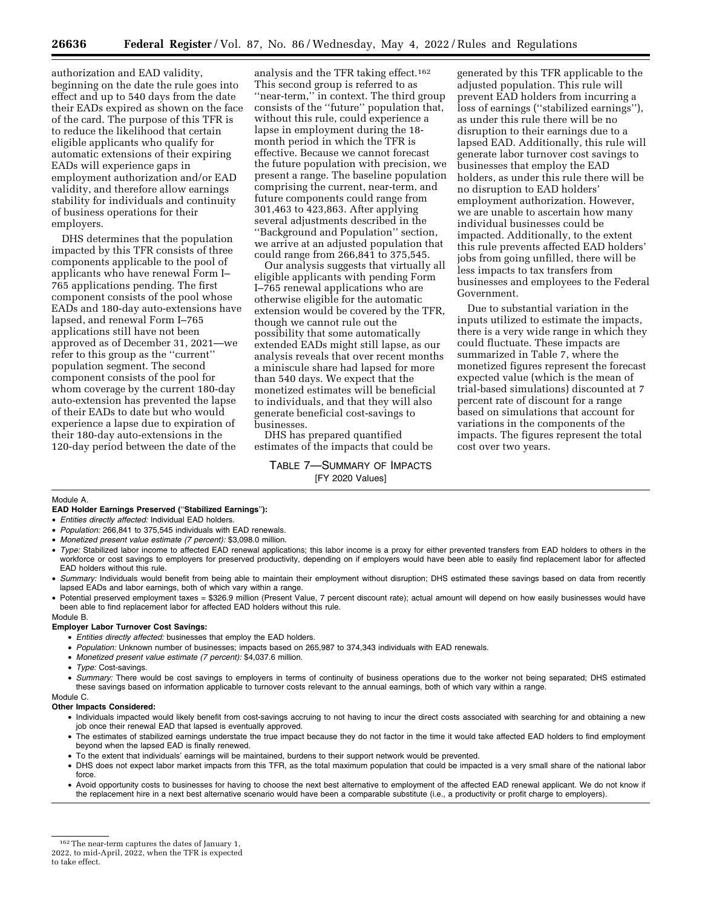authorization and EAD validity, beginning on the date the rule goes into effect and up to 540 days from the date their EADs expired as shown on the face of the card. The purpose of this TFR is to reduce the likelihood that certain eligible applicants who qualify for automatic extensions of their expiring EADs will experience gaps in employment authorization and/or EAD validity, and therefore allow earnings stability for individuals and continuity of business operations for their employers.

DHS determines that the population impacted by this TFR consists of three components applicable to the pool of applicants who have renewal Form I– 765 applications pending. The first component consists of the pool whose EADs and 180-day auto-extensions have lapsed, and renewal Form I–765 applications still have not been approved as of December 31, 2021—we refer to this group as the ''current'' population segment. The second component consists of the pool for whom coverage by the current 180-day auto-extension has prevented the lapse of their EADs to date but who would experience a lapse due to expiration of their 180-day auto-extensions in the 120-day period between the date of the

analysis and the TFR taking effect.162 This second group is referred to as "near-term," in context. The third group consists of the ''future'' population that, without this rule, could experience a lapse in employment during the 18 month period in which the TFR is effective. Because we cannot forecast the future population with precision, we present a range. The baseline population comprising the current, near-term, and future components could range from 301,463 to 423,863. After applying several adjustments described in the ''Background and Population'' section, we arrive at an adjusted population that could range from 266,841 to 375,545.

Our analysis suggests that virtually all eligible applicants with pending Form I–765 renewal applications who are otherwise eligible for the automatic extension would be covered by the TFR, though we cannot rule out the possibility that some automatically extended EADs might still lapse, as our analysis reveals that over recent months a miniscule share had lapsed for more than 540 days. We expect that the monetized estimates will be beneficial to individuals, and that they will also generate beneficial cost-savings to businesses.

DHS has prepared quantified estimates of the impacts that could be

TABLE 7—SUMMARY OF IMPACTS [FY 2020 Values]

generated by this TFR applicable to the adjusted population. This rule will prevent EAD holders from incurring a loss of earnings (''stabilized earnings''), as under this rule there will be no disruption to their earnings due to a lapsed EAD. Additionally, this rule will generate labor turnover cost savings to businesses that employ the EAD holders, as under this rule there will be no disruption to EAD holders' employment authorization. However, we are unable to ascertain how many individual businesses could be impacted. Additionally, to the extent this rule prevents affected EAD holders' jobs from going unfilled, there will be less impacts to tax transfers from businesses and employees to the Federal Government.

Due to substantial variation in the inputs utilized to estimate the impacts, there is a very wide range in which they could fluctuate. These impacts are summarized in Table 7, where the monetized figures represent the forecast expected value (which is the mean of trial-based simulations) discounted at 7 percent rate of discount for a range based on simulations that account for variations in the components of the impacts. The figures represent the total cost over two years.

#### Module A.

**EAD Holder Earnings Preserved (**''**Stabilized Earnings**''**):** 

- *Entities directly affected:* Individual EAD holders.
- *Population:* 266,841 to 375,545 individuals with EAD renewals.
- *Monetized present value estimate (7 percent):* \$3,098.0 million.
- *Type:* Stabilized labor income to affected EAD renewal applications; this labor income is a proxy for either prevented transfers from EAD holders to others in the workforce or cost savings to employers for preserved productivity, depending on if employers would have been able to easily find replacement labor for affected EAD holders without this rule.
- *Summary:* Individuals would benefit from being able to maintain their employment without disruption; DHS estimated these savings based on data from recently lapsed EADs and labor earnings, both of which vary within a range.
- Potential preserved employment taxes = \$326.9 million (Present Value, 7 percent discount rate); actual amount will depend on how easily businesses would have been able to find replacement labor for affected EAD holders without this rule.

#### Module B.

#### **Employer Labor Turnover Cost Savings:**

- *Entities directly affected:* businesses that employ the EAD holders.
- *Population:* Unknown number of businesses; impacts based on 265,987 to 374,343 individuals with EAD renewals.
- *Monetized present value estimate (7 percent):* \$4,037.6 million.
- *Type:* Cost-savings.

• *Summary:* There would be cost savings to employers in terms of continuity of business operations due to the worker not being separated; DHS estimated these savings based on information applicable to turnover costs relevant to the annual earnings, both of which vary within a range.

#### Module C.

#### **Other Impacts Considered:**

- Individuals impacted would likely benefit from cost-savings accruing to not having to incur the direct costs associated with searching for and obtaining a new job once their renewal EAD that lapsed is eventually approved.
- The estimates of stabilized earnings understate the true impact because they do not factor in the time it would take affected EAD holders to find employment beyond when the lapsed EAD is finally renewed.
- To the extent that individuals' earnings will be maintained, burdens to their support network would be prevented.
- DHS does not expect labor market impacts from this TFR, as the total maximum population that could be impacted is a very small share of the national labor force.
- Avoid opportunity costs to businesses for having to choose the next best alternative to employment of the affected EAD renewal applicant. We do not know if the replacement hire in a next best alternative scenario would have been a comparable substitute (i.e., a productivity or profit charge to employers).

to take effect.

<sup>162</sup>The near-term captures the dates of January 1,

<sup>2022,</sup> to mid-April, 2022, when the TFR is expected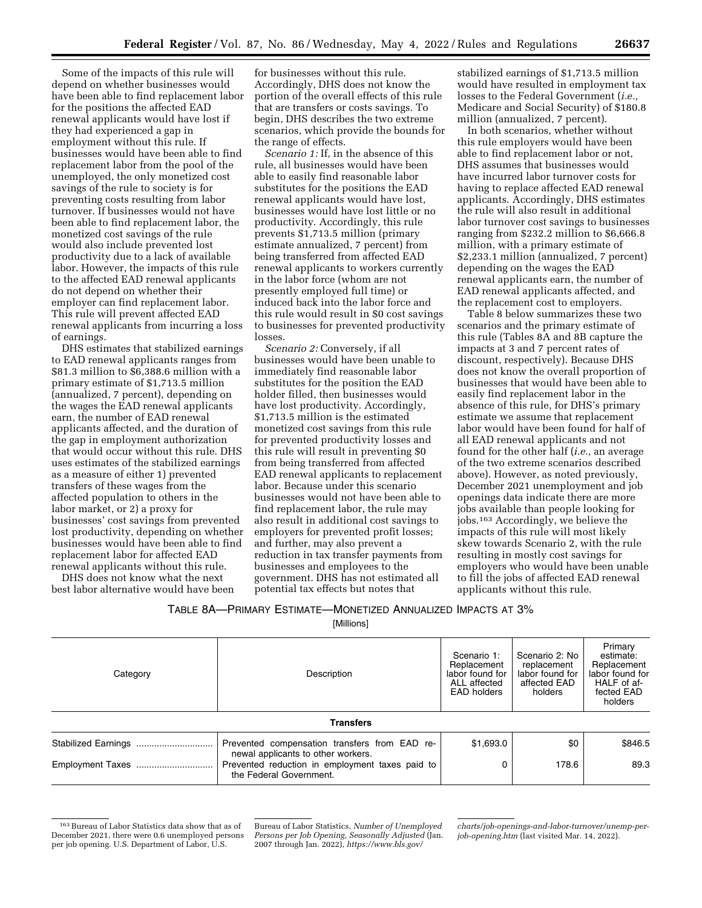Some of the impacts of this rule will depend on whether businesses would have been able to find replacement labor for the positions the affected EAD renewal applicants would have lost if they had experienced a gap in employment without this rule. If businesses would have been able to find replacement labor from the pool of the unemployed, the only monetized cost savings of the rule to society is for preventing costs resulting from labor turnover. If businesses would not have been able to find replacement labor, the monetized cost savings of the rule would also include prevented lost productivity due to a lack of available labor. However, the impacts of this rule to the affected EAD renewal applicants do not depend on whether their employer can find replacement labor. This rule will prevent affected EAD renewal applicants from incurring a loss of earnings.

DHS estimates that stabilized earnings to EAD renewal applicants ranges from \$81.3 million to \$6,388.6 million with a primary estimate of \$1,713.5 million (annualized, 7 percent), depending on the wages the EAD renewal applicants earn, the number of EAD renewal applicants affected, and the duration of the gap in employment authorization that would occur without this rule. DHS uses estimates of the stabilized earnings as a measure of either 1) prevented transfers of these wages from the affected population to others in the labor market, or 2) a proxy for businesses' cost savings from prevented lost productivity, depending on whether businesses would have been able to find replacement labor for affected EAD renewal applicants without this rule.

DHS does not know what the next best labor alternative would have been for businesses without this rule. Accordingly, DHS does not know the portion of the overall effects of this rule that are transfers or costs savings. To begin, DHS describes the two extreme scenarios, which provide the bounds for the range of effects.

*Scenario 1:* If, in the absence of this rule, all businesses would have been able to easily find reasonable labor substitutes for the positions the EAD renewal applicants would have lost, businesses would have lost little or no productivity. Accordingly, this rule prevents \$1,713.5 million (primary estimate annualized, 7 percent) from being transferred from affected EAD renewal applicants to workers currently in the labor force (whom are not presently employed full time) or induced back into the labor force and this rule would result in \$0 cost savings to businesses for prevented productivity losses.

*Scenario 2:* Conversely, if all businesses would have been unable to immediately find reasonable labor substitutes for the position the EAD holder filled, then businesses would have lost productivity. Accordingly, \$1,713.5 million is the estimated monetized cost savings from this rule for prevented productivity losses and this rule will result in preventing \$0 from being transferred from affected EAD renewal applicants to replacement labor. Because under this scenario businesses would not have been able to find replacement labor, the rule may also result in additional cost savings to employers for prevented profit losses; and further, may also prevent a reduction in tax transfer payments from businesses and employees to the government. DHS has not estimated all potential tax effects but notes that

stabilized earnings of \$1,713.5 million would have resulted in employment tax losses to the Federal Government (*i.e.,*  Medicare and Social Security) of \$180.8 million (annualized, 7 percent).

In both scenarios, whether without this rule employers would have been able to find replacement labor or not, DHS assumes that businesses would have incurred labor turnover costs for having to replace affected EAD renewal applicants. Accordingly, DHS estimates the rule will also result in additional labor turnover cost savings to businesses ranging from \$232.2 million to \$6,666.8 million, with a primary estimate of \$2,233.1 million (annualized, 7 percent) depending on the wages the EAD renewal applicants earn, the number of EAD renewal applicants affected, and the replacement cost to employers.

Table 8 below summarizes these two scenarios and the primary estimate of this rule (Tables 8A and 8B capture the impacts at 3 and 7 percent rates of discount, respectively). Because DHS does not know the overall proportion of businesses that would have been able to easily find replacement labor in the absence of this rule, for DHS's primary estimate we assume that replacement labor would have been found for half of all EAD renewal applicants and not found for the other half (*i.e.,* an average of the two extreme scenarios described above). However, as noted previously, December 2021 unemployment and job openings data indicate there are more jobs available than people looking for jobs.163 Accordingly, we believe the impacts of this rule will most likely skew towards Scenario 2, with the rule resulting in mostly cost savings for employers who would have been unable to fill the jobs of affected EAD renewal applicants without this rule.

| TABLE 8A-PRIMARY ESTIMATE-MONETIZED ANNUALIZED IMPACTS AT 3% |  |  |  |  |  |
|--------------------------------------------------------------|--|--|--|--|--|
|--------------------------------------------------------------|--|--|--|--|--|

[Millions]

| Description<br>Category |                                                                                     | Scenario 1:<br>Replacement<br>labor found for<br>ALL affected<br>EAD holders | Scenario 2: No<br>replacement<br>labor found for<br>affected EAD<br>holders | Primary<br>estimate:<br>Replacement<br>labor found for<br>HALF of af-<br>fected EAD<br>holders |
|-------------------------|-------------------------------------------------------------------------------------|------------------------------------------------------------------------------|-----------------------------------------------------------------------------|------------------------------------------------------------------------------------------------|
|                         | <b>Transfers</b>                                                                    |                                                                              |                                                                             |                                                                                                |
|                         | Prevented compensation transfers from EAD re-<br>newal applicants to other workers. | \$1,693.0                                                                    | \$0                                                                         | \$846.5                                                                                        |
|                         | Prevented reduction in employment taxes paid to<br>the Federal Government.          | 0                                                                            | 178.6                                                                       | 89.3                                                                                           |

<sup>163</sup>Bureau of Labor Statistics data show that as of December 2021, there were 0.6 unemployed persons per job opening. U.S. Department of Labor, U.S.

Bureau of Labor Statistics, *Number of Unemployed Persons per Job Opening, Seasonally Adjusted* (Jan. 2007 through Jan. 2022), *[https://www.bls.gov/](https://www.bls.gov/charts/job-openings-and-labor-turnover/unemp-per-job-opening.htm)* 

*[charts/job-openings-and-labor-turnover/unemp-per](https://www.bls.gov/charts/job-openings-and-labor-turnover/unemp-per-job-opening.htm)[job-opening.htm](https://www.bls.gov/charts/job-openings-and-labor-turnover/unemp-per-job-opening.htm)* (last visited Mar. 14, 2022).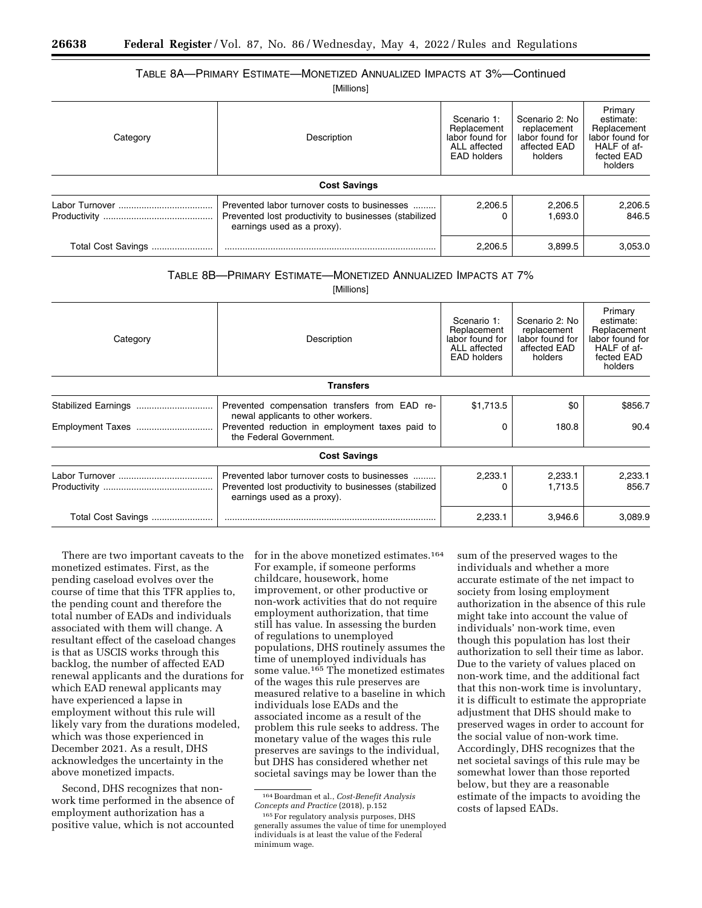# TABLE 8A—PRIMARY ESTIMATE—MONETIZED ANNUALIZED IMPACTS AT 3%—Continued

[Millions]

| Category           | Description                                                                                                                         | Scenario 1:<br>Replacement<br>labor found for<br>ALL affected<br>EAD holders | Scenario 2: No<br>replacement<br>labor found for<br>affected EAD<br>holders | Primary<br>estimate:<br>Replacement<br>labor found for<br>HALF of af-<br>fected EAD<br>holders |
|--------------------|-------------------------------------------------------------------------------------------------------------------------------------|------------------------------------------------------------------------------|-----------------------------------------------------------------------------|------------------------------------------------------------------------------------------------|
|                    | <b>Cost Savings</b>                                                                                                                 |                                                                              |                                                                             |                                                                                                |
|                    | Prevented labor turnover costs to businesses<br>Prevented lost productivity to businesses (stabilized<br>earnings used as a proxy). | 2,206.5                                                                      | 2,206.5<br>1.693.0                                                          | 2,206.5<br>846.5                                                                               |
| Total Cost Savings |                                                                                                                                     | 2,206.5                                                                      | 3.899.5                                                                     | 3.053.0                                                                                        |

# TABLE 8B—PRIMARY ESTIMATE—MONETIZED ANNUALIZED IMPACTS AT 7%

[Millions]

| Category           | Description                                                                                                                                                       | Scenario 1:<br>Replacement<br>labor found for<br>ALL affected<br><b>EAD holders</b> | Scenario 2: No<br>replacement<br>labor found for<br>affected EAD<br>holders | Primary<br>estimate:<br>Replacement<br>labor found for<br>HALF of af-<br>fected EAD<br>holders |
|--------------------|-------------------------------------------------------------------------------------------------------------------------------------------------------------------|-------------------------------------------------------------------------------------|-----------------------------------------------------------------------------|------------------------------------------------------------------------------------------------|
|                    | <b>Transfers</b>                                                                                                                                                  |                                                                                     |                                                                             |                                                                                                |
| Employment Taxes   | Prevented compensation transfers from EAD re-<br>newal applicants to other workers.<br>Prevented reduction in employment taxes paid to<br>the Federal Government. | \$1,713.5<br>0                                                                      | \$0<br>180.8                                                                | \$856.7<br>90.4                                                                                |
|                    | <b>Cost Savings</b>                                                                                                                                               |                                                                                     |                                                                             |                                                                                                |
|                    | Prevented labor turnover costs to businesses<br>Prevented lost productivity to businesses (stabilized<br>earnings used as a proxy).                               | 2,233.1                                                                             | 2,233.1<br>1,713.5                                                          | 2,233.1<br>856.7                                                                               |
| Total Cost Savings | 2,233.1<br>3,946.6                                                                                                                                                |                                                                                     |                                                                             | 3,089.9                                                                                        |

There are two important caveats to the monetized estimates. First, as the pending caseload evolves over the course of time that this TFR applies to, the pending count and therefore the total number of EADs and individuals associated with them will change. A resultant effect of the caseload changes is that as USCIS works through this backlog, the number of affected EAD renewal applicants and the durations for which EAD renewal applicants may have experienced a lapse in employment without this rule will likely vary from the durations modeled, which was those experienced in December 2021. As a result, DHS acknowledges the uncertainty in the above monetized impacts.

Second, DHS recognizes that nonwork time performed in the absence of employment authorization has a positive value, which is not accounted

for in the above monetized estimates.164 For example, if someone performs childcare, housework, home improvement, or other productive or non-work activities that do not require employment authorization, that time still has value. In assessing the burden of regulations to unemployed populations, DHS routinely assumes the time of unemployed individuals has some value.165 The monetized estimates of the wages this rule preserves are measured relative to a baseline in which individuals lose EADs and the associated income as a result of the problem this rule seeks to address. The monetary value of the wages this rule preserves are savings to the individual, but DHS has considered whether net societal savings may be lower than the

sum of the preserved wages to the individuals and whether a more accurate estimate of the net impact to society from losing employment authorization in the absence of this rule might take into account the value of individuals' non-work time, even though this population has lost their authorization to sell their time as labor. Due to the variety of values placed on non-work time, and the additional fact that this non-work time is involuntary, it is difficult to estimate the appropriate adjustment that DHS should make to preserved wages in order to account for the social value of non-work time. Accordingly, DHS recognizes that the net societal savings of this rule may be somewhat lower than those reported below, but they are a reasonable estimate of the impacts to avoiding the costs of lapsed EADs.

<sup>164</sup>Boardman et al., *Cost-Benefit Analysis Concepts and Practice* (2018), p.152

<sup>165</sup>For regulatory analysis purposes, DHS generally assumes the value of time for unemployed individuals is at least the value of the Federal minimum wage.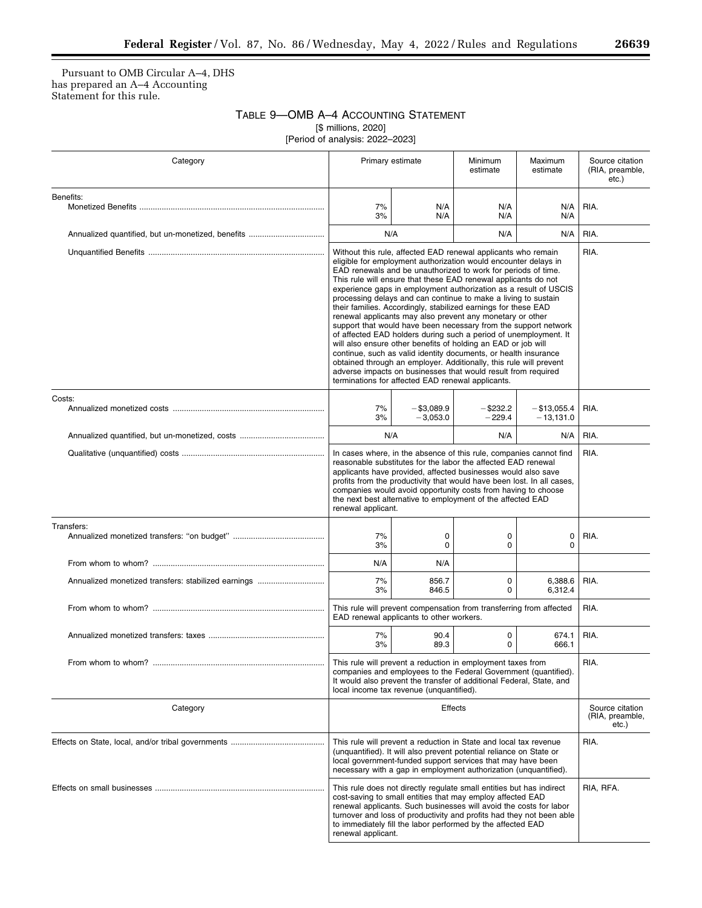$\equiv$ 

Pursuant to OMB Circular A–4, DHS has prepared an A–4 Accounting Statement for this rule.

> TABLE 9—OMB A–4 ACCOUNTING STATEMENT [\$ millions, 2020]

[Period of analysis: 2022–2023]

| Category                                            |                                                                                                                                                                                                                                                                                                                                                                                                                                                                                                                                                                                                                                                                                                                                                                                                                                                                                                                                                                                                                 | Primary estimate            | Minimum<br>estimate                         | Maximum<br>estimate           | Source citation<br>(RIA, preamble,<br>etc.) |
|-----------------------------------------------------|-----------------------------------------------------------------------------------------------------------------------------------------------------------------------------------------------------------------------------------------------------------------------------------------------------------------------------------------------------------------------------------------------------------------------------------------------------------------------------------------------------------------------------------------------------------------------------------------------------------------------------------------------------------------------------------------------------------------------------------------------------------------------------------------------------------------------------------------------------------------------------------------------------------------------------------------------------------------------------------------------------------------|-----------------------------|---------------------------------------------|-------------------------------|---------------------------------------------|
| Benefits:                                           | 7%<br>3%                                                                                                                                                                                                                                                                                                                                                                                                                                                                                                                                                                                                                                                                                                                                                                                                                                                                                                                                                                                                        | N/A<br>N/A                  | N/A<br>N/A                                  | N/A<br>N/A                    | RIA.                                        |
|                                                     |                                                                                                                                                                                                                                                                                                                                                                                                                                                                                                                                                                                                                                                                                                                                                                                                                                                                                                                                                                                                                 | N/A                         | N/A                                         | N/A                           | RIA.                                        |
|                                                     | Without this rule, affected EAD renewal applicants who remain<br>eligible for employment authorization would encounter delays in<br>EAD renewals and be unauthorized to work for periods of time.<br>This rule will ensure that these EAD renewal applicants do not<br>experience gaps in employment authorization as a result of USCIS<br>processing delays and can continue to make a living to sustain<br>their families. Accordingly, stabilized earnings for these EAD<br>renewal applicants may also prevent any monetary or other<br>support that would have been necessary from the support network<br>of affected EAD holders during such a period of unemployment. It<br>will also ensure other benefits of holding an EAD or job will<br>continue, such as valid identity documents, or health insurance<br>obtained through an employer. Additionally, this rule will prevent<br>adverse impacts on businesses that would result from required<br>terminations for affected EAD renewal applicants. |                             |                                             | RIA.                          |                                             |
| Costs:                                              | 7%<br>3%                                                                                                                                                                                                                                                                                                                                                                                                                                                                                                                                                                                                                                                                                                                                                                                                                                                                                                                                                                                                        | $-$ \$3,089.9<br>$-3.053.0$ |                                             | $-$ \$13,055.4<br>$-13,131.0$ | RIA.                                        |
|                                                     | N/A                                                                                                                                                                                                                                                                                                                                                                                                                                                                                                                                                                                                                                                                                                                                                                                                                                                                                                                                                                                                             |                             | N/A                                         | N/A                           | RIA.                                        |
|                                                     | In cases where, in the absence of this rule, companies cannot find<br>reasonable substitutes for the labor the affected EAD renewal<br>applicants have provided, affected businesses would also save<br>profits from the productivity that would have been lost. In all cases,<br>companies would avoid opportunity costs from having to choose<br>the next best alternative to employment of the affected EAD<br>renewal applicant.                                                                                                                                                                                                                                                                                                                                                                                                                                                                                                                                                                            |                             |                                             | RIA.                          |                                             |
| Transfers:                                          | 7%<br>0<br>0<br>$\mathbf 0$<br>$\Omega$<br>3%                                                                                                                                                                                                                                                                                                                                                                                                                                                                                                                                                                                                                                                                                                                                                                                                                                                                                                                                                                   |                             | 0<br>$\mathbf 0$                            | RIA.                          |                                             |
|                                                     | N/A                                                                                                                                                                                                                                                                                                                                                                                                                                                                                                                                                                                                                                                                                                                                                                                                                                                                                                                                                                                                             | N/A                         |                                             |                               |                                             |
| Annualized monetized transfers: stabilized earnings | 7%<br>3%                                                                                                                                                                                                                                                                                                                                                                                                                                                                                                                                                                                                                                                                                                                                                                                                                                                                                                                                                                                                        | 856.7<br>846.5              | $\mathbf 0$<br>0                            | 6,388.6<br>6,312.4            | RIA.                                        |
|                                                     | This rule will prevent compensation from transferring from affected<br>EAD renewal applicants to other workers.                                                                                                                                                                                                                                                                                                                                                                                                                                                                                                                                                                                                                                                                                                                                                                                                                                                                                                 |                             |                                             | RIA.                          |                                             |
|                                                     | 7%<br>3%                                                                                                                                                                                                                                                                                                                                                                                                                                                                                                                                                                                                                                                                                                                                                                                                                                                                                                                                                                                                        | 90.4<br>89.3                | 0<br>$\Omega$                               | 674.1<br>666.1                | RIA.                                        |
| From whom to whom?.                                 | This rule will prevent a reduction in employment taxes from<br>companies and employees to the Federal Government (quantified).<br>It would also prevent the transfer of additional Federal, State, and<br>local income tax revenue (unquantified).                                                                                                                                                                                                                                                                                                                                                                                                                                                                                                                                                                                                                                                                                                                                                              |                             | RIA.                                        |                               |                                             |
| Category                                            | Effects                                                                                                                                                                                                                                                                                                                                                                                                                                                                                                                                                                                                                                                                                                                                                                                                                                                                                                                                                                                                         |                             | Source citation<br>(RIA, preamble,<br>etc.) |                               |                                             |
|                                                     | RIA.<br>This rule will prevent a reduction in State and local tax revenue<br>(unquantified). It will also prevent potential reliance on State or<br>local government-funded support services that may have been<br>necessary with a gap in employment authorization (unquantified).                                                                                                                                                                                                                                                                                                                                                                                                                                                                                                                                                                                                                                                                                                                             |                             |                                             |                               |                                             |
|                                                     | RIA, RFA.<br>This rule does not directly regulate small entities but has indirect<br>cost-saving to small entities that may employ affected EAD<br>renewal applicants. Such businesses will avoid the costs for labor<br>turnover and loss of productivity and profits had they not been able<br>to immediately fill the labor performed by the affected EAD<br>renewal applicant.                                                                                                                                                                                                                                                                                                                                                                                                                                                                                                                                                                                                                              |                             |                                             |                               |                                             |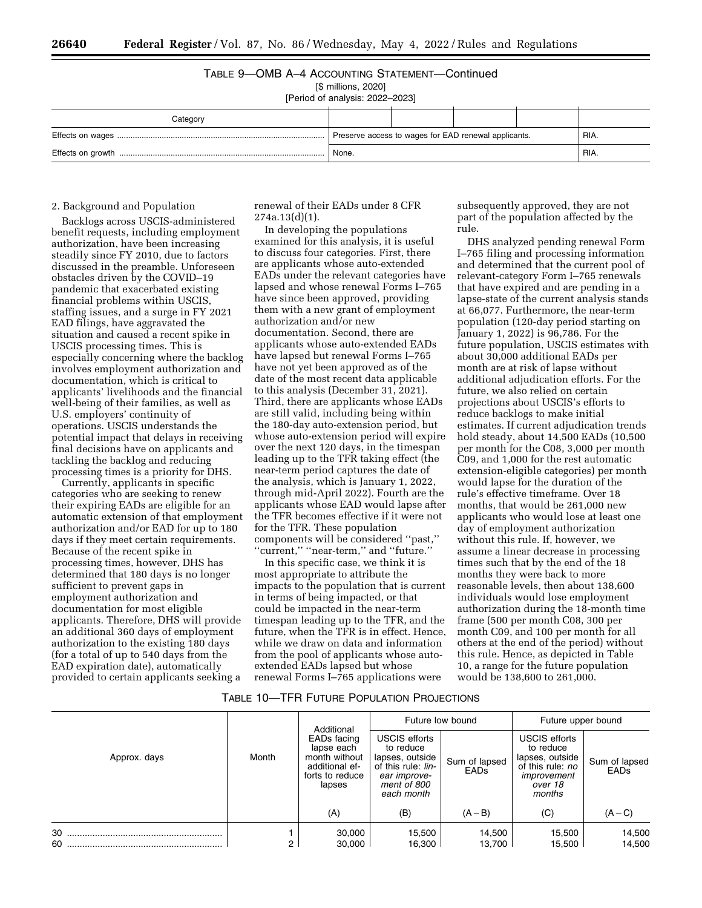### TABLE 9—OMB A–4 ACCOUNTING STATEMENT—Continued

[\$ millions, 2020]

[Period of analysis: 2022–2023]

| Category |                                                      |  |      |  |  |
|----------|------------------------------------------------------|--|------|--|--|
|          | Preserve access to wages for EAD renewal applicants. |  | RIA. |  |  |
|          | None.                                                |  | RIA. |  |  |

# 2. Background and Population

Backlogs across USCIS-administered benefit requests, including employment authorization, have been increasing steadily since FY 2010, due to factors discussed in the preamble. Unforeseen obstacles driven by the COVID–19 pandemic that exacerbated existing financial problems within USCIS, staffing issues, and a surge in FY 2021 EAD filings, have aggravated the situation and caused a recent spike in USCIS processing times. This is especially concerning where the backlog involves employment authorization and documentation, which is critical to applicants' livelihoods and the financial well-being of their families, as well as U.S. employers' continuity of operations. USCIS understands the potential impact that delays in receiving final decisions have on applicants and tackling the backlog and reducing processing times is a priority for DHS.

Currently, applicants in specific categories who are seeking to renew their expiring EADs are eligible for an automatic extension of that employment authorization and/or EAD for up to 180 days if they meet certain requirements. Because of the recent spike in processing times, however, DHS has determined that 180 days is no longer sufficient to prevent gaps in employment authorization and documentation for most eligible applicants. Therefore, DHS will provide an additional 360 days of employment authorization to the existing 180 days (for a total of up to 540 days from the EAD expiration date), automatically provided to certain applicants seeking a

renewal of their EADs under 8 CFR 274a.13(d)(1).

In developing the populations examined for this analysis, it is useful to discuss four categories. First, there are applicants whose auto-extended EADs under the relevant categories have lapsed and whose renewal Forms I–765 have since been approved, providing them with a new grant of employment authorization and/or new documentation. Second, there are applicants whose auto-extended EADs have lapsed but renewal Forms I–765 have not yet been approved as of the date of the most recent data applicable to this analysis (December 31, 2021). Third, there are applicants whose EADs are still valid, including being within the 180-day auto-extension period, but whose auto-extension period will expire over the next 120 days, in the timespan leading up to the TFR taking effect (the near-term period captures the date of the analysis, which is January 1, 2022, through mid-April 2022). Fourth are the applicants whose EAD would lapse after the TFR becomes effective if it were not for the TFR. These population components will be considered ''past,'' ''current,'' ''near-term,'' and ''future.''

In this specific case, we think it is most appropriate to attribute the impacts to the population that is current in terms of being impacted, or that could be impacted in the near-term timespan leading up to the TFR, and the future, when the TFR is in effect. Hence, while we draw on data and information from the pool of applicants whose autoextended EADs lapsed but whose renewal Forms I–765 applications were

subsequently approved, they are not part of the population affected by the rule.

DHS analyzed pending renewal Form I–765 filing and processing information and determined that the current pool of relevant-category Form I–765 renewals that have expired and are pending in a lapse-state of the current analysis stands at 66,077. Furthermore, the near-term population (120-day period starting on January 1, 2022) is 96,786. For the future population, USCIS estimates with about 30,000 additional EADs per month are at risk of lapse without additional adjudication efforts. For the future, we also relied on certain projections about USCIS's efforts to reduce backlogs to make initial estimates. If current adjudication trends hold steady, about 14,500 EADs (10,500 per month for the C08, 3,000 per month C09, and 1,000 for the rest automatic extension-eligible categories) per month would lapse for the duration of the rule's effective timeframe. Over 18 months, that would be 261,000 new applicants who would lose at least one day of employment authorization without this rule. If, however, we assume a linear decrease in processing times such that by the end of the 18 months they were back to more reasonable levels, then about 138,600 individuals would lose employment authorization during the 18-month time frame (500 per month C08, 300 per month C09, and 100 per month for all others at the end of the period) without this rule. Hence, as depicted in Table 10, a range for the future population would be 138,600 to 261,000.

# TABLE 10—TFR FUTURE POPULATION PROJECTIONS

|              |                |                                                                                                         |                                                                                                                         | Future low bound      | Future upper bound                                                                                    |                              |
|--------------|----------------|---------------------------------------------------------------------------------------------------------|-------------------------------------------------------------------------------------------------------------------------|-----------------------|-------------------------------------------------------------------------------------------------------|------------------------------|
| Approx. days | Month          | Additional<br>EADs facing<br>lapse each<br>month without<br>additional ef-<br>forts to reduce<br>lapses | <b>USCIS efforts</b><br>to reduce<br>lapses, outside<br>of this rule: lin-<br>ear improve-<br>ment of 800<br>each month | Sum of lapsed<br>EADs | USCIS efforts<br>to reduce<br>lapses, outside<br>of this rule: no<br>improvement<br>over 18<br>months | Sum of lapsed<br><b>EADs</b> |
|              |                | (A)                                                                                                     | (B)                                                                                                                     | $(A - B)$             | (C)                                                                                                   | $(A - C)$                    |
| 30<br>60     | $\overline{2}$ | 30,000<br>30,000                                                                                        | 15,500<br>16,300                                                                                                        | 14,500<br>13.700      | 15,500<br>15,500                                                                                      | 14,500<br>14,500             |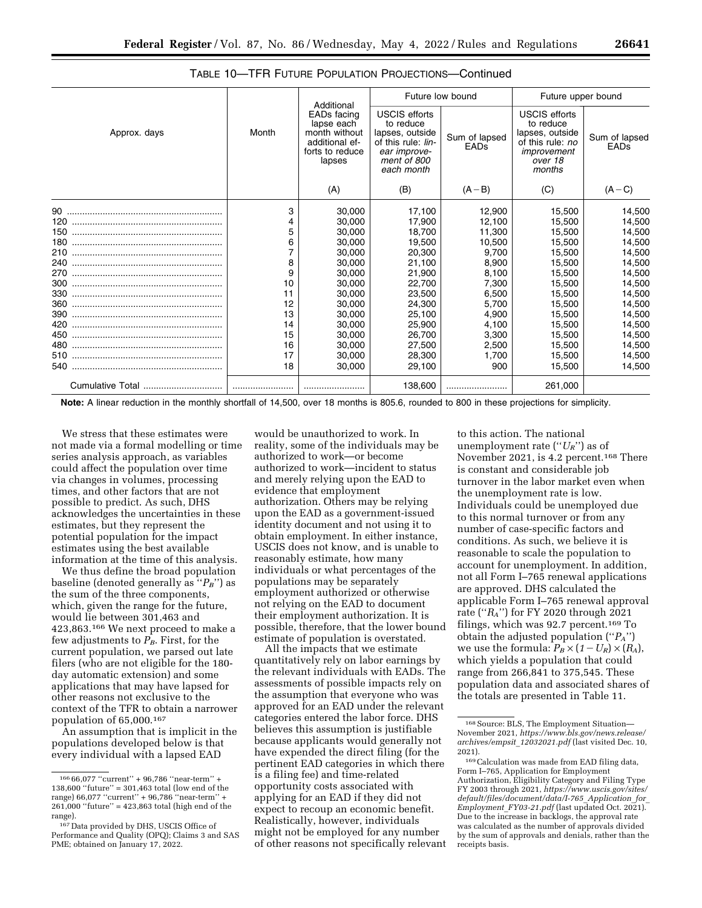|                  |       | Additional                                                                                | Future low bound                                                                                                        |                              | Future upper bound                                                                                           |                              |
|------------------|-------|-------------------------------------------------------------------------------------------|-------------------------------------------------------------------------------------------------------------------------|------------------------------|--------------------------------------------------------------------------------------------------------------|------------------------------|
| Approx. days     | Month | EADs facing<br>lapse each<br>month without<br>additional ef-<br>forts to reduce<br>lapses | <b>USCIS efforts</b><br>to reduce<br>lapses, outside<br>of this rule: lin-<br>ear improve-<br>ment of 800<br>each month | Sum of lapsed<br><b>EADs</b> | <b>USCIS efforts</b><br>to reduce<br>lapses, outside<br>of this rule: no<br>improvement<br>over 18<br>months | Sum of lapsed<br><b>EADs</b> |
|                  |       | (A)                                                                                       | (B)                                                                                                                     | $(A - B)$                    | (C)                                                                                                          | $(A - C)$                    |
|                  | 3     | 30,000                                                                                    | 17.100                                                                                                                  | 12.900                       | 15.500                                                                                                       | 14.500                       |
|                  | 4     | 30,000                                                                                    | 17,900                                                                                                                  | 12,100                       | 15,500                                                                                                       | 14,500                       |
|                  | 5     | 30,000                                                                                    | 18.700                                                                                                                  | 11.300                       | 15.500                                                                                                       | 14,500                       |
|                  | 6     | 30,000                                                                                    | 19,500                                                                                                                  | 10,500                       | 15,500                                                                                                       | 14,500                       |
|                  |       | 30,000                                                                                    | 20,300                                                                                                                  | 9,700                        | 15,500                                                                                                       | 14,500                       |
|                  | 8     | 30,000                                                                                    | 21,100                                                                                                                  | 8,900                        | 15,500                                                                                                       | 14,500                       |
|                  | 9     | 30,000                                                                                    | 21,900                                                                                                                  | 8,100                        | 15.500                                                                                                       | 14,500                       |
|                  | 10    | 30,000                                                                                    | 22,700                                                                                                                  | 7.300                        | 15.500                                                                                                       | 14,500                       |
|                  | 11    | 30,000                                                                                    | 23,500                                                                                                                  | 6,500                        | 15.500                                                                                                       | 14,500                       |
|                  | 12    | 30,000                                                                                    | 24,300                                                                                                                  | 5,700                        | 15,500                                                                                                       | 14,500                       |
|                  | 13    | 30,000                                                                                    | 25,100                                                                                                                  | 4,900                        | 15.500                                                                                                       | 14,500                       |
|                  | 14    | 30,000                                                                                    | 25,900                                                                                                                  | 4,100                        | 15.500                                                                                                       | 14,500                       |
|                  | 15    | 30,000                                                                                    | 26,700                                                                                                                  | 3,300                        | 15.500                                                                                                       | 14,500                       |
|                  | 16    | 30,000                                                                                    | 27,500                                                                                                                  | 2,500                        | 15.500                                                                                                       | 14,500                       |
|                  | 17    | 30,000                                                                                    | 28,300                                                                                                                  | 1.700                        | 15,500                                                                                                       | 14,500                       |
|                  | 18    | 30,000                                                                                    | 29,100                                                                                                                  | 900                          | 15,500                                                                                                       | 14,500                       |
| Cumulative Total | l     |                                                                                           | 138,600                                                                                                                 |                              | 261,000                                                                                                      |                              |

TABLE 10—TFR FUTURE POPULATION PROJECTIONS—Continued

**Note:** A linear reduction in the monthly shortfall of 14,500, over 18 months is 805.6, rounded to 800 in these projections for simplicity.

We stress that these estimates were not made via a formal modelling or time series analysis approach, as variables could affect the population over time via changes in volumes, processing times, and other factors that are not possible to predict. As such, DHS acknowledges the uncertainties in these estimates, but they represent the potential population for the impact estimates using the best available information at the time of this analysis.

We thus define the broad population baseline (denoted generally as ''*PB*'') as the sum of the three components, which, given the range for the future, would lie between 301,463 and 423,863.166 We next proceed to make a few adjustments to  $P_B$ . First, for the current population, we parsed out late filers (who are not eligible for the 180 day automatic extension) and some applications that may have lapsed for other reasons not exclusive to the context of the TFR to obtain a narrower population of 65,000.167

An assumption that is implicit in the populations developed below is that every individual with a lapsed EAD

would be unauthorized to work. In reality, some of the individuals may be authorized to work—or become authorized to work—incident to status and merely relying upon the EAD to evidence that employment authorization. Others may be relying upon the EAD as a government-issued identity document and not using it to obtain employment. In either instance, USCIS does not know, and is unable to reasonably estimate, how many individuals or what percentages of the populations may be separately employment authorized or otherwise not relying on the EAD to document their employment authorization. It is possible, therefore, that the lower bound estimate of population is overstated.

All the impacts that we estimate quantitatively rely on labor earnings by the relevant individuals with EADs. The assessments of possible impacts rely on the assumption that everyone who was approved for an EAD under the relevant categories entered the labor force. DHS believes this assumption is justifiable because applicants would generally not have expended the direct filing (for the pertinent EAD categories in which there is a filing fee) and time-related opportunity costs associated with applying for an EAD if they did not expect to recoup an economic benefit. Realistically, however, individuals might not be employed for any number of other reasons not specifically relevant

to this action. The national unemployment rate (''*UR*'') as of November 2021, is 4.2 percent.<sup>168</sup> There is constant and considerable job turnover in the labor market even when the unemployment rate is low. Individuals could be unemployed due to this normal turnover or from any number of case-specific factors and conditions. As such, we believe it is reasonable to scale the population to account for unemployment. In addition, not all Form I–765 renewal applications are approved. DHS calculated the applicable Form I–765 renewal approval rate (''*RA*'') for FY 2020 through 2021 filings, which was 92.7 percent.169 To obtain the adjusted population (''*PA*'') we use the formula:  $P_B \times (1-U_R) \times (R_A)$ , which yields a population that could range from 266,841 to 375,545. These population data and associated shares of the totals are presented in Table 11.

<sup>166</sup> 66,077 ''current'' + 96,786 ''near-term'' + 138,600 ''future'' = 301,463 total (low end of the range) 66,077 ''current'' + 96,786 ''near-term'' + 261,000 ''future'' = 423,863 total (high end of the range).

<sup>167</sup> Data provided by DHS, USCIS Office of Performance and Quality (OPQ); Claims 3 and SAS PME; obtained on January 17, 2022.

<sup>168</sup>Source: BLS, The Employment Situation— November 2021, *[https://www.bls.gov/news.release/](https://www.bls.gov/news.release/archives/empsit_12032021.pdf) [archives/empsit](https://www.bls.gov/news.release/archives/empsit_12032021.pdf)*\_*12032021.pdf* (last visited Dec. 10, 2021).

<sup>169</sup>Calculation was made from EAD filing data, Form I–765, Application for Employment Authorization, Eligibility Category and Filing Type FY 2003 through 2021, *[https://www.uscis.gov/sites/](https://www.uscis.gov/sites/default/files/document/data/I-765_Application_for_Employment_FY03-21.pdf)  [default/files/document/data/I-765](https://www.uscis.gov/sites/default/files/document/data/I-765_Application_for_Employment_FY03-21.pdf)*\_*Application*\_*for*\_ *[Employment](https://www.uscis.gov/sites/default/files/document/data/I-765_Application_for_Employment_FY03-21.pdf)*\_*FY03-21.pdf* (last updated Oct. 2021). Due to the increase in backlogs, the approval rate was calculated as the number of approvals divided by the sum of approvals and denials, rather than the receipts basis.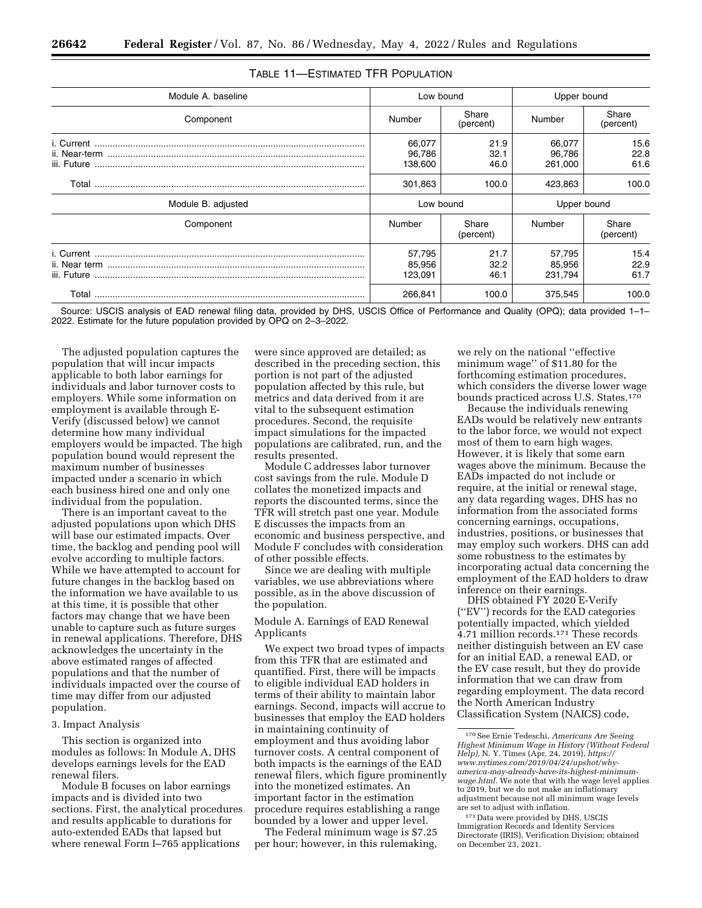| Module A. baseline |                                                     | Low bound            | Upper bound                 |                             |                      |
|--------------------|-----------------------------------------------------|----------------------|-----------------------------|-----------------------------|----------------------|
| Component          | Number                                              | Share<br>(percent)   | Number                      | Share<br>(percent)          |                      |
|                    | 66,077<br>21.9<br>32.1<br>96,786<br>138,600<br>46.0 |                      |                             | 66,077<br>96,786<br>261,000 | 15.6<br>22.8<br>61.6 |
|                    | 301,863                                             | 100.0                | 423,863                     | 100.0                       |                      |
| Module B. adjusted | Low bound                                           |                      | Upper bound                 |                             |                      |
| Component          | Number                                              | Share<br>(percent)   | Number                      | Share<br>(percent)          |                      |
|                    | 57,795<br>85,956<br>123,091                         | 21.7<br>32.2<br>46.1 | 57,795<br>85,956<br>231,794 | 15.4<br>22.9<br>61.7        |                      |
| Total              | 266,841                                             | 100.0                | 375,545                     | 100.0                       |                      |

# TABLE 11—ESTIMATED TFR POPULATION

Source: USCIS analysis of EAD renewal filing data, provided by DHS, USCIS Office of Performance and Quality (OPQ); data provided 1–1– 2022. Estimate for the future population provided by OPQ on 2–3–2022.

The adjusted population captures the population that will incur impacts applicable to both labor earnings for individuals and labor turnover costs to employers. While some information on employment is available through E-Verify (discussed below) we cannot determine how many individual employers would be impacted. The high population bound would represent the maximum number of businesses impacted under a scenario in which each business hired one and only one individual from the population.

There is an important caveat to the adjusted populations upon which DHS will base our estimated impacts. Over time, the backlog and pending pool will evolve according to multiple factors. While we have attempted to account for future changes in the backlog based on the information we have available to us at this time, it is possible that other factors may change that we have been unable to capture such as future surges in renewal applications. Therefore, DHS acknowledges the uncertainty in the above estimated ranges of affected populations and that the number of individuals impacted over the course of time may differ from our adjusted population.

#### 3. Impact Analysis

This section is organized into modules as follows: In Module A, DHS develops earnings levels for the EAD renewal filers.

Module B focuses on labor earnings impacts and is divided into two sections. First, the analytical procedures and results applicable to durations for auto-extended EADs that lapsed but where renewal Form I–765 applications

were since approved are detailed; as described in the preceding section, this portion is not part of the adjusted population affected by this rule, but metrics and data derived from it are vital to the subsequent estimation procedures. Second, the requisite impact simulations for the impacted populations are calibrated, run, and the results presented.

Module C addresses labor turnover cost savings from the rule. Module D collates the monetized impacts and reports the discounted terms, since the TFR will stretch past one year. Module E discusses the impacts from an economic and business perspective, and Module F concludes with consideration of other possible effects.

Since we are dealing with multiple variables, we use abbreviations where possible, as in the above discussion of the population.

Module A. Earnings of EAD Renewal Applicants

We expect two broad types of impacts from this TFR that are estimated and quantified. First, there will be impacts to eligible individual EAD holders in terms of their ability to maintain labor earnings. Second, impacts will accrue to businesses that employ the EAD holders in maintaining continuity of employment and thus avoiding labor turnover costs. A central component of both impacts is the earnings of the EAD renewal filers, which figure prominently into the monetized estimates. An important factor in the estimation procedure requires establishing a range bounded by a lower and upper level.

The Federal minimum wage is \$7.25 per hour; however, in this rulemaking,

we rely on the national ''effective minimum wage'' of \$11.80 for the forthcoming estimation procedures, which considers the diverse lower wage bounds practiced across U.S. States.170

Because the individuals renewing EADs would be relatively new entrants to the labor force, we would not expect most of them to earn high wages. However, it is likely that some earn wages above the minimum. Because the EADs impacted do not include or require, at the initial or renewal stage, any data regarding wages, DHS has no information from the associated forms concerning earnings, occupations, industries, positions, or businesses that may employ such workers. DHS can add some robustness to the estimates by incorporating actual data concerning the employment of the EAD holders to draw inference on their earnings.

DHS obtained FY 2020 E-Verify (''EV'') records for the EAD categories potentially impacted, which yielded 4.71 million records.171 These records neither distinguish between an EV case for an initial EAD, a renewal EAD, or the EV case result, but they do provide information that we can draw from regarding employment. The data record the North American Industry Classification System (NAICS) code,

171 Data were provided by DHS, USCIS Immigration Records and Identity Services Directorate (IRIS), Verification Division; obtained on December 23, 2021.

<sup>170</sup>See Ernie Tedeschi, *Americans Are Seeing Highest Minimum Wage in History (Without Federal Help),* N. Y. Times (Apr. 24, 2019), *[https://](https://www.nytimes.com/2019/04/24/upshot/why-america-may-already-have-its-highest-minimum-wage.html) [www.nytimes.com/2019/04/24/upshot/why](https://www.nytimes.com/2019/04/24/upshot/why-america-may-already-have-its-highest-minimum-wage.html)[america-may-already-have-its-highest-minimum](https://www.nytimes.com/2019/04/24/upshot/why-america-may-already-have-its-highest-minimum-wage.html)[wage.html.](https://www.nytimes.com/2019/04/24/upshot/why-america-may-already-have-its-highest-minimum-wage.html)* We note that with the wage level applies to 2019, but we do not make an inflationary adjustment because not all minimum wage levels are set to adjust with inflation.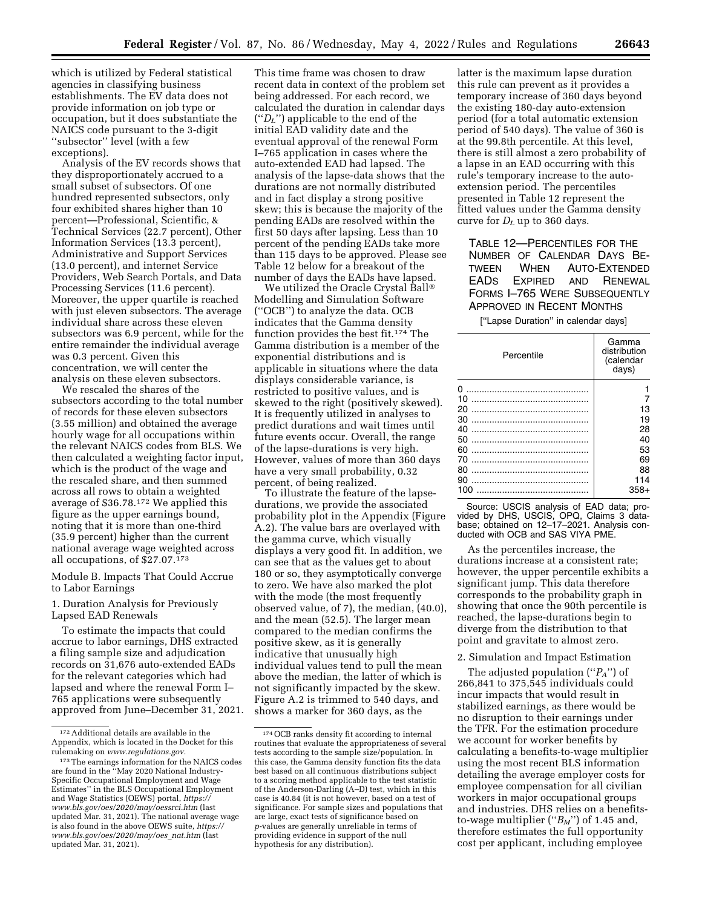which is utilized by Federal statistical agencies in classifying business establishments. The EV data does not provide information on job type or occupation, but it does substantiate the NAICS code pursuant to the 3-digit ''subsector'' level (with a few exceptions).

Analysis of the EV records shows that they disproportionately accrued to a small subset of subsectors. Of one hundred represented subsectors, only four exhibited shares higher than 10 percent—Professional, Scientific, & Technical Services (22.7 percent), Other Information Services (13.3 percent), Administrative and Support Services (13.0 percent), and internet Service Providers, Web Search Portals, and Data Processing Services (11.6 percent). Moreover, the upper quartile is reached with just eleven subsectors. The average individual share across these eleven subsectors was 6.9 percent, while for the entire remainder the individual average was 0.3 percent. Given this concentration, we will center the analysis on these eleven subsectors.

We rescaled the shares of the subsectors according to the total number of records for these eleven subsectors (3.55 million) and obtained the average hourly wage for all occupations within the relevant NAICS codes from BLS. We then calculated a weighting factor input, which is the product of the wage and the rescaled share, and then summed across all rows to obtain a weighted average of \$36.78.172 We applied this figure as the upper earnings bound, noting that it is more than one-third (35.9 percent) higher than the current national average wage weighted across all occupations, of \$27.07.173

Module B. Impacts That Could Accrue to Labor Earnings

1. Duration Analysis for Previously Lapsed EAD Renewals

To estimate the impacts that could accrue to labor earnings, DHS extracted a filing sample size and adjudication records on 31,676 auto-extended EADs for the relevant categories which had lapsed and where the renewal Form I– 765 applications were subsequently approved from June–December 31, 2021.

This time frame was chosen to draw recent data in context of the problem set being addressed. For each record, we calculated the duration in calendar days (''*DL*'') applicable to the end of the initial EAD validity date and the eventual approval of the renewal Form I–765 application in cases where the auto-extended EAD had lapsed. The analysis of the lapse-data shows that the durations are not normally distributed and in fact display a strong positive skew; this is because the majority of the pending EADs are resolved within the first 50 days after lapsing. Less than 10 percent of the pending EADs take more than 115 days to be approved. Please see Table 12 below for a breakout of the number of days the EADs have lapsed.

We utilized the Oracle Crystal Ball® Modelling and Simulation Software (''OCB'') to analyze the data. OCB indicates that the Gamma density function provides the best fit.174 The Gamma distribution is a member of the exponential distributions and is applicable in situations where the data displays considerable variance, is restricted to positive values, and is skewed to the right (positively skewed). It is frequently utilized in analyses to predict durations and wait times until future events occur. Overall, the range of the lapse-durations is very high. However, values of more than 360 days have a very small probability, 0.32 percent, of being realized.

To illustrate the feature of the lapsedurations, we provide the associated probability plot in the Appendix (Figure A.2). The value bars are overlayed with the gamma curve, which visually displays a very good fit. In addition, we can see that as the values get to about 180 or so, they asymptotically converge to zero. We have also marked the plot with the mode (the most frequently observed value, of 7), the median, (40.0), and the mean (52.5). The larger mean compared to the median confirms the positive skew, as it is generally indicative that unusually high individual values tend to pull the mean above the median, the latter of which is not significantly impacted by the skew. Figure A.2 is trimmed to 540 days, and shows a marker for 360 days, as the

latter is the maximum lapse duration this rule can prevent as it provides a temporary increase of 360 days beyond the existing 180-day auto-extension period (for a total automatic extension period of 540 days). The value of 360 is at the 99.8th percentile. At this level, there is still almost a zero probability of a lapse in an EAD occurring with this rule's temporary increase to the autoextension period. The percentiles presented in Table 12 represent the fitted values under the Gamma density curve for  $D_L$  up to 360 days.

TABLE 12—PERCENTILES FOR THE NUMBER OF CALENDAR DAYS BE-TWEEN WHEN AUTO-EXTENDED EADS EXPIRED AND RENEWAL FORMS I–765 WERE SUBSEQUENTLY APPROVED IN RECENT MONTHS

[''Lapse Duration'' in calendar days]

| Percentile | Gamma<br>distribution<br>(calendar<br>days) |
|------------|---------------------------------------------|
| ŋ          |                                             |
| 10         |                                             |
| 20         | 13                                          |
| 30         | 19                                          |
| 40         | 28                                          |
| 50         | 40                                          |
| 60         | 53                                          |
| 70         | 69                                          |
| 80         | 88                                          |
| 90         | 114                                         |
| 100        | $358+$                                      |

Source: USCIS analysis of EAD data; provided by DHS, USCIS, OPQ, Claims 3 database; obtained on 12–17–2021. Analysis conducted with OCB and SAS VIYA PME.

As the percentiles increase, the durations increase at a consistent rate; however, the upper percentile exhibits a significant jump. This data therefore corresponds to the probability graph in showing that once the 90th percentile is reached, the lapse-durations begin to diverge from the distribution to that point and gravitate to almost zero.

# 2. Simulation and Impact Estimation

The adjusted population (''*PA*'') of 266,841 to 375,545 individuals could incur impacts that would result in stabilized earnings, as there would be no disruption to their earnings under the TFR. For the estimation procedure we account for worker benefits by calculating a benefits-to-wage multiplier using the most recent BLS information detailing the average employer costs for employee compensation for all civilian workers in major occupational groups and industries. DHS relies on a benefitsto-wage multiplier (''*BM*'') of 1.45 and, therefore estimates the full opportunity cost per applicant, including employee

<sup>172</sup>Additional details are available in the Appendix, which is located in the Docket for this rulemaking on *[www.regulations.gov.](http://www.regulations.gov)* 

<sup>173</sup>The earnings information for the NAICS codes are found in the ''May 2020 National Industry-Specific Occupational Employment and Wage Estimates'' in the BLS Occupational Employment and Wage Statistics (OEWS) portal, *[https://](https://www.bls.gov/oes/2020/may/oessrci.htm) [www.bls.gov/oes/2020/may/oessrci.htm](https://www.bls.gov/oes/2020/may/oessrci.htm)* (last updated Mar. 31, 2021). The national average wage is also found in the above OEWS suite, *[https://](https://www.bls.gov/oes/2020/may/oes_nat.htm) [www.bls.gov/oes/2020/may/oes](https://www.bls.gov/oes/2020/may/oes_nat.htm)*\_*nat.htm* (last updated Mar. 31, 2021).

<sup>174</sup>OCB ranks density fit according to internal routines that evaluate the appropriateness of several tests according to the sample size/population. In this case, the Gamma density function fits the data best based on all continuous distributions subject to a scoring method applicable to the test statistic of the Anderson-Darling (A–D) test, which in this case is 40.84 (it is not however, based on a test of significance. For sample sizes and populations that are large, exact tests of significance based on *p*-values are generally unreliable in terms of providing evidence in support of the null hypothesis for any distribution).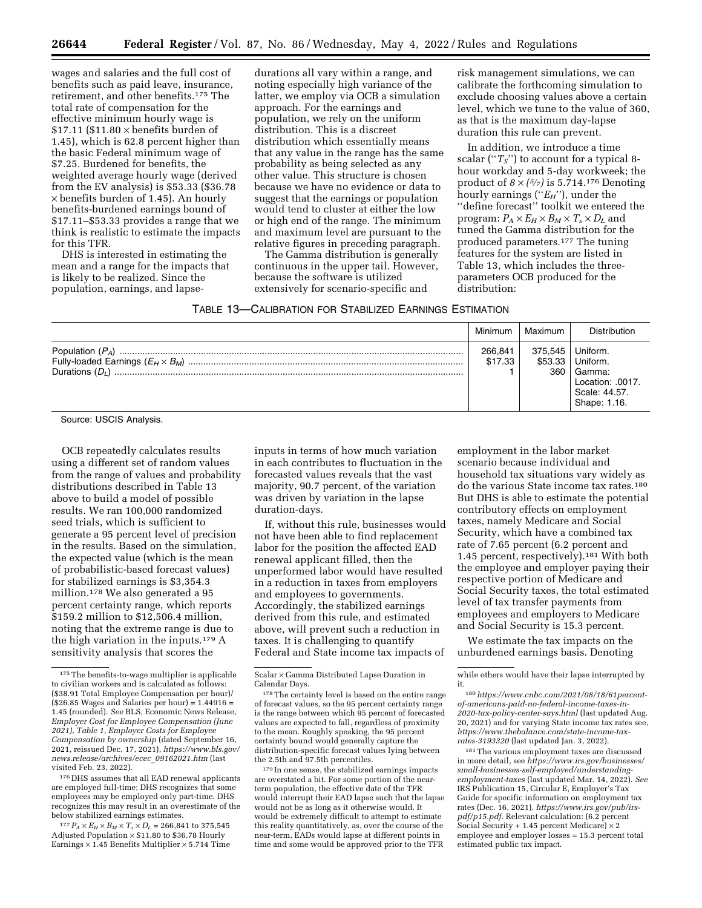wages and salaries and the full cost of benefits such as paid leave, insurance, retirement, and other benefits.175 The total rate of compensation for the effective minimum hourly wage is  $$17.11$  (\$11.80  $\times$  benefits burden of 1.45), which is 62.8 percent higher than the basic Federal minimum wage of \$7.25. Burdened for benefits, the weighted average hourly wage (derived from the EV analysis) is \$53.33 (\$36.78 × benefits burden of 1.45). An hourly benefits-burdened earnings bound of \$17.11–\$53.33 provides a range that we think is realistic to estimate the impacts for this TFR.

DHS is interested in estimating the mean and a range for the impacts that is likely to be realized. Since the population, earnings, and lapsedurations all vary within a range, and noting especially high variance of the latter, we employ via OCB a simulation approach. For the earnings and population, we rely on the uniform distribution. This is a discreet distribution which essentially means that any value in the range has the same probability as being selected as any other value. This structure is chosen because we have no evidence or data to suggest that the earnings or population would tend to cluster at either the low or high end of the range. The minimum and maximum level are pursuant to the

The Gamma distribution is generally continuous in the upper tail. However, because the software is utilized extensively for scenario-specific and

relative figures in preceding paragraph. produced parameters.177 The tuning features for the system are listed in Table 13, which includes the three-

| TABLE 13-CALIBRATION FOR STABILIZED EARNINGS ESTIMATION |
|---------------------------------------------------------|
|                                                         |

Minimum | Maximum | Distribution Population (*PA*) ....................................................................................................................................... 266,841 375,545 Uniform. Fully-loaded Earnings (*EH* × *BM*) ............................................................................................................ \$17.33 \$53.33 Uniform. Durations (*DL*) ......................................................................................................................................... 1 360 Gamma: Location: .0017. Scale: 44.57.

Source: USCIS Analysis.

OCB repeatedly calculates results using a different set of random values from the range of values and probability distributions described in Table 13 above to build a model of possible results. We ran 100,000 randomized seed trials, which is sufficient to generate a 95 percent level of precision in the results. Based on the simulation, the expected value (which is the mean of probabilistic-based forecast values) for stabilized earnings is \$3,354.3 million.178 We also generated a 95 percent certainty range, which reports \$159.2 million to \$12,506.4 million, noting that the extreme range is due to the high variation in the inputs.179 A sensitivity analysis that scores the

176 DHS assumes that all EAD renewal applicants are employed full-time; DHS recognizes that some employees may be employed only part-time. DHS recognizes this may result in an overestimate of the below stabilized earnings estimates.

 $^{177}P_{A}\times E_{H}\times B_{M}\times T_{s}\times D_{L}=266{,}841$  to  $375{,}545$ Adjusted Population × \$11.80 to \$36.78 Hourly Earnings  $\times$  1.45 Benefits Multiplier  $\times$  5.714 Time inputs in terms of how much variation in each contributes to fluctuation in the forecasted values reveals that the vast majority, 90.7 percent, of the variation was driven by variation in the lapse duration-days.

If, without this rule, businesses would not have been able to find replacement labor for the position the affected EAD renewal applicant filled, then the unperformed labor would have resulted in a reduction in taxes from employers and employees to governments. Accordingly, the stabilized earnings derived from this rule, and estimated above, will prevent such a reduction in taxes. It is challenging to quantify Federal and State income tax impacts of

179 In one sense, the stabilized earnings impacts are overstated a bit. For some portion of the nearterm population, the effective date of the TFR would interrupt their EAD lapse such that the lapse would not be as long as it otherwise would. It would be extremely difficult to attempt to estimate this reality quantitatively, as, over the course of the near-term, EADs would lapse at different points in time and some would be approved prior to the TFR

employment in the labor market scenario because individual and household tax situations vary widely as do the various State income tax rates.180 But DHS is able to estimate the potential contributory effects on employment taxes, namely Medicare and Social Security, which have a combined tax rate of 7.65 percent (6.2 percent and 1.45 percent, respectively).181 With both the employee and employer paying their respective portion of Medicare and Social Security taxes, the total estimated level of tax transfer payments from employees and employers to Medicare and Social Security is 15.3 percent.

Shape: 1.16.

risk management simulations, we can calibrate the forthcoming simulation to exclude choosing values above a certain level, which we tune to the value of 360, as that is the maximum day-lapse duration this rule can prevent. In addition, we introduce a time scalar (''*TS*'') to account for a typical 8 hour workday and 5-day workweek; the product of  $8 \times \frac{5}{7}$  is 5.714.<sup>176</sup> Denoting hourly earnings (''*EH*''), under the ''define forecast'' toolkit we entered the program:  $P_A \times E_H \times B_M \times T_s \times D_L$  and tuned the Gamma distribution for the

parameters OCB produced for the

distribution:

We estimate the tax impacts on the unburdened earnings basis. Denoting

181The various employment taxes are discussed in more detail, see *[https://www.irs.gov/businesses/](https://www.irs.gov/businesses/small-businesses-self-employed/understanding-employment-taxes) [small-businesses-self-employed/understanding](https://www.irs.gov/businesses/small-businesses-self-employed/understanding-employment-taxes)[employment-taxes](https://www.irs.gov/businesses/small-businesses-self-employed/understanding-employment-taxes)* (last updated Mar. 14, 2022). *See*  IRS Publication 15, Circular E, Employer's Tax Guide for specific information on employment tax rates (Dec. 16, 2021). *[https://www.irs.gov/pub/irs](https://www.irs.gov/pub/irs-pdf/p15.pdf)[pdf/p15.pdf.](https://www.irs.gov/pub/irs-pdf/p15.pdf)* Relevant calculation: (6.2 percent Social Security + 1.45 percent Medicare)  $\times$  2 employee and employer losses = 15.3 percent total estimated public tax impact.

<sup>&</sup>lt;sup>175</sup> The benefits-to-wage multiplier is applicable to civilian workers and is calculated as follows: (\$38.91 Total Employee Compensation per hour)/  $($26.85\text{ Wages and Salaries per hour}) = 1.44916 =$ 1.45 (rounded). *See* BLS, Economic News Release, *Employer Cost for Employee Compensation (June 2021), Table 1, Employer Costs for Employee Compensation by ownership* (dated September 16, 2021, reissued Dec. 17, 2021), *[https://www.bls.gov/](https://www.bls.gov/news.release/archives/ecec_09162021.htm) [news.release/archives/ecec](https://www.bls.gov/news.release/archives/ecec_09162021.htm)*\_*09162021.htm* (last visited Feb. 23, 2022).

Scalar × Gamma Distributed Lapse Duration in Calendar Days.

<sup>&</sup>lt;sup>178</sup>The certainty level is based on the entire range of forecast values, so the 95 percent certainty range is the range between which 95 percent of forecasted values are expected to fall, regardless of proximity to the mean. Roughly speaking, the 95 percent certainty bound would generally capture the distribution-specific forecast values lying between the 2.5th and 97.5th percentiles.

while others would have their lapse interrupted by it.

<sup>180</sup>*[https://www.cnbc.com/2021/08/18/61percent](https://www.cnbc.com/2021/08/18/61percent-of-americans-paid-no-federal-income-taxes-in-2020-tax-policy-center-says.html)[of-americans-paid-no-federal-income-taxes-in-](https://www.cnbc.com/2021/08/18/61percent-of-americans-paid-no-federal-income-taxes-in-2020-tax-policy-center-says.html)[2020-tax-policy-center-says.html](https://www.cnbc.com/2021/08/18/61percent-of-americans-paid-no-federal-income-taxes-in-2020-tax-policy-center-says.html)* (last updated Aug. 20, 2021) and for varying State income tax rates see, *[https://www.thebalance.com/state-income-tax](https://www.thebalance.com/state-income-tax-rates-3193320)[rates-3193320](https://www.thebalance.com/state-income-tax-rates-3193320)* (last updated Jan. 3, 2022).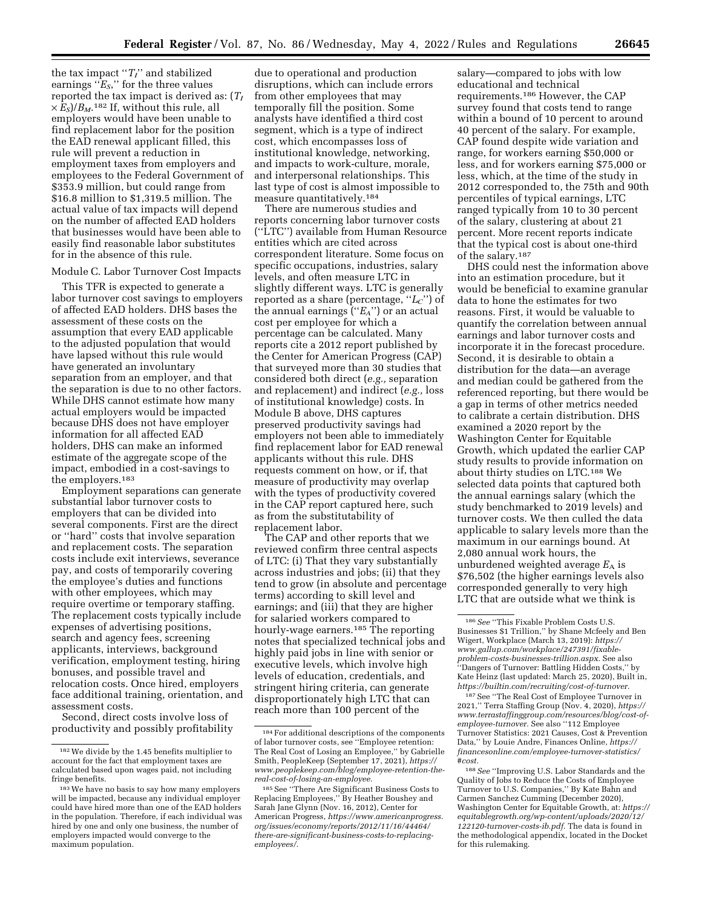the tax impact " $T_I$ " and stabilized earnings ''*ES*,'' for the three values reported the tax impact is derived as: (*TI*  $\times E_S$ / $B_M$ .<sup>182</sup> If, without this rule, all employers would have been unable to find replacement labor for the position the EAD renewal applicant filled, this rule will prevent a reduction in employment taxes from employers and employees to the Federal Government of \$353.9 million, but could range from \$16.8 million to \$1,319.5 million. The actual value of tax impacts will depend on the number of affected EAD holders that businesses would have been able to easily find reasonable labor substitutes for in the absence of this rule.

# Module C. Labor Turnover Cost Impacts

This TFR is expected to generate a labor turnover cost savings to employers of affected EAD holders. DHS bases the assessment of these costs on the assumption that every EAD applicable to the adjusted population that would have lapsed without this rule would have generated an involuntary separation from an employer, and that the separation is due to no other factors. While DHS cannot estimate how many actual employers would be impacted because DHS does not have employer information for all affected EAD holders, DHS can make an informed estimate of the aggregate scope of the impact, embodied in a cost-savings to the employers.183

Employment separations can generate substantial labor turnover costs to employers that can be divided into several components. First are the direct or ''hard'' costs that involve separation and replacement costs. The separation costs include exit interviews, severance pay, and costs of temporarily covering the employee's duties and functions with other employees, which may require overtime or temporary staffing. The replacement costs typically include expenses of advertising positions, search and agency fees, screening applicants, interviews, background verification, employment testing, hiring bonuses, and possible travel and relocation costs. Once hired, employers face additional training, orientation, and assessment costs.

Second, direct costs involve loss of productivity and possibly profitability

due to operational and production disruptions, which can include errors from other employees that may temporally fill the position. Some analysts have identified a third cost segment, which is a type of indirect cost, which encompasses loss of institutional knowledge, networking, and impacts to work-culture, morale, and interpersonal relationships. This last type of cost is almost impossible to measure quantitatively.184

There are numerous studies and reports concerning labor turnover costs (''LTC'') available from Human Resource entities which are cited across correspondent literature. Some focus on specific occupations, industries, salary levels, and often measure LTC in slightly different ways. LTC is generally reported as a share (percentage, ''*LC*'') of the annual earnings (''*EA*'') or an actual cost per employee for which a percentage can be calculated. Many reports cite a 2012 report published by the Center for American Progress (CAP) that surveyed more than 30 studies that considered both direct (*e.g.,* separation and replacement) and indirect (*e.g.,* loss of institutional knowledge) costs. In Module B above, DHS captures preserved productivity savings had employers not been able to immediately find replacement labor for EAD renewal applicants without this rule. DHS requests comment on how, or if, that measure of productivity may overlap with the types of productivity covered in the CAP report captured here, such as from the substitutability of replacement labor.

The CAP and other reports that we reviewed confirm three central aspects of LTC: (i) That they vary substantially across industries and jobs; (ii) that they tend to grow (in absolute and percentage terms) according to skill level and earnings; and (iii) that they are higher for salaried workers compared to hourly-wage earners.<sup>185</sup> The reporting notes that specialized technical jobs and highly paid jobs in line with senior or executive levels, which involve high levels of education, credentials, and stringent hiring criteria, can generate disproportionately high LTC that can reach more than 100 percent of the

salary—compared to jobs with low educational and technical requirements.186 However, the CAP survey found that costs tend to range within a bound of 10 percent to around 40 percent of the salary. For example, CAP found despite wide variation and range, for workers earning \$50,000 or less, and for workers earning \$75,000 or less, which, at the time of the study in 2012 corresponded to, the 75th and 90th percentiles of typical earnings, LTC ranged typically from 10 to 30 percent of the salary, clustering at about 21 percent. More recent reports indicate that the typical cost is about one-third of the salary.187

DHS could nest the information above into an estimation procedure, but it would be beneficial to examine granular data to hone the estimates for two reasons. First, it would be valuable to quantify the correlation between annual earnings and labor turnover costs and incorporate it in the forecast procedure. Second, it is desirable to obtain a distribution for the data—an average and median could be gathered from the referenced reporting, but there would be a gap in terms of other metrics needed to calibrate a certain distribution. DHS examined a 2020 report by the Washington Center for Equitable Growth, which updated the earlier CAP study results to provide information on about thirty studies on LTC.188 We selected data points that captured both the annual earnings salary (which the study benchmarked to 2019 levels) and turnover costs. We then culled the data applicable to salary levels more than the maximum in our earnings bound. At 2,080 annual work hours, the unburdened weighted average  $E_A$  is \$76,502 (the higher earnings levels also corresponded generally to very high LTC that are outside what we think is

<sup>182</sup>We divide by the 1.45 benefits multiplier to account for the fact that employment taxes are calculated based upon wages paid, not including fringe benefits.

<sup>183</sup>We have no basis to say how many employers will be impacted, because any individual employer could have hired more than one of the EAD holders in the population. Therefore, if each individual was hired by one and only one business, the number of employers impacted would converge to the maximum population.

<sup>184</sup>For additional descriptions of the components of labor turnover costs, see ''Employee retention: The Real Cost of Losing an Employee,'' by Gabrielle Smith, PeopleKeep (September 17, 2021), *[https://](https://www.peoplekeep.com/blog/employee-retention-the-real-cost-of-losing-an-employee) [www.peoplekeep.com/blog/employee-retention-the](https://www.peoplekeep.com/blog/employee-retention-the-real-cost-of-losing-an-employee)[real-cost-of-losing-an-employee.](https://www.peoplekeep.com/blog/employee-retention-the-real-cost-of-losing-an-employee)* 

<sup>185</sup>See ''There Are Significant Business Costs to Replacing Employees,'' By Heather Boushey and Sarah Jane Glynn (Nov. 16, 2012), Center for American Progress, *[https://www.americanprogress.](https://www.americanprogress.org/issues/economy/reports/2012/11/16/44464/there-are-significant-business-costs-to-replacing-employees/) [org/issues/economy/reports/2012/11/16/44464/](https://www.americanprogress.org/issues/economy/reports/2012/11/16/44464/there-are-significant-business-costs-to-replacing-employees/)  [there-are-significant-business-costs-to-replacing](https://www.americanprogress.org/issues/economy/reports/2012/11/16/44464/there-are-significant-business-costs-to-replacing-employees/)[employees/.](https://www.americanprogress.org/issues/economy/reports/2012/11/16/44464/there-are-significant-business-costs-to-replacing-employees/)* 

<sup>186</sup>*See* ''This Fixable Problem Costs U.S. Businesses \$1 Trillion,'' by Shane Mcfeely and Ben Wigert, Workplace (March 13, 2019): *[https://](https://www.gallup.com/workplace/247391/fixable-problem-costs-businesses-trillion.aspx) [www.gallup.com/workplace/247391/fixable](https://www.gallup.com/workplace/247391/fixable-problem-costs-businesses-trillion.aspx)[problem-costs-businesses-trillion.aspx.](https://www.gallup.com/workplace/247391/fixable-problem-costs-businesses-trillion.aspx)* See also ''Dangers of Turnover: Battling Hidden Costs,'' by Kate Heinz (last updated: March 25, 2020), Built in, *[https://builtin.com/recruiting/cost-of-turnover.](https://builtin.com/recruiting/cost-of-turnover)* 

<sup>187</sup>See ''The Real Cost of Employee Turnover in 2021,'' Terra Staffing Group (Nov. 4, 2020), *[https://](https://www.terrastaffinggroup.com/resources/blog/cost-of-employee-turnover) [www.terrastaffinggroup.com/resources/blog/cost-of](https://www.terrastaffinggroup.com/resources/blog/cost-of-employee-turnover)[employee-turnover.](https://www.terrastaffinggroup.com/resources/blog/cost-of-employee-turnover)* See also ''112 Employee Turnover Statistics: 2021 Causes, Cost & Prevention Data,'' by Louie Andre, Finances Online, *[https://](https://financesonline.com/employee-turnover-statistics/#cost) [financesonline.com/employee-turnover-statistics/](https://financesonline.com/employee-turnover-statistics/#cost) [#cost.](https://financesonline.com/employee-turnover-statistics/#cost)* 

<sup>188</sup>*See* ''Improving U.S. Labor Standards and the Quality of Jobs to Reduce the Costs of Employee Turnover to U.S. Companies,'' By Kate Bahn and Carmen Sanchez Cumming (December 2020), Washington Center for Equitable Growth, at: *[https://](https://equitablegrowth.org/wp-content/uploads/2020/12/122120-turnover-costs-ib.pdf)  [equitablegrowth.org/wp-content/uploads/2020/12/](https://equitablegrowth.org/wp-content/uploads/2020/12/122120-turnover-costs-ib.pdf)  [122120-turnover-costs-ib.pdf.](https://equitablegrowth.org/wp-content/uploads/2020/12/122120-turnover-costs-ib.pdf)* The data is found in the methodological appendix, located in the Docket for this rulemaking.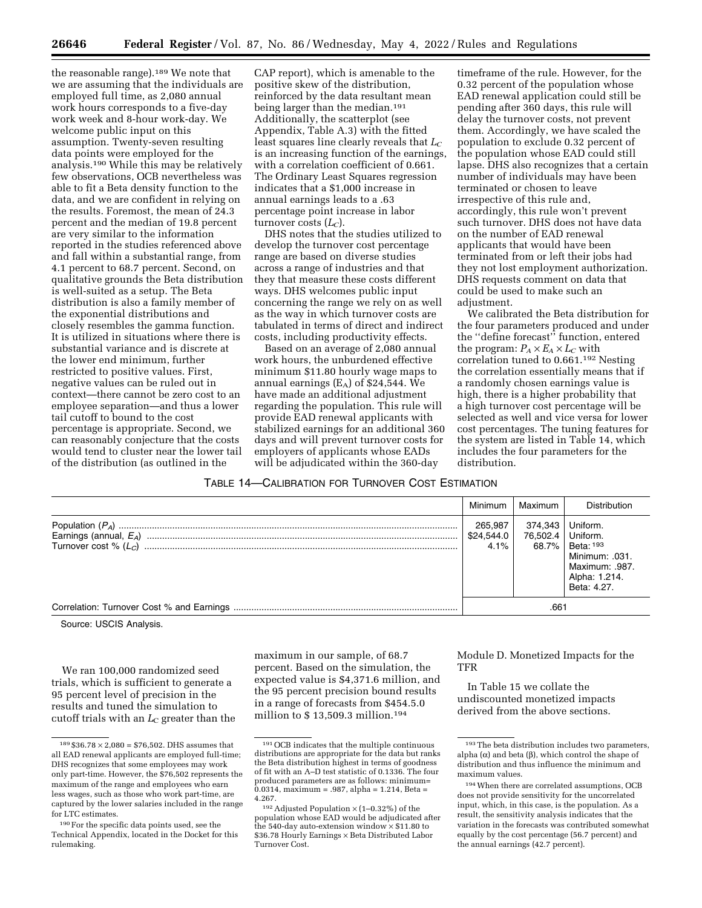the reasonable range).<sup>189</sup> We note that we are assuming that the individuals are employed full time, as 2,080 annual work hours corresponds to a five-day work week and 8-hour work-day. We welcome public input on this assumption. Twenty-seven resulting data points were employed for the analysis.190 While this may be relatively few observations, OCB nevertheless was able to fit a Beta density function to the data, and we are confident in relying on the results. Foremost, the mean of 24.3 percent and the median of 19.8 percent are very similar to the information reported in the studies referenced above and fall within a substantial range, from 4.1 percent to 68.7 percent. Second, on qualitative grounds the Beta distribution is well-suited as a setup. The Beta distribution is also a family member of the exponential distributions and closely resembles the gamma function. It is utilized in situations where there is substantial variance and is discrete at the lower end minimum, further restricted to positive values. First, negative values can be ruled out in context—there cannot be zero cost to an employee separation—and thus a lower tail cutoff to bound to the cost percentage is appropriate. Second, we can reasonably conjecture that the costs would tend to cluster near the lower tail of the distribution (as outlined in the

CAP report), which is amenable to the positive skew of the distribution, reinforced by the data resultant mean being larger than the median.<sup>191</sup> Additionally, the scatterplot (see Appendix, Table A.3) with the fitted least squares line clearly reveals that  $L_C$ is an increasing function of the earnings, with a correlation coefficient of 0.661. The Ordinary Least Squares regression indicates that a \$1,000 increase in annual earnings leads to a .63 percentage point increase in labor turnover costs (*LC*).

DHS notes that the studies utilized to develop the turnover cost percentage range are based on diverse studies across a range of industries and that they that measure these costs different ways. DHS welcomes public input concerning the range we rely on as well as the way in which turnover costs are tabulated in terms of direct and indirect costs, including productivity effects.

Based on an average of 2,080 annual work hours, the unburdened effective minimum \$11.80 hourly wage maps to annual earnings  $(E_A)$  of \$24,544. We have made an additional adjustment regarding the population. This rule will provide EAD renewal applicants with stabilized earnings for an additional 360 days and will prevent turnover costs for employers of applicants whose EADs will be adjudicated within the 360-day

timeframe of the rule. However, for the 0.32 percent of the population whose EAD renewal application could still be pending after 360 days, this rule will delay the turnover costs, not prevent them. Accordingly, we have scaled the population to exclude 0.32 percent of the population whose EAD could still lapse. DHS also recognizes that a certain number of individuals may have been terminated or chosen to leave irrespective of this rule and, accordingly, this rule won't prevent such turnover. DHS does not have data on the number of EAD renewal applicants that would have been terminated from or left their jobs had they not lost employment authorization. DHS requests comment on data that could be used to make such an adjustment.

We calibrated the Beta distribution for the four parameters produced and under the ''define forecast'' function, entered the program:  $P_A \times E_A \times L_C$  with correlation tuned to 0.661.192 Nesting the correlation essentially means that if a randomly chosen earnings value is high, there is a higher probability that a high turnover cost percentage will be selected as well and vice versa for lower cost percentages. The tuning features for the system are listed in Table 14, which includes the four parameters for the distribution.

# TABLE 14—CALIBRATION FOR TURNOVER COST ESTIMATION

| Minimum                       | Maximum                      | Distribution                                                                                          |
|-------------------------------|------------------------------|-------------------------------------------------------------------------------------------------------|
| 265.987<br>\$24,544.0<br>4.1% | 374,343<br>76.502.4<br>68.7% | Uniform.<br>Uniform.<br>Beta: 193<br>Minimum: .031.<br>Maximum: .987.<br>Alpha: 1.214.<br>Beta: 4.27. |
|                               | .661                         |                                                                                                       |

Source: USCIS Analysis.

We ran 100,000 randomized seed trials, which is sufficient to generate a 95 percent level of precision in the results and tuned the simulation to cutoff trials with an *L*<sub>C</sub> greater than the

maximum in our sample, of 68.7 percent. Based on the simulation, the expected value is \$4,371.6 million, and the 95 percent precision bound results in a range of forecasts from \$454.5.0 million to \$ 13,509.3 million.194

Module D. Monetized Impacts for the TFR

In Table 15 we collate the undiscounted monetized impacts derived from the above sections.

 $189 $36.78 \times 2,080 = $76,502$ . DHS assumes that all EAD renewal applicants are employed full-time; DHS recognizes that some employees may work only part-time. However, the \$76,502 represents the maximum of the range and employees who earn less wages, such as those who work part-time, are captured by the lower salaries included in the range for LTC estimates.

<sup>190</sup>For the specific data points used, see the Technical Appendix, located in the Docket for this rulemaking.

<sup>191</sup>OCB indicates that the multiple continuous distributions are appropriate for the data but ranks the Beta distribution highest in terms of goodness of fit with an A–D test statistic of 0.1336. The four produced parameters are as follows: minimum=  $0.0314$ , maximum = .987, alpha = 1.214, Beta = 4.267.

<sup>&</sup>lt;sup>192</sup> Adjusted Population  $\times$  (1–0.32%) of the population whose EAD would be adjudicated after the 540-day auto-extension window × \$11.80 to \$36.78 Hourly Earnings × Beta Distributed Labor Turnover Cost.

<sup>193</sup>The beta distribution includes two parameters, alpha  $(\alpha)$  and beta  $(\beta)$ , which control the shape of distribution and thus influence the minimum and maximum values.

<sup>194</sup>When there are correlated assumptions, OCB does not provide sensitivity for the uncorrelated input, which, in this case, is the population. As a result, the sensitivity analysis indicates that the variation in the forecasts was contributed somewhat equally by the cost percentage (56.7 percent) and the annual earnings (42.7 percent).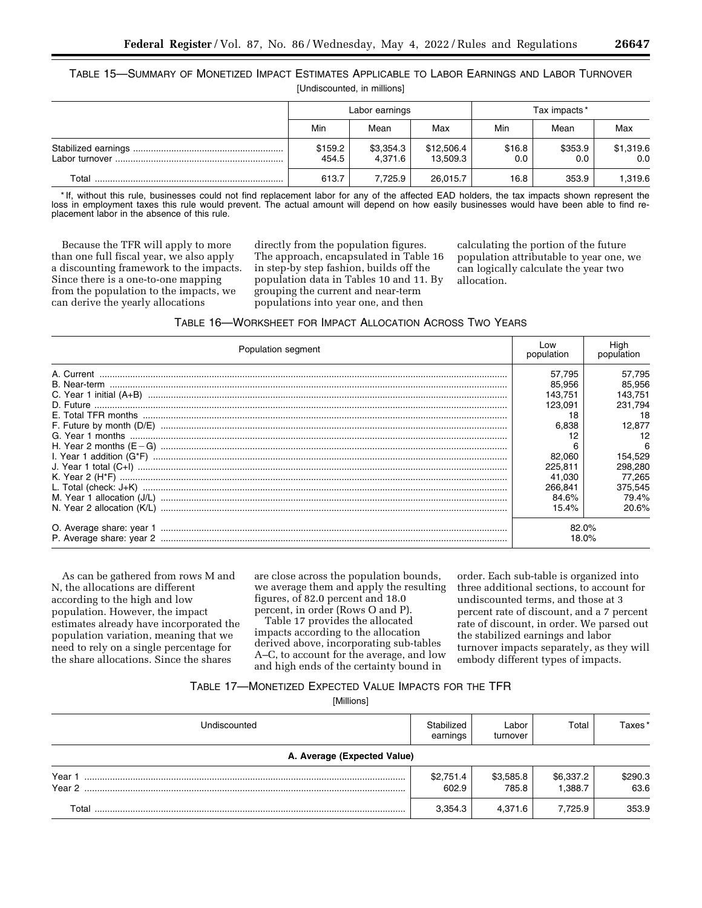TABLE 15—SUMMARY OF MONETIZED IMPACT ESTIMATES APPLICABLE TO LABOR EARNINGS AND LABOR TURNOVER [Undiscounted, in millions]

|       |                  | Labor earnings       |                        |               | Tax impacts *  |                  |
|-------|------------------|----------------------|------------------------|---------------|----------------|------------------|
|       | Min              | Mean                 | Max                    | Min           | Mean           | Max              |
|       | \$159.2<br>454.5 | \$3,354.3<br>4.371.6 | \$12,506.4<br>13.509.3 | \$16.8<br>0.0 | \$353.9<br>0.0 | \$1,319.6<br>0.0 |
| Total | 613.7            | 7.725.9              | 26.015.7               | 16.8          | 353.9          | 1,319.6          |

\* If, without this rule, businesses could not find replacement labor for any of the affected EAD holders, the tax impacts shown represent the loss in employment taxes this rule would prevent. The actual amount will depend on how easily businesses would have been able to find replacement labor in the absence of this rule.

Because the TFR will apply to more than one full fiscal year, we also apply a discounting framework to the impacts. Since there is a one-to-one mapping from the population to the impacts, we can derive the yearly allocations

directly from the population figures. The approach, encapsulated in Table 16 in step-by step fashion, builds off the population data in Tables 10 and 11. By grouping the current and near-term populations into year one, and then

calculating the portion of the future population attributable to year one, we can logically calculate the year two allocation.

| <b>TABLE 16-WORKSHEET FOR IMPACT ALLOCATION ACROSS TWO YEARS</b> |
|------------------------------------------------------------------|
|------------------------------------------------------------------|

| Population segment |         | Hiah<br>population |
|--------------------|---------|--------------------|
|                    | 57.795  | 57,795             |
|                    | 85.956  | 85.956             |
|                    | 143.751 | 143.751            |
|                    | 123.091 | 231.794            |
|                    | 18      | 18                 |
|                    | 6.838   | 12.877             |
|                    |         |                    |
|                    |         | 6                  |
|                    | 82.060  | 154,529            |
|                    | 225.811 | 298,280            |
|                    | 41.030  | 77.265             |
|                    | 266.841 | 375,545            |
|                    | 84.6%   | 79.4%              |
|                    | 15.4%   | 20.6%              |
|                    | 82.0%   |                    |
|                    | 18.0%   |                    |

As can be gathered from rows M and N, the allocations are different according to the high and low population. However, the impact estimates already have incorporated the population variation, meaning that we need to rely on a single percentage for the share allocations. Since the shares

are close across the population bounds, we average them and apply the resulting figures, of 82.0 percent and 18.0 percent, in order (Rows O and P).

Table 17 provides the allocated impacts according to the allocation derived above, incorporating sub-tables A–C, to account for the average, and low and high ends of the certainty bound in

order. Each sub-table is organized into three additional sections, to account for undiscounted terms, and those at 3 percent rate of discount, and a 7 percent rate of discount, in order. We parsed out the stabilized earnings and labor turnover impacts separately, as they will embody different types of impacts.

# TABLE 17—MONETIZED EXPECTED VALUE IMPACTS FOR THE TFR

[Millions]

| Undiscounted                | Stabilized<br>earnings | Labor<br>turnover  | Total                | Taxes*          |
|-----------------------------|------------------------|--------------------|----------------------|-----------------|
| A. Average (Expected Value) |                        |                    |                      |                 |
| Year 1<br>Year 2            | \$2,751.4<br>602.9     | \$3,585.8<br>785.8 | \$6,337.2<br>1.388.7 | \$290.3<br>63.6 |
| Total                       | 3,354.3                | 4.371.6            | 7.725.9              | 353.9           |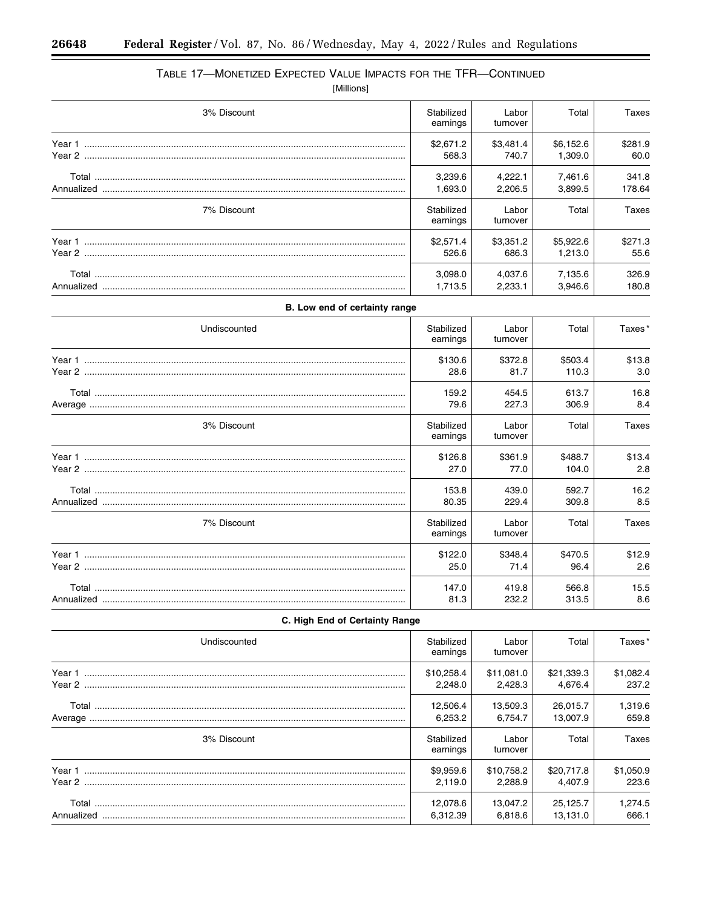$\equiv$ 

۲

# TABLE 17-MONETIZED EXPECTED VALUE IMPACTS FOR THE TFR-CONTINUED [Millions]

| 3% Discount                   | Stabilized             | Labor              | Total                | Taxes           |
|-------------------------------|------------------------|--------------------|----------------------|-----------------|
|                               | earnings               | turnover           |                      |                 |
|                               | \$2,671.2<br>568.3     | \$3,481.4<br>740.7 | \$6,152.6<br>1,309.0 | \$281.9<br>60.0 |
|                               | 3,239.6                | 4,222.1            | 7,461.6              | 341.8           |
|                               | 1,693.0                | 2,206.5            | 3,899.5              | 178.64          |
| 7% Discount                   | Stabilized<br>earnings | Labor<br>turnover  | Total                | <b>Taxes</b>    |
|                               | \$2,571.4<br>526.6     | \$3,351.2<br>686.3 | \$5,922.6<br>1,213.0 | \$271.3<br>55.6 |
|                               | 3,098.0<br>1,713.5     | 4,037.6<br>2,233.1 | 7,135.6<br>3,946.6   | 326.9<br>180.8  |
| B. Low end of certainty range |                        |                    |                      |                 |
| Undiscounted                  | Stabilized<br>earnings | Labor<br>turnover  | Total                | Taxes*          |
|                               | \$130.6<br>28.6        | \$372.8<br>81.7    | \$503.4<br>110.3     | \$13.8<br>3.0   |
|                               | 159.2<br>79.6          | 454.5<br>227.3     | 613.7<br>306.9       | 16.8<br>8.4     |
| 3% Discount                   | Stabilized<br>earnings | Labor<br>turnover  | Total                | Taxes           |
|                               | \$126.8<br>27.0        | \$361.9<br>77.0    | \$488.7<br>104.0     | \$13.4<br>2.8   |
|                               | 153.8<br>80.35         | 439.0<br>229.4     | 592.7<br>309.8       | 16.2<br>8.5     |
| 7% Discount                   | Stabilized<br>earnings | Labor<br>turnover  | Total                | Taxes           |
|                               | \$122.0                | \$348.4            | \$470.5              | \$12.9          |
|                               | 25.0                   | 71.4               | 96.4                 | 2.6             |
|                               | 147.0<br>81.3          | 419.8<br>232.2     | 566.8<br>313.5       | 15.5<br>8.6     |

| Undiscounted | Stabilized<br>earnings | Labor<br>turnover     | Total                 | Taxes*             |
|--------------|------------------------|-----------------------|-----------------------|--------------------|
|              | \$10,258.4<br>2.248.0  | \$11,081.0<br>2.428.3 | \$21,339.3<br>4.676.4 | \$1,082.4<br>237.2 |
|              | 12,506.4<br>6,253.2    | 13,509.3<br>6.754.7   | 26,015.7<br>13.007.9  | 1,319.6<br>659.8   |
| 3% Discount  | Stabilized<br>earnings | Labor<br>turnover     | Total                 | Taxes              |
|              | \$9,959.6<br>2.119.0   | \$10,758.2<br>2.288.9 | \$20,717.8<br>4.407.9 | \$1,050.9<br>223.6 |
| Annualized   | 12,078.6<br>6,312.39   | 13,047.2<br>6.818.6   | 25,125.7<br>13.131.0  | 1,274.5<br>666.1   |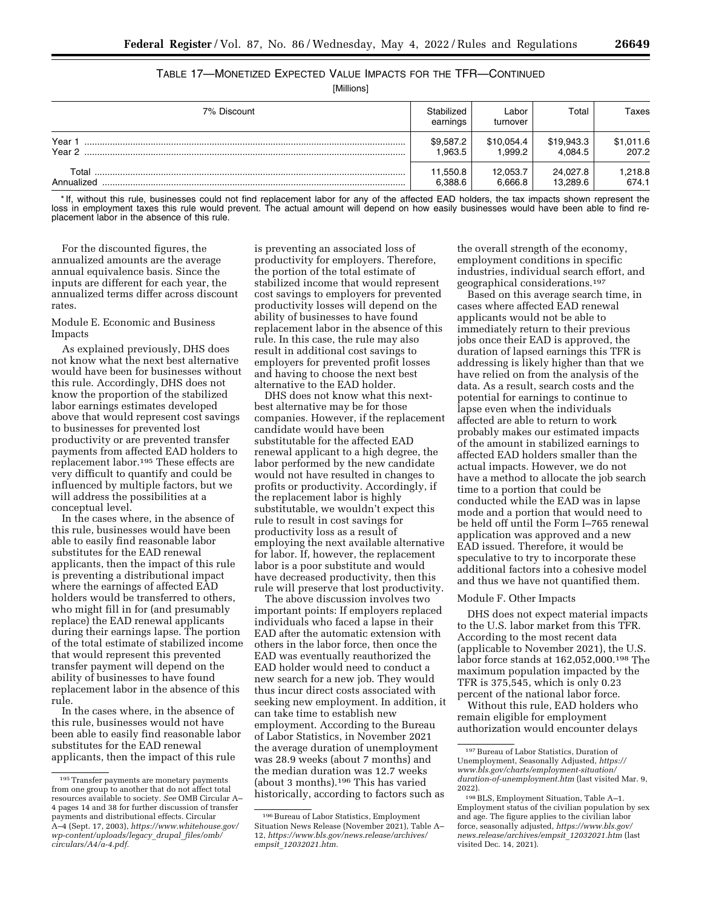# TABLE 17—MONETIZED EXPECTED VALUE IMPACTS FOR THE TFR—CONTINUED

[Millions]

| 7% Discount         | Stabilized<br>earnings | Labor<br>turnover    | Total                 | Taxes              |
|---------------------|------------------------|----------------------|-----------------------|--------------------|
| Year 1<br>Year 2    | \$9,587.2<br>.963.5    | \$10,054.4<br>.999.2 | \$19,943.3<br>4.084.5 | \$1,011.6<br>207.2 |
| Total<br>Annualized | 11,550.8<br>6,388.6    | 12,053.7<br>6.666.8  | 24.027.8<br>13.289.6  | 1,218.8<br>674.1   |

\* If, without this rule, businesses could not find replacement labor for any of the affected EAD holders, the tax impacts shown represent the loss in employment taxes this rule would prevent. The actual amount will depend on how easily businesses would have been able to find replacement labor in the absence of this rule.

For the discounted figures, the annualized amounts are the average annual equivalence basis. Since the inputs are different for each year, the annualized terms differ across discount rates.

Module E. Economic and Business Impacts

As explained previously, DHS does not know what the next best alternative would have been for businesses without this rule. Accordingly, DHS does not know the proportion of the stabilized labor earnings estimates developed above that would represent cost savings to businesses for prevented lost productivity or are prevented transfer payments from affected EAD holders to replacement labor.195 These effects are very difficult to quantify and could be influenced by multiple factors, but we will address the possibilities at a conceptual level.

In the cases where, in the absence of this rule, businesses would have been able to easily find reasonable labor substitutes for the EAD renewal applicants, then the impact of this rule is preventing a distributional impact where the earnings of affected EAD holders would be transferred to others, who might fill in for (and presumably replace) the EAD renewal applicants during their earnings lapse. The portion of the total estimate of stabilized income that would represent this prevented transfer payment will depend on the ability of businesses to have found replacement labor in the absence of this rule.

In the cases where, in the absence of this rule, businesses would not have been able to easily find reasonable labor substitutes for the EAD renewal applicants, then the impact of this rule

is preventing an associated loss of productivity for employers. Therefore, the portion of the total estimate of stabilized income that would represent cost savings to employers for prevented productivity losses will depend on the ability of businesses to have found replacement labor in the absence of this rule. In this case, the rule may also result in additional cost savings to employers for prevented profit losses and having to choose the next best alternative to the EAD holder.

DHS does not know what this nextbest alternative may be for those companies. However, if the replacement candidate would have been substitutable for the affected EAD renewal applicant to a high degree, the labor performed by the new candidate would not have resulted in changes to profits or productivity. Accordingly, if the replacement labor is highly substitutable, we wouldn't expect this rule to result in cost savings for productivity loss as a result of employing the next available alternative for labor. If, however, the replacement labor is a poor substitute and would have decreased productivity, then this rule will preserve that lost productivity.

The above discussion involves two important points: If employers replaced individuals who faced a lapse in their EAD after the automatic extension with others in the labor force, then once the EAD was eventually reauthorized the EAD holder would need to conduct a new search for a new job. They would thus incur direct costs associated with seeking new employment. In addition, it can take time to establish new employment. According to the Bureau of Labor Statistics, in November 2021 the average duration of unemployment was 28.9 weeks (about 7 months) and the median duration was 12.7 weeks (about 3 months).196 This has varied historically, according to factors such as

the overall strength of the economy, employment conditions in specific industries, individual search effort, and geographical considerations.197

Based on this average search time, in cases where affected EAD renewal applicants would not be able to immediately return to their previous jobs once their EAD is approved, the duration of lapsed earnings this TFR is addressing is likely higher than that we have relied on from the analysis of the data. As a result, search costs and the potential for earnings to continue to lapse even when the individuals affected are able to return to work probably makes our estimated impacts of the amount in stabilized earnings to affected EAD holders smaller than the actual impacts. However, we do not have a method to allocate the job search time to a portion that could be conducted while the EAD was in lapse mode and a portion that would need to be held off until the Form I–765 renewal application was approved and a new EAD issued. Therefore, it would be speculative to try to incorporate these additional factors into a cohesive model and thus we have not quantified them.

# Module F. Other Impacts

DHS does not expect material impacts to the U.S. labor market from this TFR. According to the most recent data (applicable to November 2021), the U.S. labor force stands at 162,052,000.198 The maximum population impacted by the TFR is 375,545, which is only 0.23 percent of the national labor force.

Without this rule, EAD holders who remain eligible for employment authorization would encounter delays

<sup>195</sup>Transfer payments are monetary payments from one group to another that do not affect total resources available to society. *See* OMB Circular A– 4 pages 14 and 38 for further discussion of transfer payments and distributional effects. Circular A–4 (Sept. 17, 2003), *[https://www.whitehouse.gov/](https://www.whitehouse.gov/wp-content/uploads/legacy_drupal_files/omb/circulars/A4/a-4.pdf) [wp-content/uploads/legacy](https://www.whitehouse.gov/wp-content/uploads/legacy_drupal_files/omb/circulars/A4/a-4.pdf)*\_*drupal*\_*files/omb/ [circulars/A4/a-4.pdf.](https://www.whitehouse.gov/wp-content/uploads/legacy_drupal_files/omb/circulars/A4/a-4.pdf)* 

<sup>196</sup>Bureau of Labor Statistics, Employment Situation News Release (November 2021), Table A– 12, *[https://www.bls.gov/news.release/archives/](https://www.bls.gov/news.release/archives/empsit_12032021.htm) empsit*\_*[12032021.htm.](https://www.bls.gov/news.release/archives/empsit_12032021.htm)* 

<sup>197</sup>Bureau of Labor Statistics, Duration of Unemployment, Seasonally Adjusted, *[https://](https://www.bls.gov/charts/employment-situation/duration-of-unemployment.htm) [www.bls.gov/charts/employment-situation/](https://www.bls.gov/charts/employment-situation/duration-of-unemployment.htm)  [duration-of-unemployment.htm](https://www.bls.gov/charts/employment-situation/duration-of-unemployment.htm)* (last visited Mar. 9, 2022).

<sup>198</sup>BLS, Employment Situation, Table A–1. Employment status of the civilian population by sex and age. The figure applies to the civilian labor force, seasonally adjusted, *[https://www.bls.gov/](https://www.bls.gov/news.release/archives/empsit_12032021.htm)  [news.release/archives/empsit](https://www.bls.gov/news.release/archives/empsit_12032021.htm)*\_*12032021.htm* (last visited Dec. 14, 2021).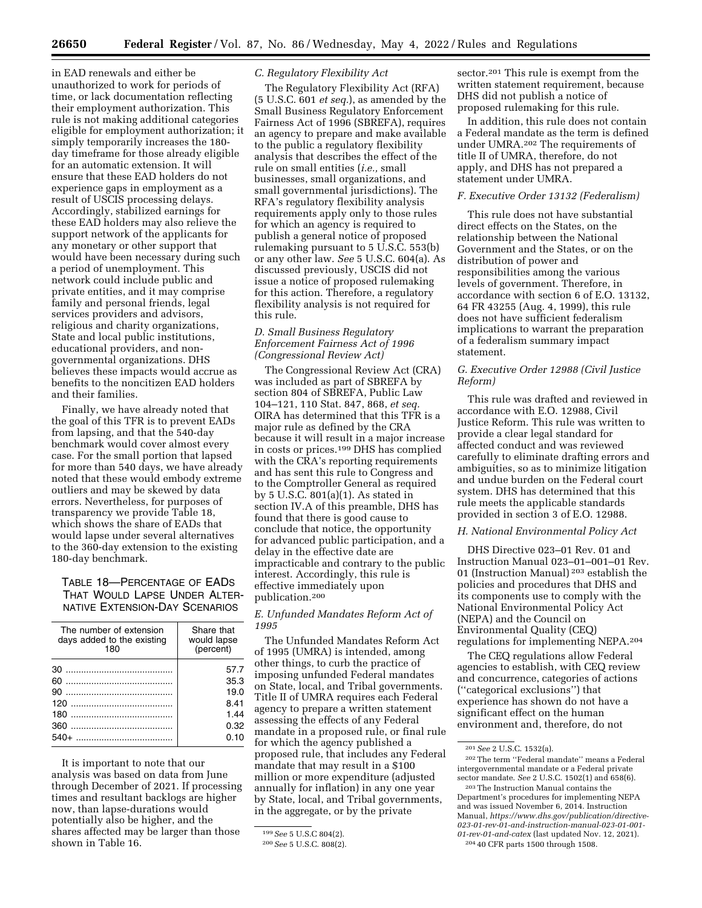**26650 Federal Register** / Vol. 87, No. 86 / Wednesday, May 4, 2022 / Rules and Regulations

in EAD renewals and either be unauthorized to work for periods of time, or lack documentation reflecting their employment authorization. This rule is not making additional categories eligible for employment authorization; it simply temporarily increases the 180 day timeframe for those already eligible for an automatic extension. It will ensure that these EAD holders do not experience gaps in employment as a result of USCIS processing delays. Accordingly, stabilized earnings for these EAD holders may also relieve the support network of the applicants for any monetary or other support that would have been necessary during such a period of unemployment. This network could include public and private entities, and it may comprise family and personal friends, legal services providers and advisors, religious and charity organizations, State and local public institutions, educational providers, and nongovernmental organizations. DHS believes these impacts would accrue as benefits to the noncitizen EAD holders and their families.

Finally, we have already noted that the goal of this TFR is to prevent EADs from lapsing, and that the 540-day benchmark would cover almost every case. For the small portion that lapsed for more than 540 days, we have already noted that these would embody extreme outliers and may be skewed by data errors. Nevertheless, for purposes of transparency we provide Table 18, which shows the share of EADs that would lapse under several alternatives to the 360-day extension to the existing 180-day benchmark.

# TABLE 18—PERCENTAGE OF EADS THAT WOULD LAPSE UNDER ALTER-NATIVE EXTENSION-DAY SCENARIOS

| The number of extension    | Share that  |  |
|----------------------------|-------------|--|
| days added to the existing | would lapse |  |
| 180                        | (percent)   |  |
|                            | 57.7        |  |
|                            | 35.3        |  |
|                            | 19.0        |  |
|                            | 8.41        |  |
|                            | 144         |  |
|                            | 0.32        |  |
|                            | 0.10        |  |

It is important to note that our analysis was based on data from June through December of 2021. If processing times and resultant backlogs are higher now, than lapse-durations would potentially also be higher, and the shares affected may be larger than those shown in Table 16.

# *C. Regulatory Flexibility Act*

The Regulatory Flexibility Act (RFA) (5 U.S.C. 601 *et seq.*), as amended by the Small Business Regulatory Enforcement Fairness Act of 1996 (SBREFA), requires an agency to prepare and make available to the public a regulatory flexibility analysis that describes the effect of the rule on small entities (*i.e.,* small businesses, small organizations, and small governmental jurisdictions). The RFA's regulatory flexibility analysis requirements apply only to those rules for which an agency is required to publish a general notice of proposed rulemaking pursuant to 5 U.S.C. 553(b) or any other law. *See* 5 U.S.C. 604(a). As discussed previously, USCIS did not issue a notice of proposed rulemaking for this action. Therefore, a regulatory flexibility analysis is not required for this rule.

# *D. Small Business Regulatory Enforcement Fairness Act of 1996 (Congressional Review Act)*

The Congressional Review Act (CRA) was included as part of SBREFA by section 804 of SBREFA, Public Law 104–121, 110 Stat. 847, 868, *et seq.*  OIRA has determined that this TFR is a major rule as defined by the CRA because it will result in a major increase in costs or prices.199 DHS has complied with the CRA's reporting requirements and has sent this rule to Congress and to the Comptroller General as required by 5 U.S.C. 801(a)(1). As stated in section IV.A of this preamble, DHS has found that there is good cause to conclude that notice, the opportunity for advanced public participation, and a delay in the effective date are impracticable and contrary to the public interest. Accordingly, this rule is effective immediately upon publication.200

*E. Unfunded Mandates Reform Act of 1995* 

The Unfunded Mandates Reform Act of 1995 (UMRA) is intended, among other things, to curb the practice of imposing unfunded Federal mandates on State, local, and Tribal governments. Title II of UMRA requires each Federal agency to prepare a written statement assessing the effects of any Federal mandate in a proposed rule, or final rule for which the agency published a proposed rule, that includes any Federal mandate that may result in a \$100 million or more expenditure (adjusted annually for inflation) in any one year by State, local, and Tribal governments, in the aggregate, or by the private

sector.<sup>201</sup> This rule is exempt from the written statement requirement, because DHS did not publish a notice of proposed rulemaking for this rule.

In addition, this rule does not contain a Federal mandate as the term is defined under UMRA.202 The requirements of title II of UMRA, therefore, do not apply, and DHS has not prepared a statement under UMRA.

# *F. Executive Order 13132 (Federalism)*

This rule does not have substantial direct effects on the States, on the relationship between the National Government and the States, or on the distribution of power and responsibilities among the various levels of government. Therefore, in accordance with section 6 of E.O. 13132, 64 FR 43255 (Aug. 4, 1999), this rule does not have sufficient federalism implications to warrant the preparation of a federalism summary impact statement.

# *G. Executive Order 12988 (Civil Justice Reform)*

This rule was drafted and reviewed in accordance with E.O. 12988, Civil Justice Reform. This rule was written to provide a clear legal standard for affected conduct and was reviewed carefully to eliminate drafting errors and ambiguities, so as to minimize litigation and undue burden on the Federal court system. DHS has determined that this rule meets the applicable standards provided in section 3 of E.O. 12988.

#### *H. National Environmental Policy Act*

DHS Directive 023–01 Rev. 01 and Instruction Manual 023–01–001–01 Rev. 01 (Instruction Manual) 203 establish the policies and procedures that DHS and its components use to comply with the National Environmental Policy Act (NEPA) and the Council on Environmental Quality (CEQ) regulations for implementing NEPA.204

The CEQ regulations allow Federal agencies to establish, with CEQ review and concurrence, categories of actions (''categorical exclusions'') that experience has shown do not have a significant effect on the human environment and, therefore, do not

<sup>199</sup>*See* 5 U.S.C 804(2).

<sup>200</sup>*See* 5 U.S.C. 808(2).

<sup>201</sup>*See* 2 U.S.C. 1532(a).

<sup>202</sup>The term ''Federal mandate'' means a Federal intergovernmental mandate or a Federal private sector mandate. *See* 2 U.S.C. 1502(1) and 658(6).

<sup>203</sup>The Instruction Manual contains the Department's procedures for implementing NEPA and was issued November 6, 2014. Instruction Manual, *[https://www.dhs.gov/publication/directive-](https://www.dhs.gov/publication/directive-023-01-rev-01-and-instruction-manual-023-01-001-01-rev-01-and-catex)[023-01-rev-01-and-instruction-manual-023-01-001-](https://www.dhs.gov/publication/directive-023-01-rev-01-and-instruction-manual-023-01-001-01-rev-01-and-catex)  [01-rev-01-and-catex](https://www.dhs.gov/publication/directive-023-01-rev-01-and-instruction-manual-023-01-001-01-rev-01-and-catex)* (last updated Nov. 12, 2021). 204 40 CFR parts 1500 through 1508.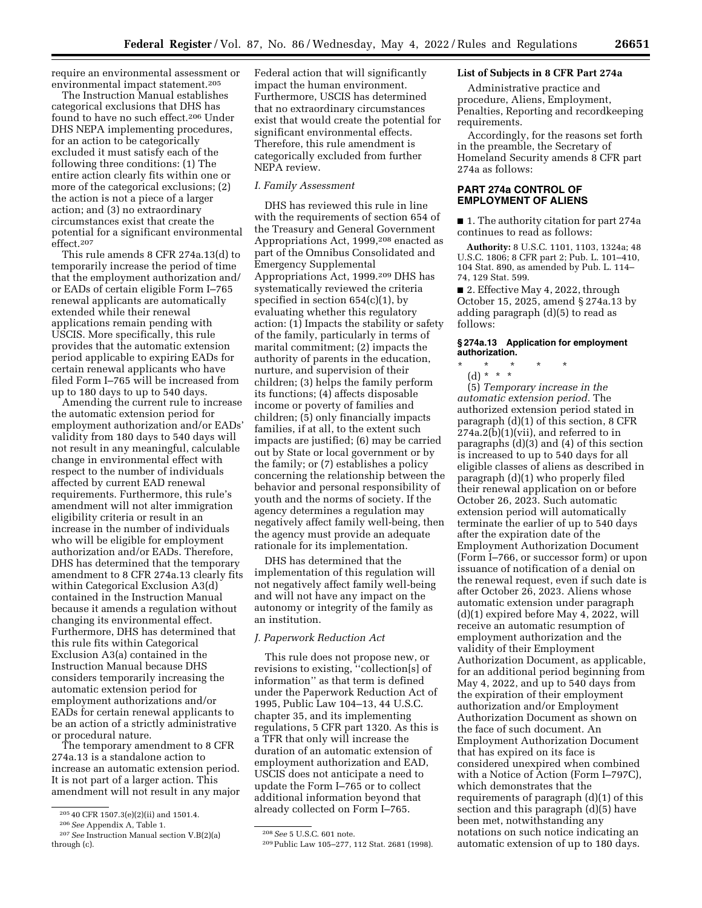require an environmental assessment or environmental impact statement.205

The Instruction Manual establishes categorical exclusions that DHS has found to have no such effect.206 Under DHS NEPA implementing procedures, for an action to be categorically excluded it must satisfy each of the following three conditions: (1) The entire action clearly fits within one or more of the categorical exclusions; (2) the action is not a piece of a larger action; and (3) no extraordinary circumstances exist that create the potential for a significant environmental effect.207

This rule amends 8 CFR 274a.13(d) to temporarily increase the period of time that the employment authorization and/ or EADs of certain eligible Form I–765 renewal applicants are automatically extended while their renewal applications remain pending with USCIS. More specifically, this rule provides that the automatic extension period applicable to expiring EADs for certain renewal applicants who have filed Form I–765 will be increased from up to 180 days to up to 540 days.

Amending the current rule to increase the automatic extension period for employment authorization and/or EADs' validity from 180 days to 540 days will not result in any meaningful, calculable change in environmental effect with respect to the number of individuals affected by current EAD renewal requirements. Furthermore, this rule's amendment will not alter immigration eligibility criteria or result in an increase in the number of individuals who will be eligible for employment authorization and/or EADs. Therefore, DHS has determined that the temporary amendment to 8 CFR 274a.13 clearly fits within Categorical Exclusion A3(d) contained in the Instruction Manual because it amends a regulation without changing its environmental effect. Furthermore, DHS has determined that this rule fits within Categorical Exclusion A3(a) contained in the Instruction Manual because DHS considers temporarily increasing the automatic extension period for employment authorizations and/or EADs for certain renewal applicants to be an action of a strictly administrative or procedural nature.

The temporary amendment to 8 CFR 274a.13 is a standalone action to increase an automatic extension period. It is not part of a larger action. This amendment will not result in any major Federal action that will significantly impact the human environment. Furthermore, USCIS has determined that no extraordinary circumstances exist that would create the potential for significant environmental effects. Therefore, this rule amendment is categorically excluded from further NEPA review.

#### *I. Family Assessment*

DHS has reviewed this rule in line with the requirements of section 654 of the Treasury and General Government Appropriations Act, 1999,208 enacted as part of the Omnibus Consolidated and Emergency Supplemental Appropriations Act, 1999.209 DHS has systematically reviewed the criteria specified in section  $654(c)(1)$ , by evaluating whether this regulatory action: (1) Impacts the stability or safety of the family, particularly in terms of marital commitment; (2) impacts the authority of parents in the education, nurture, and supervision of their children; (3) helps the family perform its functions; (4) affects disposable income or poverty of families and children; (5) only financially impacts families, if at all, to the extent such impacts are justified; (6) may be carried out by State or local government or by the family; or (7) establishes a policy concerning the relationship between the behavior and personal responsibility of youth and the norms of society. If the agency determines a regulation may negatively affect family well-being, then the agency must provide an adequate rationale for its implementation.

DHS has determined that the implementation of this regulation will not negatively affect family well-being and will not have any impact on the autonomy or integrity of the family as an institution.

# *J. Paperwork Reduction Act*

This rule does not propose new, or revisions to existing, ''collection[s] of information'' as that term is defined under the Paperwork Reduction Act of 1995, Public Law 104–13, 44 U.S.C. chapter 35, and its implementing regulations, 5 CFR part 1320. As this is a TFR that only will increase the duration of an automatic extension of employment authorization and EAD, USCIS does not anticipate a need to update the Form I–765 or to collect additional information beyond that already collected on Form I–765.

### **List of Subjects in 8 CFR Part 274a**

Administrative practice and procedure, Aliens, Employment, Penalties, Reporting and recordkeeping requirements.

Accordingly, for the reasons set forth in the preamble, the Secretary of Homeland Security amends 8 CFR part 274a as follows:

# **PART 274a CONTROL OF EMPLOYMENT OF ALIENS**

■ 1. The authority citation for part 274a continues to read as follows:

**Authority:** 8 U.S.C. 1101, 1103, 1324a; 48 U.S.C. 1806; 8 CFR part 2; Pub. L. 101–410, 104 Stat. 890, as amended by Pub. L. 114– 74, 129 Stat. 599.

■ 2. Effective May 4, 2022, through October 15, 2025, amend § 274a.13 by adding paragraph (d)(5) to read as follows:

### **§ 274a.13 Application for employment authorization.**

\* \* \* \* \*

(d) \* \* \*

(5) *Temporary increase in the automatic extension period.* The authorized extension period stated in paragraph (d)(1) of this section, 8 CFR  $274a.2(b)(1)(vii)$ , and referred to in paragraphs (d)(3) and (4) of this section is increased to up to 540 days for all eligible classes of aliens as described in paragraph (d)(1) who properly filed their renewal application on or before October 26, 2023. Such automatic extension period will automatically terminate the earlier of up to 540 days after the expiration date of the Employment Authorization Document (Form I–766, or successor form) or upon issuance of notification of a denial on the renewal request, even if such date is after October 26, 2023. Aliens whose automatic extension under paragraph (d)(1) expired before May 4, 2022, will receive an automatic resumption of employment authorization and the validity of their Employment Authorization Document, as applicable, for an additional period beginning from May 4, 2022, and up to 540 days from the expiration of their employment authorization and/or Employment Authorization Document as shown on the face of such document. An Employment Authorization Document that has expired on its face is considered unexpired when combined with a Notice of Action (Form I–797C), which demonstrates that the requirements of paragraph (d)(1) of this section and this paragraph (d)(5) have been met, notwithstanding any notations on such notice indicating an automatic extension of up to 180 days.

<sup>205</sup> 40 CFR 1507.3(e)(2)(ii) and 1501.4.

<sup>206</sup>*See* Appendix A, Table 1.

<sup>207</sup>*See* Instruction Manual section V.B(2)(a) through (c).

<sup>208</sup>*See* 5 U.S.C. 601 note.

<sup>209</sup>Public Law 105–277, 112 Stat. 2681 (1998).